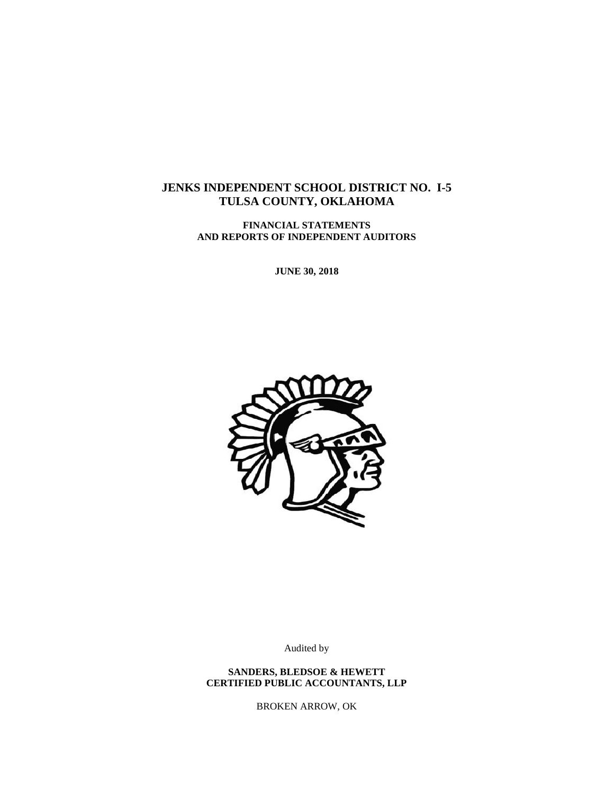# **JENKS INDEPENDENT SCHOOL DISTRICT NO. I-5 TULSA COUNTY, OKLAHOMA**

**FINANCIAL STATEMENTS AND REPORTS OF INDEPENDENT AUDITORS**

**JUNE 30, 2018**



Audited by

**SANDERS, BLEDSOE & HEWETT CERTIFIED PUBLIC ACCOUNTANTS, LLP**

BROKEN ARROW, OK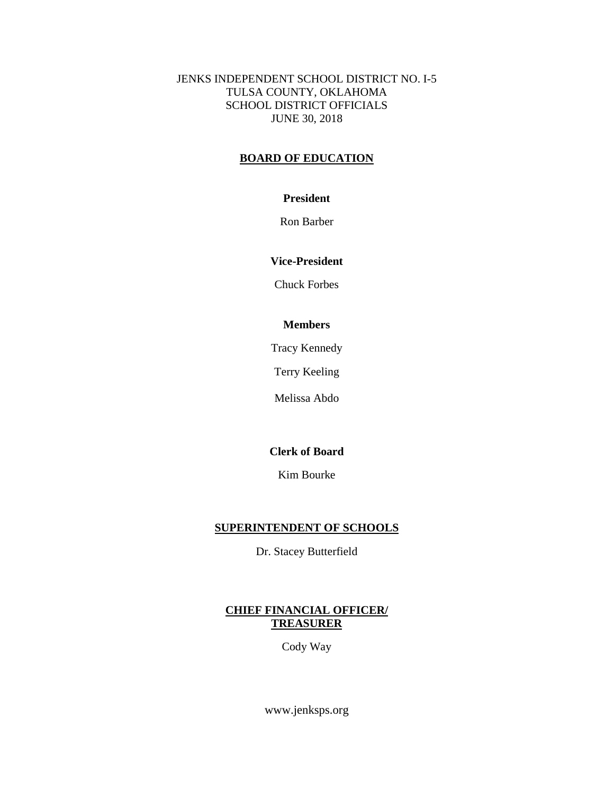JENKS INDEPENDENT SCHOOL DISTRICT NO. I-5 TULSA COUNTY, OKLAHOMA SCHOOL DISTRICT OFFICIALS JUNE 30, 2018

## **BOARD OF EDUCATION**

## **President**

Ron Barber

# **Vice-President**

Chuck Forbes

# **Members**

Tracy Kennedy

Terry Keeling

Melissa Abdo

# **Clerk of Board**

Kim Bourke

# **SUPERINTENDENT OF SCHOOLS**

Dr. Stacey Butterfield

# **CHIEF FINANCIAL OFFICER/ TREASURER**

Cody Way

www.jenksps.org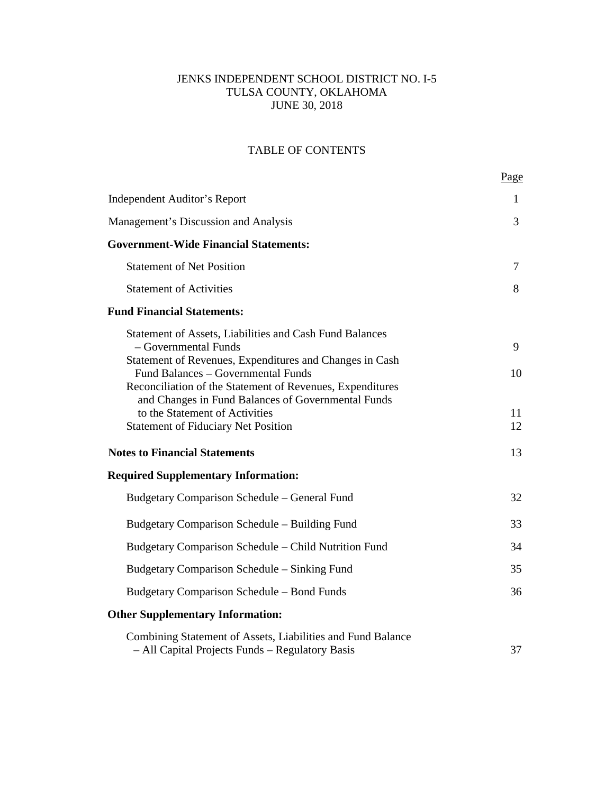# JENKS INDEPENDENT SCHOOL DISTRICT NO. I-5 TULSA COUNTY, OKLAHOMA JUNE 30, 2018

# TABLE OF CONTENTS

|                                                                                                                                                       | Page     |
|-------------------------------------------------------------------------------------------------------------------------------------------------------|----------|
| <b>Independent Auditor's Report</b>                                                                                                                   | 1        |
| Management's Discussion and Analysis                                                                                                                  | 3        |
| <b>Government-Wide Financial Statements:</b>                                                                                                          |          |
| <b>Statement of Net Position</b>                                                                                                                      | 7        |
| <b>Statement of Activities</b>                                                                                                                        | 8        |
| <b>Fund Financial Statements:</b>                                                                                                                     |          |
| Statement of Assets, Liabilities and Cash Fund Balances<br>- Governmental Funds<br>Statement of Revenues, Expenditures and Changes in Cash            | 9        |
| Fund Balances - Governmental Funds<br>Reconciliation of the Statement of Revenues, Expenditures<br>and Changes in Fund Balances of Governmental Funds | 10       |
| to the Statement of Activities<br><b>Statement of Fiduciary Net Position</b>                                                                          | 11<br>12 |
| <b>Notes to Financial Statements</b>                                                                                                                  | 13       |
| <b>Required Supplementary Information:</b>                                                                                                            |          |
| Budgetary Comparison Schedule – General Fund                                                                                                          | 32       |
| Budgetary Comparison Schedule – Building Fund                                                                                                         | 33       |
| Budgetary Comparison Schedule – Child Nutrition Fund                                                                                                  | 34       |
| Budgetary Comparison Schedule – Sinking Fund                                                                                                          | 35       |
| Budgetary Comparison Schedule – Bond Funds                                                                                                            | 36       |
| <b>Other Supplementary Information:</b>                                                                                                               |          |
| Combining Statement of Assets, Liabilities and Fund Balance<br>- All Capital Projects Funds - Regulatory Basis                                        | 37       |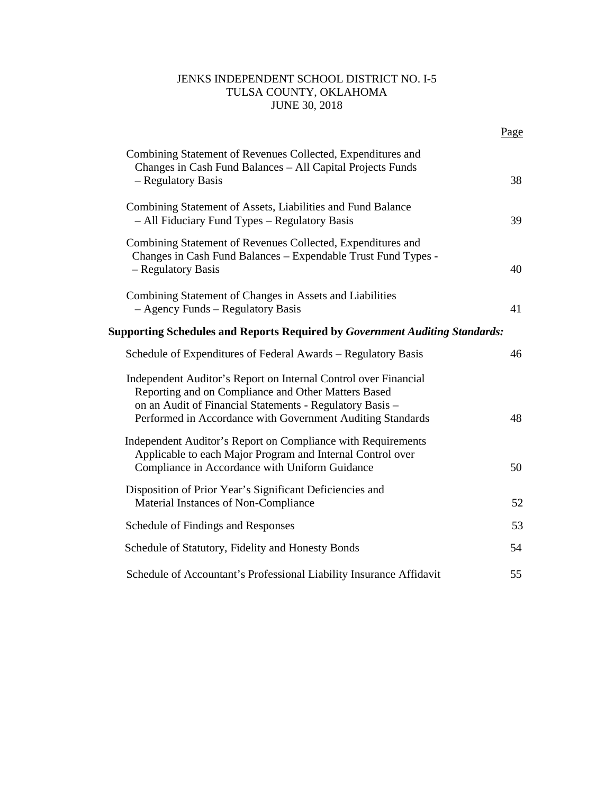# JENKS INDEPENDENT SCHOOL DISTRICT NO. I-5 TULSA COUNTY, OKLAHOMA JUNE 30, 2018

|                                                                                                                                                                                                                                                  | Page |
|--------------------------------------------------------------------------------------------------------------------------------------------------------------------------------------------------------------------------------------------------|------|
| Combining Statement of Revenues Collected, Expenditures and<br>Changes in Cash Fund Balances - All Capital Projects Funds<br>- Regulatory Basis                                                                                                  | 38   |
| Combining Statement of Assets, Liabilities and Fund Balance<br>- All Fiduciary Fund Types - Regulatory Basis                                                                                                                                     | 39   |
| Combining Statement of Revenues Collected, Expenditures and<br>Changes in Cash Fund Balances - Expendable Trust Fund Types -<br>- Regulatory Basis                                                                                               | 40   |
| Combining Statement of Changes in Assets and Liabilities<br>- Agency Funds - Regulatory Basis                                                                                                                                                    | 41   |
| <b>Supporting Schedules and Reports Required by Government Auditing Standards:</b>                                                                                                                                                               |      |
| Schedule of Expenditures of Federal Awards – Regulatory Basis                                                                                                                                                                                    | 46   |
| Independent Auditor's Report on Internal Control over Financial<br>Reporting and on Compliance and Other Matters Based<br>on an Audit of Financial Statements - Regulatory Basis -<br>Performed in Accordance with Government Auditing Standards | 48   |
| Independent Auditor's Report on Compliance with Requirements<br>Applicable to each Major Program and Internal Control over<br>Compliance in Accordance with Uniform Guidance                                                                     | 50   |
| Disposition of Prior Year's Significant Deficiencies and<br>Material Instances of Non-Compliance                                                                                                                                                 | 52   |
| Schedule of Findings and Responses                                                                                                                                                                                                               | 53   |
| Schedule of Statutory, Fidelity and Honesty Bonds                                                                                                                                                                                                | 54   |
| Schedule of Accountant's Professional Liability Insurance Affidavit                                                                                                                                                                              | 55   |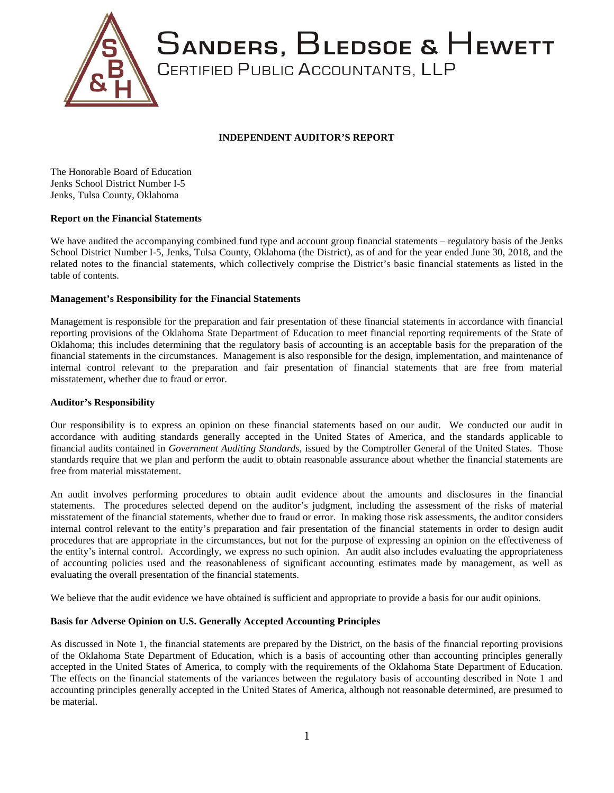

## **INDEPENDENT AUDITOR'S REPORT**

The Honorable Board of Education Jenks School District Number I-5 Jenks, Tulsa County, Oklahoma

#### **Report on the Financial Statements**

We have audited the accompanying combined fund type and account group financial statements – regulatory basis of the Jenks School District Number I-5, Jenks, Tulsa County, Oklahoma (the District), as of and for the year ended June 30, 2018, and the related notes to the financial statements, which collectively comprise the District's basic financial statements as listed in the table of contents.

#### **Management's Responsibility for the Financial Statements**

Management is responsible for the preparation and fair presentation of these financial statements in accordance with financial reporting provisions of the Oklahoma State Department of Education to meet financial reporting requirements of the State of Oklahoma; this includes determining that the regulatory basis of accounting is an acceptable basis for the preparation of the financial statements in the circumstances. Management is also responsible for the design, implementation, and maintenance of internal control relevant to the preparation and fair presentation of financial statements that are free from material misstatement, whether due to fraud or error.

#### **Auditor's Responsibility**

Our responsibility is to express an opinion on these financial statements based on our audit. We conducted our audit in accordance with auditing standards generally accepted in the United States of America, and the standards applicable to financial audits contained in *Government Auditing Standards*, issued by the Comptroller General of the United States. Those standards require that we plan and perform the audit to obtain reasonable assurance about whether the financial statements are free from material misstatement.

An audit involves performing procedures to obtain audit evidence about the amounts and disclosures in the financial statements. The procedures selected depend on the auditor's judgment, including the assessment of the risks of material misstatement of the financial statements, whether due to fraud or error. In making those risk assessments, the auditor considers internal control relevant to the entity's preparation and fair presentation of the financial statements in order to design audit procedures that are appropriate in the circumstances, but not for the purpose of expressing an opinion on the effectiveness of the entity's internal control. Accordingly, we express no such opinion. An audit also includes evaluating the appropriateness of accounting policies used and the reasonableness of significant accounting estimates made by management, as well as evaluating the overall presentation of the financial statements.

We believe that the audit evidence we have obtained is sufficient and appropriate to provide a basis for our audit opinions.

#### **Basis for Adverse Opinion on U.S. Generally Accepted Accounting Principles**

As discussed in Note 1, the financial statements are prepared by the District, on the basis of the financial reporting provisions of the Oklahoma State Department of Education, which is a basis of accounting other than accounting principles generally accepted in the United States of America, to comply with the requirements of the Oklahoma State Department of Education. The effects on the financial statements of the variances between the regulatory basis of accounting described in Note 1 and accounting principles generally accepted in the United States of America, although not reasonable determined, are presumed to be material.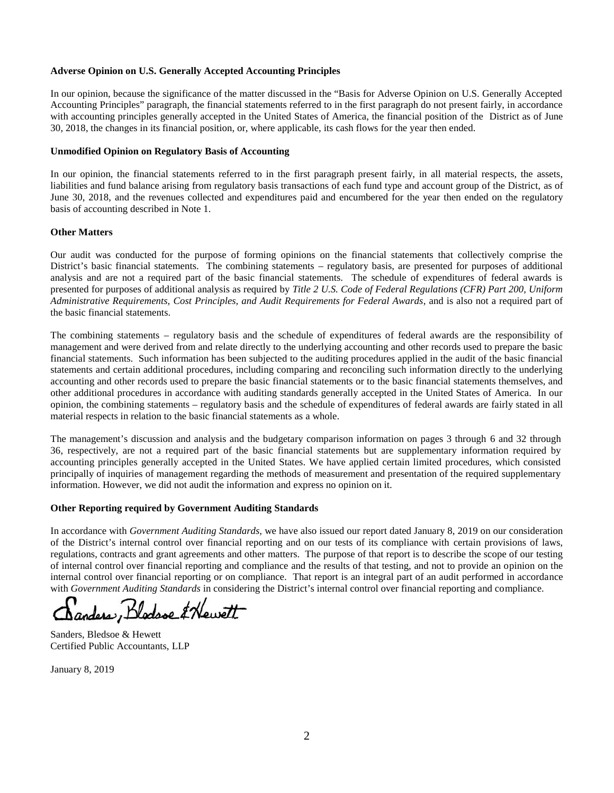#### **Adverse Opinion on U.S. Generally Accepted Accounting Principles**

In our opinion, because the significance of the matter discussed in the "Basis for Adverse Opinion on U.S. Generally Accepted Accounting Principles" paragraph, the financial statements referred to in the first paragraph do not present fairly, in accordance with accounting principles generally accepted in the United States of America, the financial position of the District as of June 30, 2018, the changes in its financial position, or, where applicable, its cash flows for the year then ended.

#### **Unmodified Opinion on Regulatory Basis of Accounting**

In our opinion, the financial statements referred to in the first paragraph present fairly, in all material respects, the assets, liabilities and fund balance arising from regulatory basis transactions of each fund type and account group of the District, as of June 30, 2018, and the revenues collected and expenditures paid and encumbered for the year then ended on the regulatory basis of accounting described in Note 1.

#### **Other Matters**

Our audit was conducted for the purpose of forming opinions on the financial statements that collectively comprise the District's basic financial statements. The combining statements – regulatory basis, are presented for purposes of additional analysis and are not a required part of the basic financial statements. The schedule of expenditures of federal awards is presented for purposes of additional analysis as required by *Title 2 U.S. Code of Federal Regulations (CFR) Part 200, Uniform Administrative Requirements, Cost Principles, and Audit Requirements for Federal Awards*, and is also not a required part of the basic financial statements.

The combining statements – regulatory basis and the schedule of expenditures of federal awards are the responsibility of management and were derived from and relate directly to the underlying accounting and other records used to prepare the basic financial statements. Such information has been subjected to the auditing procedures applied in the audit of the basic financial statements and certain additional procedures, including comparing and reconciling such information directly to the underlying accounting and other records used to prepare the basic financial statements or to the basic financial statements themselves, and other additional procedures in accordance with auditing standards generally accepted in the United States of America. In our opinion, the combining statements – regulatory basis and the schedule of expenditures of federal awards are fairly stated in all material respects in relation to the basic financial statements as a whole.

The management's discussion and analysis and the budgetary comparison information on pages 3 through 6 and 32 through 36, respectively, are not a required part of the basic financial statements but are supplementary information required by accounting principles generally accepted in the United States. We have applied certain limited procedures, which consisted principally of inquiries of management regarding the methods of measurement and presentation of the required supplementary information. However, we did not audit the information and express no opinion on it.

#### **Other Reporting required by Government Auditing Standards**

In accordance with *Government Auditing Standards,* we have also issued our report dated January 8, 2019 on our consideration of the District's internal control over financial reporting and on our tests of its compliance with certain provisions of laws, regulations, contracts and grant agreements and other matters. The purpose of that report is to describe the scope of our testing of internal control over financial reporting and compliance and the results of that testing, and not to provide an opinion on the internal control over financial reporting or on compliance. That report is an integral part of an audit performed in accordance with *Government Auditing Standards* in considering the District's internal control over financial reporting and compliance.

anders, Blodsse & Hewett

Sanders, Bledsoe & Hewett Certified Public Accountants, LLP

January 8, 2019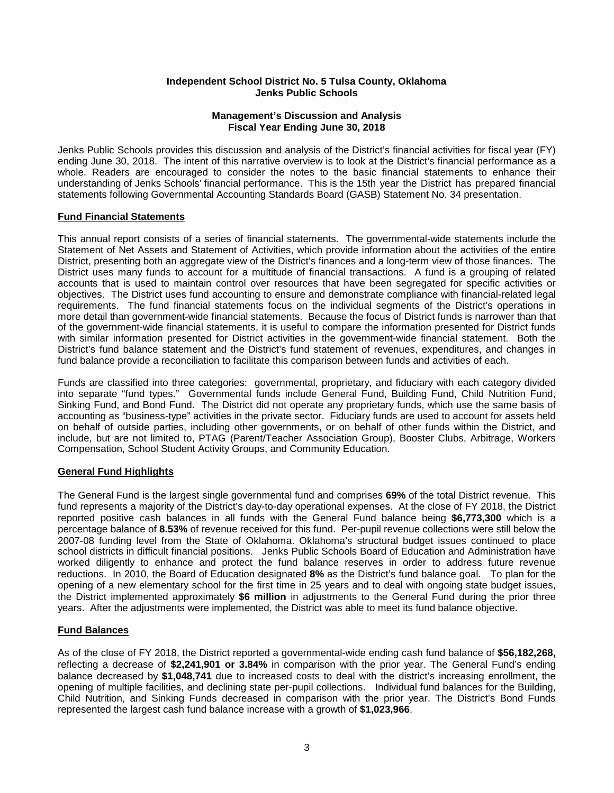#### **Independent School District No. 5 Tulsa County, Oklahoma Jenks Public Schools**

#### **Management's Discussion and Analysis Fiscal Year Ending June 30, 2018**

Jenks Public Schools provides this discussion and analysis of the District's financial activities for fiscal year (FY) ending June 30, 2018. The intent of this narrative overview is to look at the District's financial performance as a whole. Readers are encouraged to consider the notes to the basic financial statements to enhance their understanding of Jenks Schools' financial performance. This is the 15th year the District has prepared financial statements following Governmental Accounting Standards Board (GASB) Statement No. 34 presentation.

#### **Fund Financial Statements**

This annual report consists of a series of financial statements. The governmental-wide statements include the Statement of Net Assets and Statement of Activities, which provide information about the activities of the entire District, presenting both an aggregate view of the District's finances and a long-term view of those finances. The District uses many funds to account for a multitude of financial transactions. A fund is a grouping of related accounts that is used to maintain control over resources that have been segregated for specific activities or objectives. The District uses fund accounting to ensure and demonstrate compliance with financial-related legal requirements. The fund financial statements focus on the individual segments of the District's operations in more detail than government-wide financial statements. Because the focus of District funds is narrower than that of the government-wide financial statements, it is useful to compare the information presented for District funds with similar information presented for District activities in the government-wide financial statement. Both the District's fund balance statement and the District's fund statement of revenues, expenditures, and changes in fund balance provide a reconciliation to facilitate this comparison between funds and activities of each.

Funds are classified into three categories: governmental, proprietary, and fiduciary with each category divided into separate "fund types." Governmental funds include General Fund, Building Fund, Child Nutrition Fund, Sinking Fund, and Bond Fund. The District did not operate any proprietary funds, which use the same basis of accounting as "business-type" activities in the private sector. Fiduciary funds are used to account for assets held on behalf of outside parties, including other governments, or on behalf of other funds within the District, and include, but are not limited to, PTAG (Parent/Teacher Association Group), Booster Clubs, Arbitrage, Workers Compensation, School Student Activity Groups, and Community Education.

#### **General Fund Highlights**

The General Fund is the largest single governmental fund and comprises **69%** of the total District revenue. This fund represents a majority of the District's day-to-day operational expenses. At the close of FY 2018, the District reported positive cash balances in all funds with the General Fund balance being **\$6,773,300** which is a percentage balance of **8.53%** of revenue received for this fund. Per-pupil revenue collections were still below the 2007-08 funding level from the State of Oklahoma. Oklahoma's structural budget issues continued to place school districts in difficult financial positions. Jenks Public Schools Board of Education and Administration have worked diligently to enhance and protect the fund balance reserves in order to address future revenue reductions. In 2010, the Board of Education designated **8%** as the District's fund balance goal. To plan for the opening of a new elementary school for the first time in 25 years and to deal with ongoing state budget issues, the District implemented approximately **\$6 million** in adjustments to the General Fund during the prior three years. After the adjustments were implemented, the District was able to meet its fund balance objective.

#### **Fund Balances**

As of the close of FY 2018, the District reported a governmental-wide ending cash fund balance of **\$56,182,268,** reflecting a decrease of **\$2,241,901 or 3.84%** in comparison with the prior year. The General Fund's ending balance decreased by **\$1,048,741** due to increased costs to deal with the district's increasing enrollment, the opening of multiple facilities, and declining state per-pupil collections. Individual fund balances for the Building, Child Nutrition, and Sinking Funds decreased in comparison with the prior year. The District's Bond Funds represented the largest cash fund balance increase with a growth of **\$1,023,966**.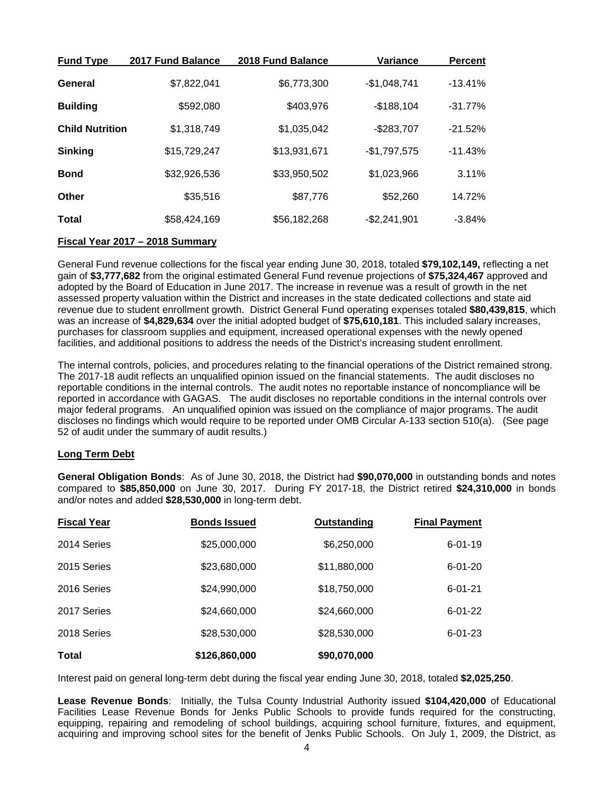| <b>Fund Type</b>       | 2017 Fund Balance | 2018 Fund Balance | <b>Variance</b> | <b>Percent</b> |
|------------------------|-------------------|-------------------|-----------------|----------------|
| General                | \$7,822,041       | \$6,773,300       | $-$1,048,741$   | $-13.41%$      |
| <b>Building</b>        | \$592,080         | \$403,976         | $-$188,104$     | $-31.77%$      |
| <b>Child Nutrition</b> | \$1,318,749       | \$1,035,042       | $-$283,707$     | $-21.52%$      |
| <b>Sinking</b>         | \$15,729,247      | \$13,931,671      | $-$1,797,575$   | $-11.43%$      |
| <b>Bond</b>            | \$32,926,536      | \$33,950,502      | \$1,023,966     | 3.11%          |
| <b>Other</b>           | \$35,516          | \$87,776          | \$52,260        | 14.72%         |
| Total                  | \$58,424,169      | \$56,182,268      | $-$2,241,901$   | $-3.84%$       |

#### **Fiscal Year 2017 – 2018 Summary**

General Fund revenue collections for the fiscal year ending June 30, 2018, totaled **\$79,102,149,** reflecting a net gain of **\$3,777,682** from the original estimated General Fund revenue projections of **\$75,324,467** approved and adopted by the Board of Education in June 2017. The increase in revenue was a result of growth in the net assessed property valuation within the District and increases in the state dedicated collections and state aid revenue due to student enrollment growth. District General Fund operating expenses totaled **\$80,439,815**, which was an increase of **\$4,829,634** over the initial adopted budget of **\$75,610,181**. This included salary increases, purchases for classroom supplies and equipment, increased operational expenses with the newly opened facilities, and additional positions to address the needs of the District's increasing student enrollment.

The internal controls, policies, and procedures relating to the financial operations of the District remained strong. The 2017-18 audit reflects an unqualified opinion issued on the financial statements. The audit discloses no reportable conditions in the internal controls. The audit notes no reportable instance of noncompliance will be reported in accordance with GAGAS. The audit discloses no reportable conditions in the internal controls over major federal programs. An unqualified opinion was issued on the compliance of major programs. The audit discloses no findings which would require to be reported under OMB Circular A-133 section 510(a). (See page 52 of audit under the summary of audit results.)

#### **Long Term Debt**

**General Obligation Bonds**: As of June 30, 2018, the District had **\$90,070,000** in outstanding bonds and notes compared to **\$85,850,000** on June 30, 2017. During FY 2017-18, the District retired **\$24,310,000** in bonds and/or notes and added **\$28,530,000** in long-term debt.

| <b>Fiscal Year</b> | <b>Bonds Issued</b> | Outstanding  | <b>Final Payment</b> |
|--------------------|---------------------|--------------|----------------------|
| 2014 Series        | \$25,000,000        | \$6,250,000  | $6 - 01 - 19$        |
| 2015 Series        | \$23,680,000        | \$11,880,000 | $6 - 01 - 20$        |
| 2016 Series        | \$24,990,000        | \$18,750,000 | $6 - 01 - 21$        |
| 2017 Series        | \$24,660,000        | \$24,660,000 | $6 - 01 - 22$        |
| 2018 Series        | \$28,530,000        | \$28,530,000 | $6 - 01 - 23$        |
| <b>Total</b>       | \$126,860,000       | \$90,070,000 |                      |

Interest paid on general long-term debt during the fiscal year ending June 30, 2018, totaled **\$2,025,250**.

**Lease Revenue Bonds**: Initially, the Tulsa County Industrial Authority issued **\$104,420,000** of Educational Facilities Lease Revenue Bonds for Jenks Public Schools to provide funds required for the constructing, equipping, repairing and remodeling of school buildings, acquiring school furniture, fixtures, and equipment, acquiring and improving school sites for the benefit of Jenks Public Schools. On July 1, 2009, the District, as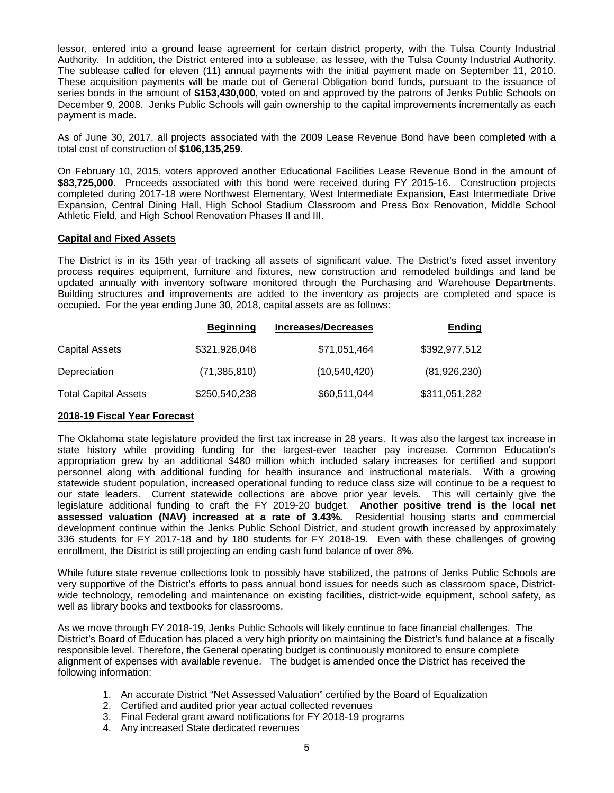lessor, entered into a ground lease agreement for certain district property, with the Tulsa County Industrial Authority. In addition, the District entered into a sublease, as lessee, with the Tulsa County Industrial Authority. The sublease called for eleven (11) annual payments with the initial payment made on September 11, 2010. These acquisition payments will be made out of General Obligation bond funds, pursuant to the issuance of series bonds in the amount of **\$153,430,000**, voted on and approved by the patrons of Jenks Public Schools on December 9, 2008. Jenks Public Schools will gain ownership to the capital improvements incrementally as each payment is made.

As of June 30, 2017, all projects associated with the 2009 Lease Revenue Bond have been completed with a total cost of construction of **\$106,135,259**.

On February 10, 2015, voters approved another Educational Facilities Lease Revenue Bond in the amount of \$83,725,000. Proceeds associated with this bond were received during FY 2015-16. Construction projects completed during 2017-18 were Northwest Elementary, West Intermediate Expansion, East Intermediate Drive Expansion, Central Dining Hall, High School Stadium Classroom and Press Box Renovation, Middle School Athletic Field, and High School Renovation Phases II and III.

#### **Capital and Fixed Assets**

The District is in its 15th year of tracking all assets of significant value. The District's fixed asset inventory process requires equipment, furniture and fixtures, new construction and remodeled buildings and land be updated annually with inventory software monitored through the Purchasing and Warehouse Departments. Building structures and improvements are added to the inventory as projects are completed and space is occupied. For the year ending June 30, 2018, capital assets are as follows:

|                             | <b>Beginning</b> | <b>Increases/Decreases</b> | <b>Ending</b> |  |
|-----------------------------|------------------|----------------------------|---------------|--|
| <b>Capital Assets</b>       | \$321,926,048    | \$71,051,464               | \$392,977,512 |  |
| Depreciation                | (71, 385, 810)   | (10, 540, 420)             | (81,926,230)  |  |
| <b>Total Capital Assets</b> | \$250,540,238    | \$60,511,044               | \$311,051,282 |  |

#### **2018-19 Fiscal Year Forecast**

The Oklahoma state legislature provided the first tax increase in 28 years. It was also the largest tax increase in state history while providing funding for the largest-ever teacher pay increase. Common Education's appropriation grew by an additional \$480 million which included salary increases for certified and support personnel along with additional funding for health insurance and instructional materials. With a growing statewide student population, increased operational funding to reduce class size will continue to be a request to our state leaders. Current statewide collections are above prior year levels. This will certainly give the legislature additional funding to craft the FY 2019-20 budget. **Another positive trend is the local net assessed valuation (NAV) increased at a rate of 3.43%.** Residential housing starts and commercial development continue within the Jenks Public School District, and student growth increased by approximately 336 students for FY 2017-18 and by 180 students for FY 2018-19. Even with these challenges of growing enrollment, the District is still projecting an ending cash fund balance of over 8**%**.

While future state revenue collections look to possibly have stabilized, the patrons of Jenks Public Schools are very supportive of the District's efforts to pass annual bond issues for needs such as classroom space, District wide technology, remodeling and maintenance on existing facilities, district-wide equipment, school safety, as well as library books and textbooks for classrooms.

As we move through FY 2018-19, Jenks Public Schools will likely continue to face financial challenges. The District's Board of Education has placed a very high priority on maintaining the District's fund balance at a fiscally responsible level. Therefore, the General operating budget is continuously monitored to ensure complete alignment of expenses with available revenue. The budget is amended once the District has received the following information:

- 1. An accurate District "Net Assessed Valuation" certified by the Board of Equalization
- 2. Certified and audited prior year actual collected revenues
- 3. Final Federal grant award notifications for FY 2018-19 programs
- 4. Any increased State dedicated revenues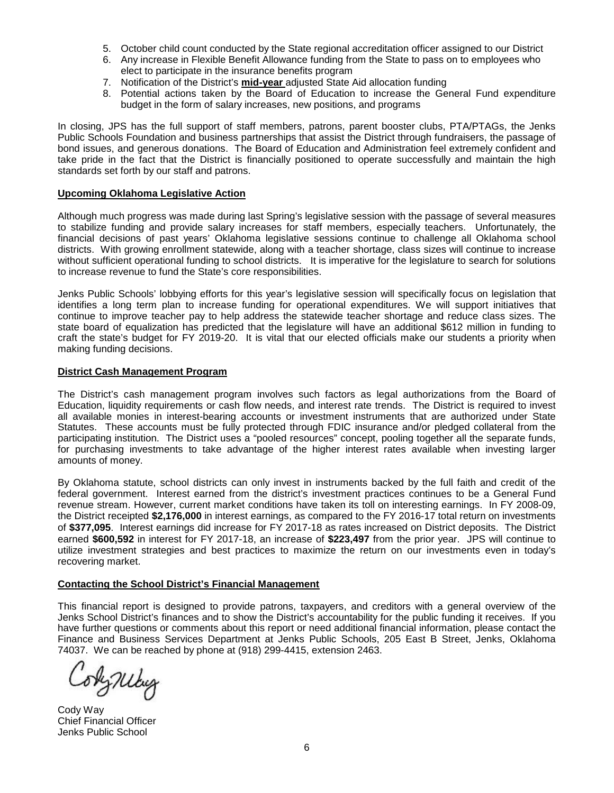- 5. October child count conducted by the State regional accreditation officer assigned to our District
- 6. Any increase in Flexible Benefit Allowance funding from the State to pass on to employees who elect to participate in the insurance benefits program
- 7. Notification of the District's **mid-year** adjusted State Aid allocation funding
- 8. Potential actions taken by the Board of Education to increase the General Fund expenditure budget in the form of salary increases, new positions, and programs

In closing, JPS has the full support of staff members, patrons, parent booster clubs, PTA/PTAGs, the Jenks Public Schools Foundation and business partnerships that assist the District through fundraisers, the passage of bond issues, and generous donations. The Board of Education and Administration feel extremely confident and take pride in the fact that the District is financially positioned to operate successfully and maintain the high standards set forth by our staff and patrons.

#### **Upcoming Oklahoma Legislative Action**

Although much progress was made during last Spring's legislative session with the passage of several measures to stabilize funding and provide salary increases for staff members, especially teachers. Unfortunately, the financial decisions of past years' Oklahoma legislative sessions continue to challenge all Oklahoma school districts. With growing enrollment statewide, along with a teacher shortage, class sizes will continue to increase without sufficient operational funding to school districts. It is imperative for the legislature to search for solutions to increase revenue to fund the State's core responsibilities.

Jenks Public Schools' lobbying efforts for this year's legislative session will specifically focus on legislation that identifies a long term plan to increase funding for operational expenditures. We will support initiatives that continue to improve teacher pay to help address the statewide teacher shortage and reduce class sizes. The state board of equalization has predicted that the legislature will have an additional \$612 million in funding to craft the state's budget for FY 2019-20. It is vital that our elected officials make our students a priority when making funding decisions.

#### **District Cash Management Program**

The District's cash management program involves such factors as legal authorizations from the Board of Education, liquidity requirements or cash flow needs, and interest rate trends. The District is required to invest all available monies in interest-bearing accounts or investment instruments that are authorized under State Statutes. These accounts must be fully protected through FDIC insurance and/or pledged collateral from the participating institution. The District uses a "pooled resources" concept, pooling together all the separate funds, for purchasing investments to take advantage of the higher interest rates available when investing larger amounts of money.

By Oklahoma statute, school districts can only invest in instruments backed by the full faith and credit of the federal government. Interest earned from the district's investment practices continues to be a General Fund revenue stream. However, current market conditions have taken its toll on interesting earnings. In FY 2008-09, the District receipted **\$2,176,000** in interest earnings, as compared to the FY 2016-17 total return on investments of **\$377,095**. Interest earnings did increase for FY 2017-18 as rates increased on District deposits. The District earned **\$600,592** in interest for FY 2017-18, an increase of **\$223,497** from the prior year. JPS will continue to utilize investment strategies and best practices to maximize the return on our investments even in today's recovering market.

#### **Contacting the School District's Financial Management**

This financial report is designed to provide patrons, taxpayers, and creditors with a general overview of the Jenks School District's finances and to show the District's accountability for the public funding it receives. If you have further questions or comments about this report or need additional financial information, please contact the Finance and Business Services Department at Jenks Public Schools, 205 East B Street, Jenks, Oklahoma 74037. We can be reached by phone at (918) 299-4415, extension 2463.

Lyniky

Cody Way Chief Financial Officer Jenks Public School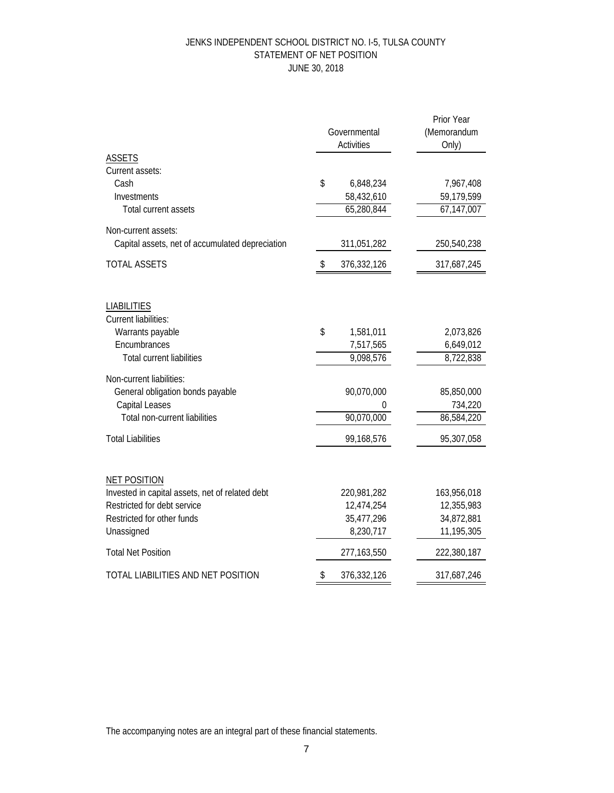# JENKS INDEPENDENT SCHOOL DISTRICT NO. I-5, TULSA COUNTY STATEMENT OF NET POSITION JUNE 30, 2018

|                                                                        |    | Governmental<br><b>Activities</b> | Prior Year<br>(Memorandum<br>Only) |
|------------------------------------------------------------------------|----|-----------------------------------|------------------------------------|
| <b>ASSETS</b>                                                          |    |                                   |                                    |
| Current assets:<br>Cash                                                | \$ |                                   |                                    |
| Investments                                                            |    | 6,848,234                         | 7,967,408                          |
| Total current assets                                                   |    | 58,432,610<br>65,280,844          | 59,179,599<br>67,147,007           |
|                                                                        |    |                                   |                                    |
| Non-current assets:                                                    |    |                                   |                                    |
| Capital assets, net of accumulated depreciation                        |    | 311,051,282                       | 250,540,238                        |
| <b>TOTAL ASSETS</b>                                                    | \$ | 376,332,126                       | 317,687,245                        |
| <b>LIABILITIES</b>                                                     |    |                                   |                                    |
| <b>Current liabilities:</b>                                            |    |                                   |                                    |
| Warrants payable                                                       | \$ | 1,581,011                         | 2,073,826                          |
| Encumbrances                                                           |    | 7,517,565                         | 6,649,012                          |
| <b>Total current liabilities</b>                                       |    | 9,098,576                         | 8,722,838                          |
| Non-current liabilities:                                               |    |                                   |                                    |
| General obligation bonds payable                                       |    | 90,070,000                        | 85,850,000                         |
| <b>Capital Leases</b>                                                  |    | 0                                 | 734,220                            |
| Total non-current liabilities                                          |    | 90,070,000                        | 86,584,220                         |
| <b>Total Liabilities</b>                                               |    | 99,168,576                        | 95,307,058                         |
|                                                                        |    |                                   |                                    |
| <b>NET POSITION</b><br>Invested in capital assets, net of related debt |    | 220,981,282                       | 163,956,018                        |
| Restricted for debt service                                            |    | 12,474,254                        | 12,355,983                         |
| Restricted for other funds                                             |    | 35,477,296                        | 34,872,881                         |
| Unassigned                                                             |    | 8,230,717                         | 11,195,305                         |
| <b>Total Net Position</b>                                              |    | 277,163,550                       | 222,380,187                        |
| TOTAL LIABILITIES AND NET POSITION                                     | \$ | 376,332,126                       | 317,687,246                        |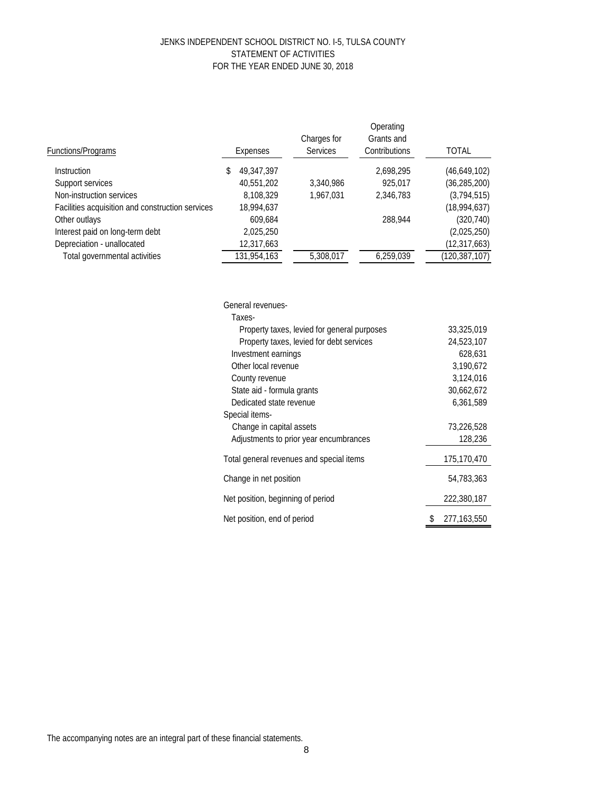#### JENKS INDEPENDENT SCHOOL DISTRICT NO. I-5, TULSA COUNTY STATEMENT OF ACTIVITIES FOR THE YEAR ENDED JUNE 30, 2018

| Functions/Programs                               | Expenses         | Charges for<br><b>Services</b> | Operating<br>Grants and<br>Contributions | <b>TOTAL</b>    |
|--------------------------------------------------|------------------|--------------------------------|------------------------------------------|-----------------|
| <i>Instruction</i>                               | \$<br>49,347,397 |                                | 2,698,295                                | (46,649,102)    |
| Support services                                 | 40,551,202       | 3,340,986                      | 925.017                                  | (36, 285, 200)  |
| Non-instruction services                         | 8,108,329        | 1.967.031                      | 2,346,783                                | (3,794,515)     |
| Facilities acquisition and construction services | 18,994,637       |                                |                                          | (18,994,637)    |
| Other outlays                                    | 609.684          |                                | 288.944                                  | (320, 740)      |
| Interest paid on long-term debt                  | 2,025,250        |                                |                                          | (2,025,250)     |
| Depreciation - unallocated                       | 12,317,663       |                                |                                          | (12, 317, 663)  |
| Total governmental activities                    | 131,954,163      | 5,308,017                      | 6,259,039                                | (120, 387, 107) |
|                                                  |                  |                                |                                          |                 |

| General revenues-                           |               |
|---------------------------------------------|---------------|
| Taxes-                                      |               |
| Property taxes, levied for general purposes | 33,325,019    |
| Property taxes, levied for debt services    | 24,523,107    |
| Investment earnings                         | 628,631       |
| Other local revenue                         | 3,190,672     |
| County revenue                              | 3,124,016     |
| State aid - formula grants                  | 30,662,672    |
| Dedicated state revenue                     | 6,361,589     |
| Special items-                              |               |
| Change in capital assets                    | 73,226,528    |
| Adjustments to prior year encumbrances      | 128,236       |
| Total general revenues and special items    | 175,170,470   |
| Change in net position                      | 54,783,363    |
| Net position, beginning of period           | 222,380,187   |
| Net position, end of period                 | 277, 163, 550 |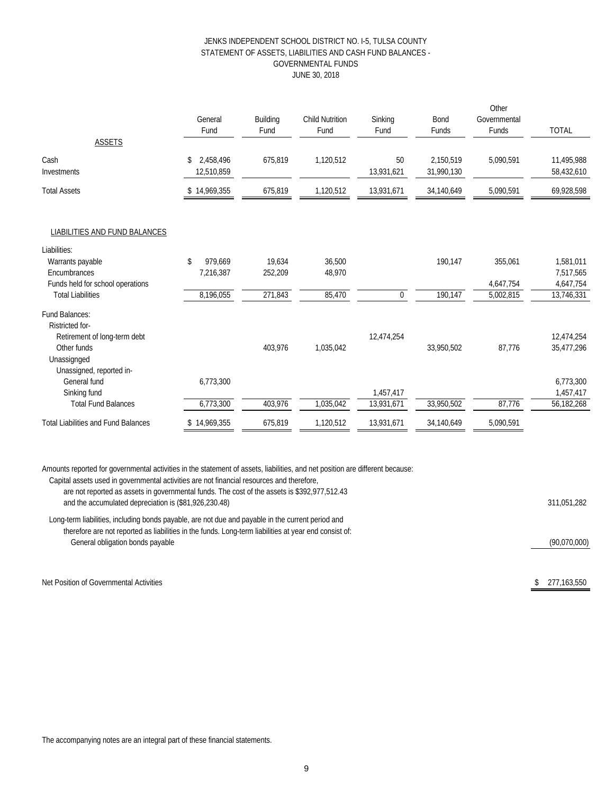#### JENKS INDEPENDENT SCHOOL DISTRICT NO. I-5, TULSA COUNTY STATEMENT OF ASSETS, LIABILITIES AND CASH FUND BALANCES - GOVERNMENTAL FUNDS JUNE 30, 2018

|                 |           |                        |                  |            | Other        |              |
|-----------------|-----------|------------------------|------------------|------------|--------------|--------------|
| General         | Building  | <b>Child Nutrition</b> | Sinking          | Bond       | Governmental |              |
| Fund            | Fund      | Fund                   | Fund             | Funds      | Funds        | <b>TOTAL</b> |
|                 |           |                        |                  |            |              |              |
| 2,458,496<br>\$ | 675,819   | 1,120,512              | 50               | 2,150,519  | 5,090,591    | 11,495,988   |
| 12,510,859      |           |                        | 13,931,621       | 31,990,130 |              | 58,432,610   |
| \$14,969,355    | 675,819   | 1,120,512              | 13,931,671       | 34,140,649 | 5,090,591    | 69,928,598   |
|                 |           |                        |                  |            |              |              |
|                 |           |                        |                  |            |              |              |
|                 |           |                        |                  |            |              |              |
| \$<br>979,669   | 19,634    | 36,500                 |                  | 190,147    | 355,061      | 1,581,011    |
| 7,216,387       | 252,209   | 48,970                 |                  |            |              | 7,517,565    |
|                 |           |                        |                  |            | 4,647,754    | 4,647,754    |
| 8,196,055       | 271,843   | 85,470                 | $\boldsymbol{0}$ | 190,147    | 5,002,815    | 13,746,331   |
|                 |           |                        |                  |            |              |              |
|                 |           |                        |                  |            |              |              |
|                 |           |                        | 12,474,254       |            |              | 12,474,254   |
|                 | 403,976   | 1,035,042              |                  | 33,950,502 | 87,776       | 35,477,296   |
|                 |           |                        |                  |            |              |              |
|                 |           |                        |                  |            |              |              |
|                 |           |                        |                  |            |              | 6,773,300    |
|                 |           |                        |                  |            |              | 1,457,417    |
| 6,773,300       | 403,976   | 1,035,042              | 13,931,671       | 33,950,502 | 87,776       | 56,182,268   |
| \$14,969,355    | 675,819   | 1,120,512              | 13,931,671       | 34,140,649 | 5,090,591    |              |
|                 | 6,773,300 |                        |                  | 1,457,417  |              |              |

Amounts reported for governmental activities in the statement of assets, liabilities, and net position are different because:

| Capital assets used in governmental activities are not financial resources and therefore,<br>are not reported as assets in governmental funds. The cost of the assets is \$392,977,512.43<br>and the accumulated depreciation is (\$81,926,230.48) | 311.051.282  |
|----------------------------------------------------------------------------------------------------------------------------------------------------------------------------------------------------------------------------------------------------|--------------|
| Long-term liabilities, including bonds payable, are not due and payable in the current period and<br>therefore are not reported as liabilities in the funds. Long-term liabilities at year end consist of:<br>General obligation bonds payable     | (90,070,000) |
| Net Position of Governmental Activities                                                                                                                                                                                                            | 277.163.550  |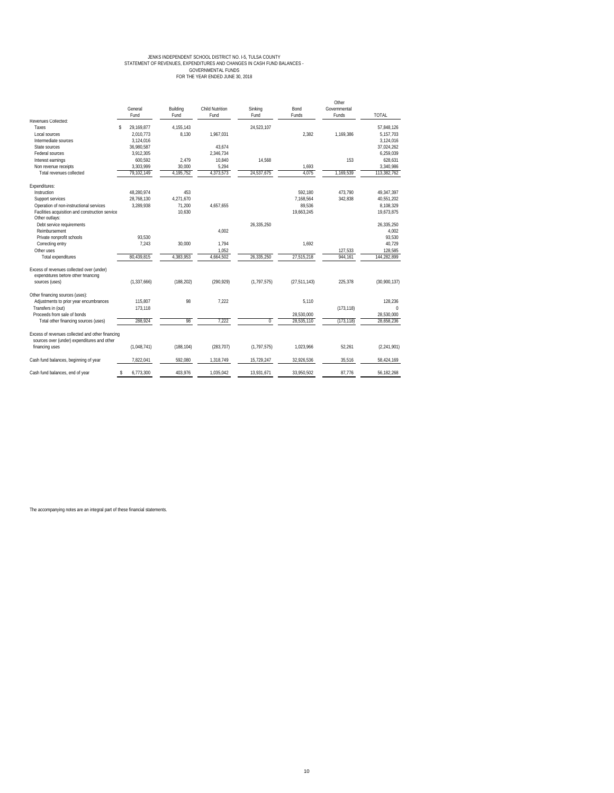# JENKS INDEPENDENT SCHOOL DISTRICT NO. 1-5, TULSA COUNTY<br>STATEMENT OF REVENUES, EXPENDITURES AND CHANGES IN CASH FUND BALANCES -<br>GOVERNMENTAL FUNDS<br>FOR THE YEAR ENDED JUNE 30, 2018

|                                                                                                 | General<br>Fund  | Building<br>Fund | <b>Child Nutrition</b><br>Fund | Sinking<br>Fund | Bond<br>Funds  | Other<br>Governmental<br>Funds | <b>TOTAL</b>  |
|-------------------------------------------------------------------------------------------------|------------------|------------------|--------------------------------|-----------------|----------------|--------------------------------|---------------|
| Revenues Collected:                                                                             |                  |                  |                                |                 |                |                                |               |
| Taxes                                                                                           | \$<br>29.169.877 | 4.155.143        |                                | 24,523,107      |                |                                | 57.848.126    |
| Local sources                                                                                   | 2.010.773        | 8.130            | 1.967.031                      |                 | 2.382          | 1.169.386                      | 5,157,703     |
| Intermediate sources                                                                            | 3,124,016        |                  |                                |                 |                |                                | 3,124,016     |
| State sources                                                                                   | 36,980,587       |                  | 43.674                         |                 |                |                                | 37,024,262    |
| Federal sources                                                                                 | 3.912.305        |                  | 2.346.734                      |                 |                |                                | 6.259.039     |
| Interest earnings                                                                               | 600.592          | 2.479            | 10.840                         | 14.568          |                | 153                            | 628.631       |
| Non revenue receipts                                                                            | 3,303,999        | 30,000           | 5,294                          |                 | 1,693          |                                | 3,340,986     |
| Total revenues collected                                                                        | 79.102.149       | 4,195,752        | 4,373,573                      | 24.537.675      | 4.075          | 1,169,539                      | 113,382,762   |
| Expenditures:                                                                                   |                  |                  |                                |                 |                |                                |               |
| Instruction                                                                                     | 48.280.974       | 453              |                                |                 | 592.180        | 473.790                        | 49,347,397    |
| Support services                                                                                | 28,768,130       | 4.271.670        |                                |                 | 7.168.564      | 342,838                        | 40,551,202    |
| Operation of non-instructional services                                                         | 3.289.938        | 71.200           | 4.657.655                      |                 | 89.536         |                                | 8,108,329     |
| Facilities acquisition and construction service                                                 |                  | 10.630           |                                |                 | 19.663.245     |                                | 19,673,875    |
| Other outlays:                                                                                  |                  |                  |                                |                 |                |                                |               |
| Debt service requirements                                                                       |                  |                  |                                | 26.335.250      |                |                                | 26,335,250    |
| Reimbursement                                                                                   |                  |                  | 4.002                          |                 |                |                                | 4.002         |
| Private nonprofit schools                                                                       | 93.530           |                  |                                |                 |                |                                | 93,530        |
| Correcting entry                                                                                | 7,243            | 30,000           | 1,794                          |                 | 1.692          |                                | 40,729        |
| Other uses                                                                                      |                  |                  | 1,052                          |                 |                | 127,533                        | 128,585       |
| <b>Total expenditures</b>                                                                       | 80.439.815       | 4.383.953        | 4,664,502                      | 26.335.250      | 27,515,218     | 944.161                        | 144,282,899   |
| Excess of revenues collected over (under)<br>expenditures before other financing                |                  |                  |                                |                 |                |                                |               |
| sources (uses)                                                                                  | (1.337.666)      | (188.202)        | (290.929)                      | (1,797,575)     | (27, 511, 143) | 225.378                        | (30,900,137)  |
| Other financing sources (uses):                                                                 |                  |                  |                                |                 |                |                                |               |
| Adjustments to prior year encumbrances                                                          | 115.807          | 98               | 7.222                          |                 | 5.110          |                                | 128.236       |
| Transfers in (out)                                                                              | 173.118          |                  |                                |                 |                | (173, 118)                     | $\Omega$      |
| Proceeds from sale of bonds                                                                     |                  |                  |                                |                 | 28,530,000     |                                | 28,530,000    |
| Total other financing sources (uses)                                                            | 288,924          | 98               | 7,222                          | $\mathbf 0$     | 28,535,110     | (173, 118)                     | 28.658.236    |
| Excess of revenues collected and other financing<br>sources over (under) expenditures and other |                  |                  |                                |                 |                |                                |               |
| financing uses                                                                                  | (1,048,741)      | (188, 104)       | (283, 707)                     | (1, 797, 575)   | 1.023.966      | 52.261                         | (2, 241, 901) |
| Cash fund balances, beginning of year                                                           | 7.822.041        | 592.080          | 1.318.749                      | 15.729.247      | 32.926.536     | 35.516                         | 58,424,169    |
| Cash fund balances, end of year                                                                 | 6,773,300<br>\$  | 403.976          | 1,035,042                      | 13,931,671      | 33.950.502     | 87.776                         | 56.182.268    |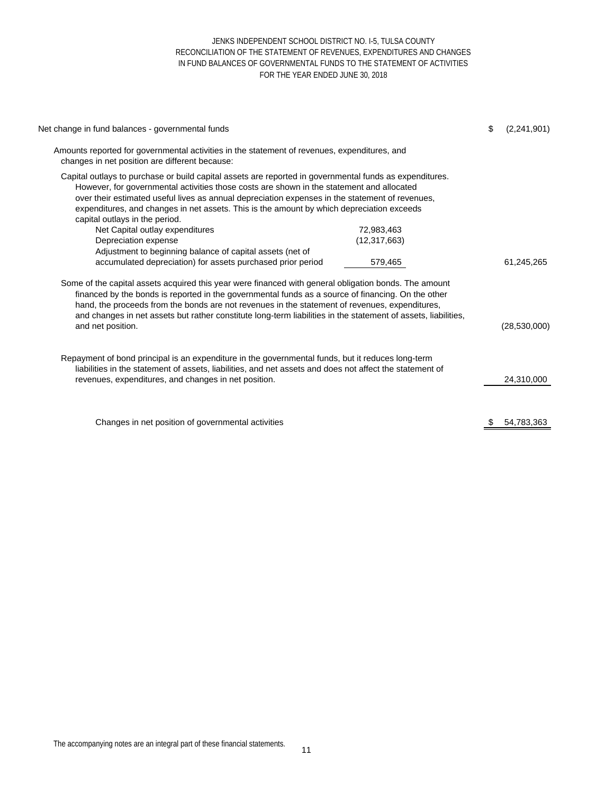#### JENKS INDEPENDENT SCHOOL DISTRICT NO. I-5, TULSA COUNTY RECONCILIATION OF THE STATEMENT OF REVENUES, EXPENDITURES AND CHANGES IN FUND BALANCES OF GOVERNMENTAL FUNDS TO THE STATEMENT OF ACTIVITIES FOR THE YEAR ENDED JUNE 30, 2018

| Net change in fund balances - governmental funds                                                                                                                                                                                                                                                                                                                                                                                                     |                | \$  | (2,241,901)    |
|------------------------------------------------------------------------------------------------------------------------------------------------------------------------------------------------------------------------------------------------------------------------------------------------------------------------------------------------------------------------------------------------------------------------------------------------------|----------------|-----|----------------|
| Amounts reported for governmental activities in the statement of revenues, expenditures, and<br>changes in net position are different because:                                                                                                                                                                                                                                                                                                       |                |     |                |
| Capital outlays to purchase or build capital assets are reported in governmental funds as expenditures.<br>However, for governmental activities those costs are shown in the statement and allocated<br>over their estimated useful lives as annual depreciation expenses in the statement of revenues,<br>expenditures, and changes in net assets. This is the amount by which depreciation exceeds<br>capital outlays in the period.               |                |     |                |
| Net Capital outlay expenditures                                                                                                                                                                                                                                                                                                                                                                                                                      | 72,983,463     |     |                |
| Depreciation expense<br>Adjustment to beginning balance of capital assets (net of                                                                                                                                                                                                                                                                                                                                                                    | (12, 317, 663) |     |                |
| accumulated depreciation) for assets purchased prior period                                                                                                                                                                                                                                                                                                                                                                                          | 579,465        |     | 61,245,265     |
| Some of the capital assets acquired this year were financed with general obligation bonds. The amount<br>financed by the bonds is reported in the governmental funds as a source of financing. On the other<br>hand, the proceeds from the bonds are not revenues in the statement of revenues, expenditures,<br>and changes in net assets but rather constitute long-term liabilities in the statement of assets, liabilities,<br>and net position. |                |     | (28, 530, 000) |
| Repayment of bond principal is an expenditure in the governmental funds, but it reduces long-term<br>liabilities in the statement of assets, liabilities, and net assets and does not affect the statement of<br>revenues, expenditures, and changes in net position.                                                                                                                                                                                |                |     | 24,310,000     |
| Changes in net position of governmental activities                                                                                                                                                                                                                                                                                                                                                                                                   |                | \$. | 54,783,363     |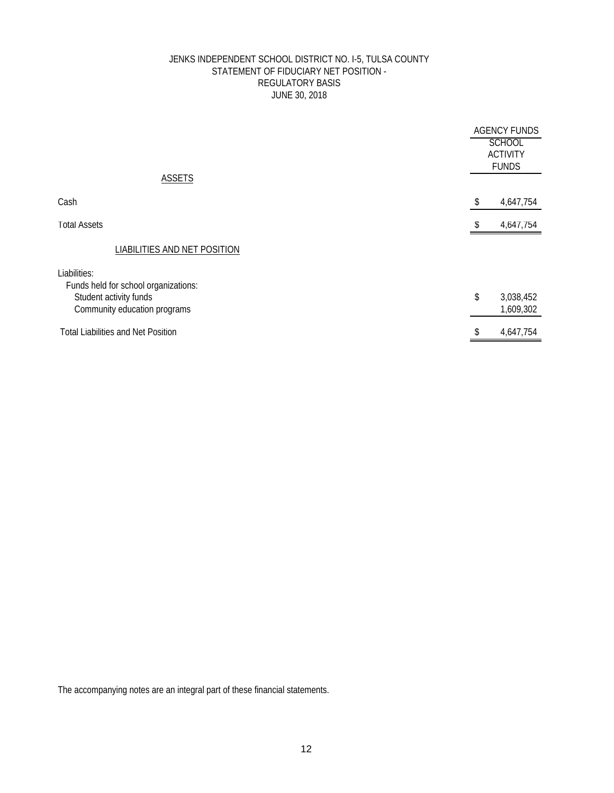## JENKS INDEPENDENT SCHOOL DISTRICT NO. I-5, TULSA COUNTY STATEMENT OF FIDUCIARY NET POSITION - REGULATORY BASIS JUNE 30, 2018

| <b>ASSETS</b>                                                                                                  | <b>AGENCY FUNDS</b><br><b>SCHOOL</b><br><b>ACTIVITY</b><br><b>FUNDS</b> |                        |
|----------------------------------------------------------------------------------------------------------------|-------------------------------------------------------------------------|------------------------|
| Cash                                                                                                           | \$                                                                      | 4,647,754              |
| <b>Total Assets</b>                                                                                            |                                                                         | 4,647,754              |
| LIABILITIES AND NET POSITION                                                                                   |                                                                         |                        |
| Liabilities:<br>Funds held for school organizations:<br>Student activity funds<br>Community education programs | \$                                                                      | 3,038,452<br>1,609,302 |
| <b>Total Liabilities and Net Position</b>                                                                      | \$                                                                      | 4,647,754              |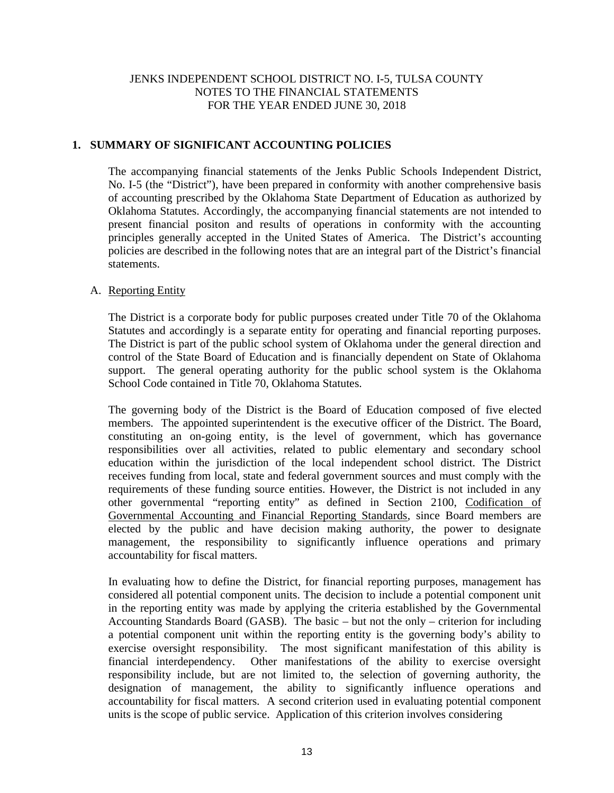## **1. SUMMARY OF SIGNIFICANT ACCOUNTING POLICIES**

The accompanying financial statements of the Jenks Public Schools Independent District, No. I-5 (the "District"), have been prepared in conformity with another comprehensive basis of accounting prescribed by the Oklahoma State Department of Education as authorized by Oklahoma Statutes. Accordingly, the accompanying financial statements are not intended to present financial positon and results of operations in conformity with the accounting principles generally accepted in the United States of America. The District's accounting policies are described in the following notes that are an integral part of the District's financial statements.

# A. Reporting Entity

The District is a corporate body for public purposes created under Title 70 of the Oklahoma Statutes and accordingly is a separate entity for operating and financial reporting purposes. The District is part of the public school system of Oklahoma under the general direction and control of the State Board of Education and is financially dependent on State of Oklahoma support. The general operating authority for the public school system is the Oklahoma School Code contained in Title 70, Oklahoma Statutes.

The governing body of the District is the Board of Education composed of five elected members. The appointed superintendent is the executive officer of the District. The Board, constituting an on-going entity, is the level of government, which has governance responsibilities over all activities, related to public elementary and secondary school education within the jurisdiction of the local independent school district. The District receives funding from local, state and federal government sources and must comply with the requirements of these funding source entities. However, the District is not included in any other governmental "reporting entity" as defined in Section 2100, Codification of Governmental Accounting and Financial Reporting Standards, since Board members are elected by the public and have decision making authority, the power to designate management, the responsibility to significantly influence operations and primary accountability for fiscal matters.

In evaluating how to define the District, for financial reporting purposes, management has considered all potential component units. The decision to include a potential component unit in the reporting entity was made by applying the criteria established by the Governmental Accounting Standards Board (GASB). The basic – but not the only – criterion for including a potential component unit within the reporting entity is the governing body's ability to exercise oversight responsibility. The most significant manifestation of this ability is financial interdependency. Other manifestations of the ability to exercise oversight responsibility include, but are not limited to, the selection of governing authority, the designation of management, the ability to significantly influence operations and accountability for fiscal matters. A second criterion used in evaluating potential component units is the scope of public service. Application of this criterion involves considering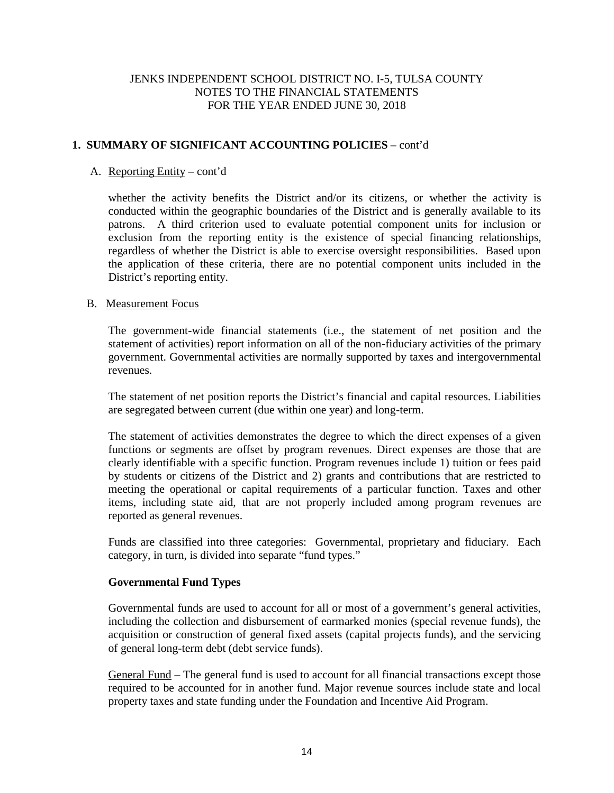# **1. SUMMARY OF SIGNIFICANT ACCOUNTING POLICIES** – cont'd

# A. Reporting Entity – cont'd

whether the activity benefits the District and/or its citizens, or whether the activity is conducted within the geographic boundaries of the District and is generally available to its patrons. A third criterion used to evaluate potential component units for inclusion or exclusion from the reporting entity is the existence of special financing relationships, regardless of whether the District is able to exercise oversight responsibilities. Based upon the application of these criteria, there are no potential component units included in the District's reporting entity.

## B. Measurement Focus

The government-wide financial statements (i.e., the statement of net position and the statement of activities) report information on all of the non-fiduciary activities of the primary government. Governmental activities are normally supported by taxes and intergovernmental revenues.

The statement of net position reports the District's financial and capital resources. Liabilities are segregated between current (due within one year) and long-term.

The statement of activities demonstrates the degree to which the direct expenses of a given functions or segments are offset by program revenues. Direct expenses are those that are clearly identifiable with a specific function. Program revenues include 1) tuition or fees paid by students or citizens of the District and 2) grants and contributions that are restricted to meeting the operational or capital requirements of a particular function. Taxes and other items, including state aid, that are not properly included among program revenues are reported as general revenues.

Funds are classified into three categories: Governmental, proprietary and fiduciary. Each category, in turn, is divided into separate "fund types."

## **Governmental Fund Types**

Governmental funds are used to account for all or most of a government's general activities, including the collection and disbursement of earmarked monies (special revenue funds), the acquisition or construction of general fixed assets (capital projects funds), and the servicing of general long-term debt (debt service funds).

General Fund – The general fund is used to account for all financial transactions except those required to be accounted for in another fund. Major revenue sources include state and local property taxes and state funding under the Foundation and Incentive Aid Program.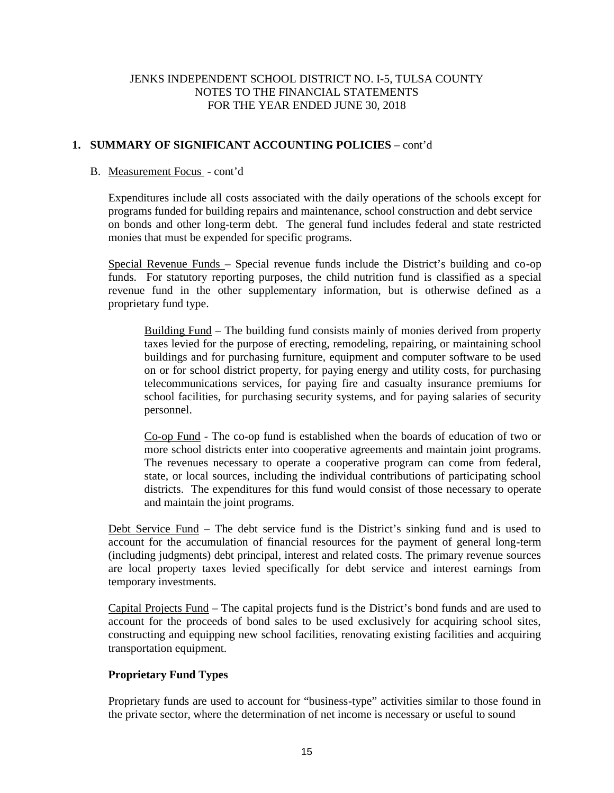# **1. SUMMARY OF SIGNIFICANT ACCOUNTING POLICIES** – cont'd

## B. Measurement Focus - cont'd

Expenditures include all costs associated with the daily operations of the schools except for programs funded for building repairs and maintenance, school construction and debt service on bonds and other long-term debt. The general fund includes federal and state restricted monies that must be expended for specific programs.

Special Revenue Funds – Special revenue funds include the District's building and co-op funds. For statutory reporting purposes, the child nutrition fund is classified as a special revenue fund in the other supplementary information, but is otherwise defined as a proprietary fund type.

Building Fund – The building fund consists mainly of monies derived from property taxes levied for the purpose of erecting, remodeling, repairing, or maintaining school buildings and for purchasing furniture, equipment and computer software to be used on or for school district property, for paying energy and utility costs, for purchasing telecommunications services, for paying fire and casualty insurance premiums for school facilities, for purchasing security systems, and for paying salaries of security personnel.

Co-op Fund - The co-op fund is established when the boards of education of two or more school districts enter into cooperative agreements and maintain joint programs. The revenues necessary to operate a cooperative program can come from federal, state, or local sources, including the individual contributions of participating school districts. The expenditures for this fund would consist of those necessary to operate and maintain the joint programs.

Debt Service Fund – The debt service fund is the District's sinking fund and is used to account for the accumulation of financial resources for the payment of general long-term (including judgments) debt principal, interest and related costs. The primary revenue sources are local property taxes levied specifically for debt service and interest earnings from temporary investments.

Capital Projects Fund – The capital projects fund is the District's bond funds and are used to account for the proceeds of bond sales to be used exclusively for acquiring school sites, constructing and equipping new school facilities, renovating existing facilities and acquiring transportation equipment.

## **Proprietary Fund Types**

Proprietary funds are used to account for "business-type" activities similar to those found in the private sector, where the determination of net income is necessary or useful to sound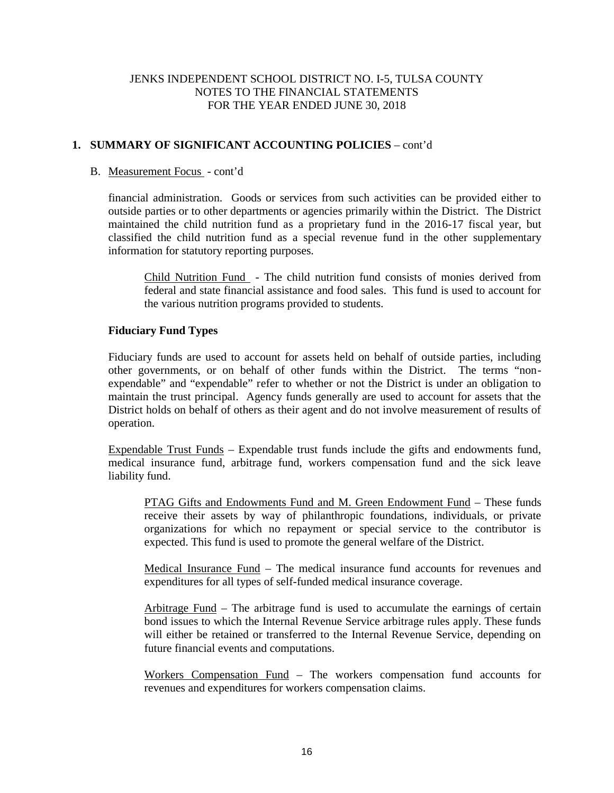# **1. SUMMARY OF SIGNIFICANT ACCOUNTING POLICIES** – cont'd

## B. Measurement Focus - cont'd

financial administration. Goods or services from such activities can be provided either to outside parties or to other departments or agencies primarily within the District. The District maintained the child nutrition fund as a proprietary fund in the 2016-17 fiscal year, but classified the child nutrition fund as a special revenue fund in the other supplementary information for statutory reporting purposes.

Child Nutrition Fund -The child nutrition fund consists of monies derived from federal and state financial assistance and food sales. This fund is used to account for the various nutrition programs provided to students.

## **Fiduciary Fund Types**

Fiduciary funds are used to account for assets held on behalf of outside parties, including other governments, or on behalf of other funds within the District. The terms "non expendable" and "expendable" refer to whether or not the District is under an obligation to maintain the trust principal. Agency funds generally are used to account for assets that the District holds on behalf of others as their agent and do not involve measurement of results of operation.

Expendable Trust Funds – Expendable trust funds include the gifts and endowments fund, medical insurance fund, arbitrage fund, workers compensation fund and the sick leave liability fund.

PTAG Gifts and Endowments Fund and M. Green Endowment Fund – These funds receive their assets by way of philanthropic foundations, individuals, or private organizations for which no repayment or special service to the contributor is expected. This fund is used to promote the general welfare of the District.

Medical Insurance Fund – The medical insurance fund accounts for revenues and expenditures for all types of self-funded medical insurance coverage.

Arbitrage Fund – The arbitrage fund is used to accumulate the earnings of certain bond issues to which the Internal Revenue Service arbitrage rules apply. These funds will either be retained or transferred to the Internal Revenue Service, depending on future financial events and computations.

Workers Compensation Fund – The workers compensation fund accounts for revenues and expenditures for workers compensation claims.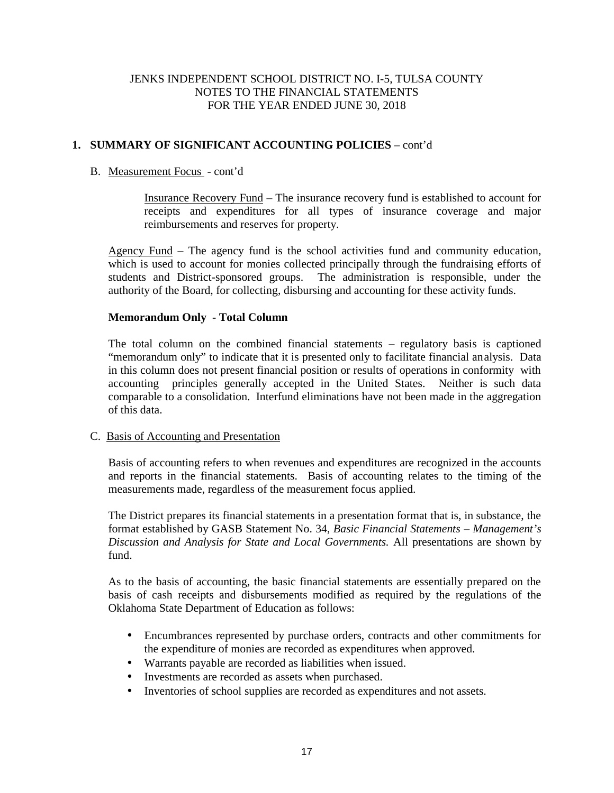# **1. SUMMARY OF SIGNIFICANT ACCOUNTING POLICIES** – cont'd

# B. Measurement Focus - cont'd

Insurance Recovery Fund – The insurance recovery fund is established to account for receipts and expenditures for all types of insurance coverage and major reimbursements and reserves for property.

Agency Fund – The agency fund is the school activities fund and community education, which is used to account for monies collected principally through the fundraising efforts of students and District-sponsored groups. The administration is responsible, under the The administration is responsible, under the authority of the Board, for collecting, disbursing and accounting for these activity funds.

## **Memorandum Only - Total Column**

The total column on the combined financial statements – regulatory basis is captioned "memorandum only" to indicate that it is presented only to facilitate financial analysis. Data in this column does not present financial position or results of operations in conformity with accounting principles generally accepted in the United States. Neither is such data comparable to a consolidation. Interfund eliminations have not been made in the aggregation of this data.

## C. Basis of Accounting and Presentation

Basis of accounting refers to when revenues and expenditures are recognized in the accounts and reports in the financial statements. Basis of accounting relates to the timing of the measurements made, regardless of the measurement focus applied.

The District prepares its financial statements in a presentation format that is, in substance, the format established by GASB Statement No. 34, *Basic Financial Statements – Management's Discussion and Analysis for State and Local Governments.* All presentations are shown by fund.

As to the basis of accounting, the basic financial statements are essentially prepared on the basis of cash receipts and disbursements modified as required by the regulations of the Oklahoma State Department of Education as follows:

- Encumbrances represented by purchase orders, contracts and other commitments for the expenditure of monies are recorded as expenditures when approved.
- Warrants payable are recorded as liabilities when issued.
- Investments are recorded as assets when purchased.
- Inventories of school supplies are recorded as expenditures and not assets.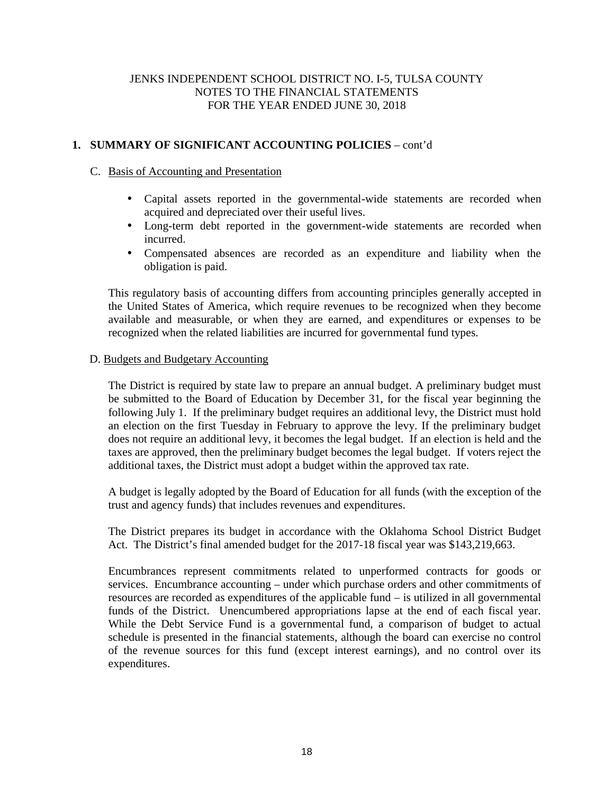# **1. SUMMARY OF SIGNIFICANT ACCOUNTING POLICIES** – cont'd

## C. Basis of Accounting and Presentation

- Capital assets reported in the governmental-wide statements are recorded when acquired and depreciated over their useful lives.
- Long-term debt reported in the government-wide statements are recorded when incurred.
- Compensated absences are recorded as an expenditure and liability when the obligation is paid.

This regulatory basis of accounting differs from accounting principles generally accepted in the United States of America, which require revenues to be recognized when they become available and measurable, or when they are earned, and expenditures or expenses to be recognized when the related liabilities are incurred for governmental fund types.

## D. Budgets and Budgetary Accounting

The District is required by state law to prepare an annual budget. A preliminary budget must be submitted to the Board of Education by December 31, for the fiscal year beginning the following July 1. If the preliminary budget requires an additional levy, the District must hold an election on the first Tuesday in February to approve the levy. If the preliminary budget does not require an additional levy, it becomes the legal budget. If an election is held and the taxes are approved, then the preliminary budget becomes the legal budget. If voters reject the additional taxes, the District must adopt a budget within the approved tax rate.

A budget is legally adopted by the Board of Education for all funds (with the exception of the trust and agency funds) that includes revenues and expenditures.

The District prepares its budget in accordance with the Oklahoma School District Budget Act. The District's final amended budget for the 2017-18 fiscal year was \$143,219,663.

Encumbrances represent commitments related to unperformed contracts for goods or services. Encumbrance accounting – under which purchase orders and other commitments of resources are recorded as expenditures of the applicable fund – is utilized in all governmental funds of the District. Unencumbered appropriations lapse at the end of each fiscal year. While the Debt Service Fund is a governmental fund, a comparison of budget to actual schedule is presented in the financial statements, although the board can exercise no control of the revenue sources for this fund (except interest earnings), and no control over its expenditures.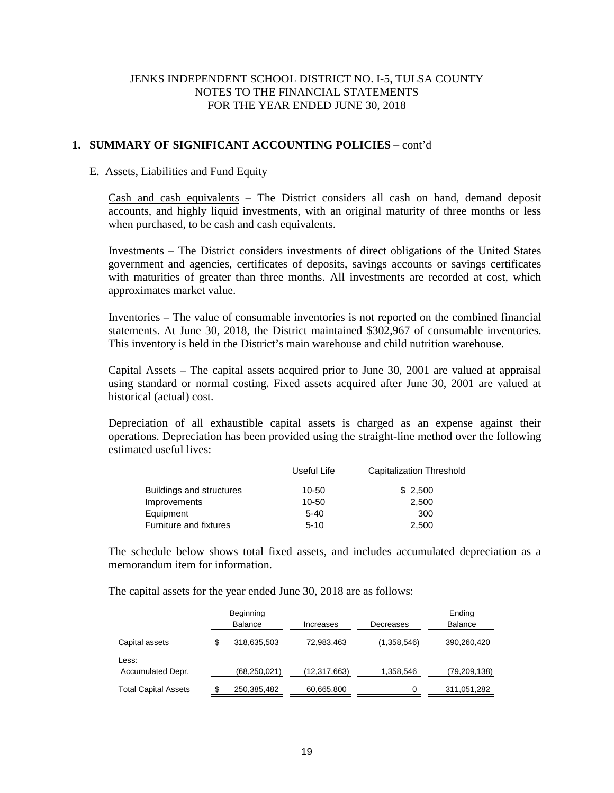# **1. SUMMARY OF SIGNIFICANT ACCOUNTING POLICIES** – cont'd

## E. Assets, Liabilities and Fund Equity

Cash and cash equivalents – The District considers all cash on hand, demand deposit accounts, and highly liquid investments, with an original maturity of three months or less when purchased, to be cash and cash equivalents.

Investments – The District considers investments of direct obligations of the United States government and agencies, certificates of deposits, savings accounts or savings certificates with maturities of greater than three months. All investments are recorded at cost, which approximates market value.

Inventories – The value of consumable inventories is not reported on the combined financial statements. At June 30, 2018, the District maintained \$302,967 of consumable inventories. This inventory is held in the District's main warehouse and child nutrition warehouse.

Capital Assets – The capital assets acquired prior to June 30, 2001 are valued at appraisal using standard or normal costing. Fixed assets acquired after June 30, 2001 are valued at historical (actual) cost.

Depreciation of all exhaustible capital assets is charged as an expense against their operations. Depreciation has been provided using the straight-line method over the following estimated useful lives:

|                               | Useful Life | Capitalization Threshold |  |
|-------------------------------|-------------|--------------------------|--|
| Buildings and structures      | 10-50       | \$2,500                  |  |
| Improvements                  | 10-50       | 2.500                    |  |
| Equipment                     | $5 - 40$    | 300                      |  |
| <b>Furniture and fixtures</b> | $5 - 10$    | 2.500                    |  |

The schedule below shows total fixed assets, and includes accumulated depreciation as a memorandum item for information.

The capital assets for the year ended June 30, 2018 are as follows:

|                             | Beginning<br><b>Balance</b> | Increases    | Decreases   | Ending<br>Balance |
|-----------------------------|-----------------------------|--------------|-------------|-------------------|
| Capital assets              | \$<br>318,635,503           | 72,983,463   | (1,358,546) | 390,260,420       |
| Less:<br>Accumulated Depr.  | (68, 250, 021)              | (12,317,663) | 1,358,546   | (79, 209, 138)    |
| <b>Total Capital Assets</b> | 250,385,482                 | 60,665,800   |             | 311,051,282       |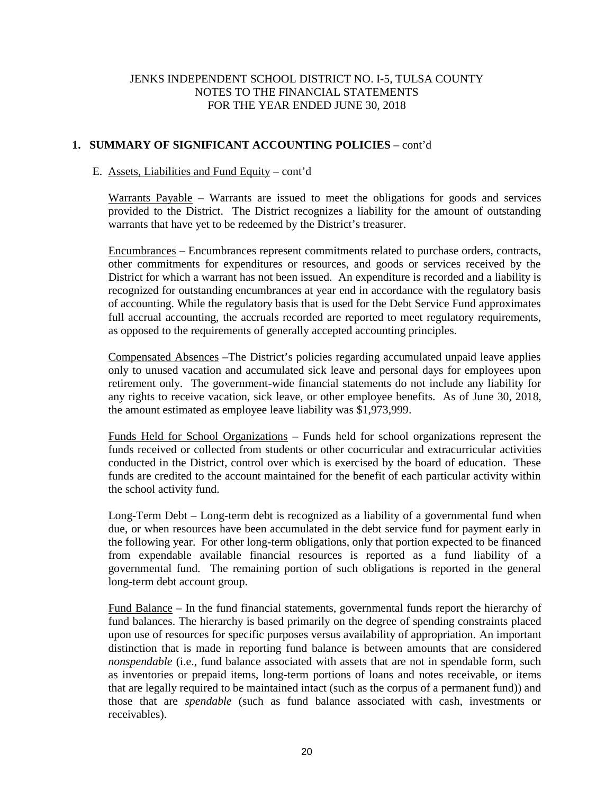# **1. SUMMARY OF SIGNIFICANT ACCOUNTING POLICIES** – cont'd

## E. Assets, Liabilities and Fund Equity – cont'd

Warrants Payable – Warrants are issued to meet the obligations for goods and services provided to the District. The District recognizes a liability for the amount of outstanding warrants that have yet to be redeemed by the District's treasurer.

Encumbrances – Encumbrances represent commitments related to purchase orders, contracts, other commitments for expenditures or resources, and goods or services received by the District for which a warrant has not been issued. An expenditure is recorded and a liability is recognized for outstanding encumbrances at year end in accordance with the regulatory basis of accounting. While the regulatory basis that is used for the Debt Service Fund approximates full accrual accounting, the accruals recorded are reported to meet regulatory requirements, as opposed to the requirements of generally accepted accounting principles.

Compensated Absences –The District's policies regarding accumulated unpaid leave applies only to unused vacation and accumulated sick leave and personal days for employees upon retirement only. The government-wide financial statements do not include any liability for any rights to receive vacation, sick leave, or other employee benefits. As of June 30, 2018, the amount estimated as employee leave liability was \$1,973,999.

Funds Held for School Organizations – Funds held for school organizations represent the funds received or collected from students or other cocurricular and extracurricular activities conducted in the District, control over which is exercised by the board of education. These funds are credited to the account maintained for the benefit of each particular activity within the school activity fund.

Long-Term Debt – Long-term debt is recognized as a liability of a governmental fund when due, or when resources have been accumulated in the debt service fund for payment early in the following year. For other long-term obligations, only that portion expected to be financed from expendable available financial resources is reported as a fund liability of a governmental fund. The remaining portion of such obligations is reported in the general long-term debt account group.

Fund Balance – In the fund financial statements, governmental funds report the hierarchy of fund balances. The hierarchy is based primarily on the degree of spending constraints placed upon use of resources for specific purposes versus availability of appropriation. An important distinction that is made in reporting fund balance is between amounts that are considered *nonspendable* (i.e., fund balance associated with assets that are not in spendable form, such as inventories or prepaid items, long-term portions of loans and notes receivable, or items that are legally required to be maintained intact (such as the corpus of a permanent fund)) and those that are *spendable* (such as fund balance associated with cash, investments or receivables).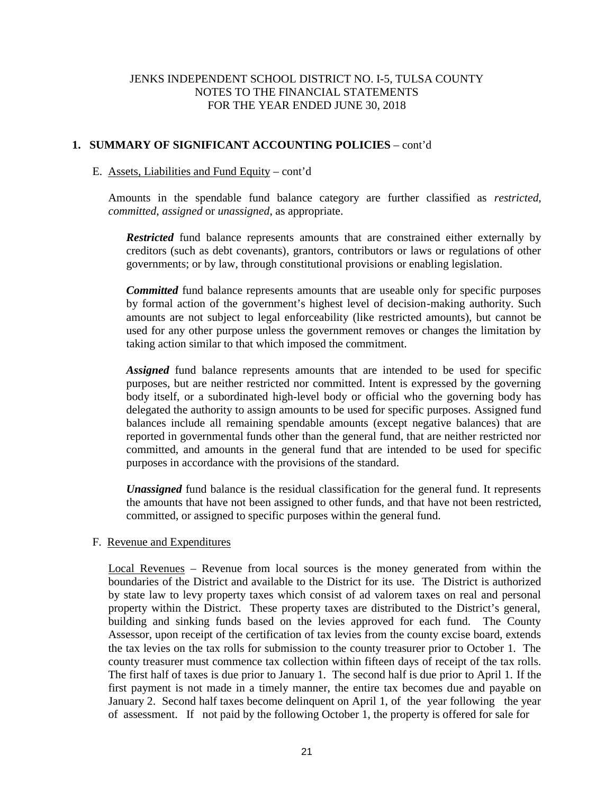## **1. SUMMARY OF SIGNIFICANT ACCOUNTING POLICIES** – cont'd

## E. Assets, Liabilities and Fund Equity – cont'd

Amounts in the spendable fund balance category are further classified as *restricted*, *committed*, *assigned* or *unassigned*, as appropriate.

*Restricted* fund balance represents amounts that are constrained either externally by creditors (such as debt covenants), grantors, contributors or laws or regulations of other governments; or by law, through constitutional provisions or enabling legislation.

*Committed* fund balance represents amounts that are useable only for specific purposes by formal action of the government's highest level of decision-making authority. Such amounts are not subject to legal enforceability (like restricted amounts), but cannot be used for any other purpose unless the government removes or changes the limitation by taking action similar to that which imposed the commitment.

*Assigned* fund balance represents amounts that are intended to be used for specific purposes, but are neither restricted nor committed. Intent is expressed by the governing body itself, or a subordinated high-level body or official who the governing body has delegated the authority to assign amounts to be used for specific purposes. Assigned fund balances include all remaining spendable amounts (except negative balances) that are reported in governmental funds other than the general fund, that are neither restricted nor committed, and amounts in the general fund that are intended to be used for specific purposes in accordance with the provisions of the standard.

*Unassigned* fund balance is the residual classification for the general fund. It represents the amounts that have not been assigned to other funds, and that have not been restricted, committed, or assigned to specific purposes within the general fund.

## F. Revenue and Expenditures

Local Revenues – Revenue from local sources is the money generated from within the boundaries of the District and available to the District for its use. The District is authorized by state law to levy property taxes which consist of ad valorem taxes on real and personal property within the District. These property taxes are distributed to the District's general, building and sinking funds based on the levies approved for each fund. The County Assessor, upon receipt of the certification of tax levies from the county excise board, extends the tax levies on the tax rolls for submission to the county treasurer prior to October 1. The county treasurer must commence tax collection within fifteen days of receipt of the tax rolls. The first half of taxes is due prior to January 1. The second half is due prior to April 1. If the first payment is not made in a timely manner, the entire tax becomes due and payable on January 2. Second half taxes become delinquent on April 1, of the year following the year of assessment. If not paid by the following October 1, the property is offered for sale for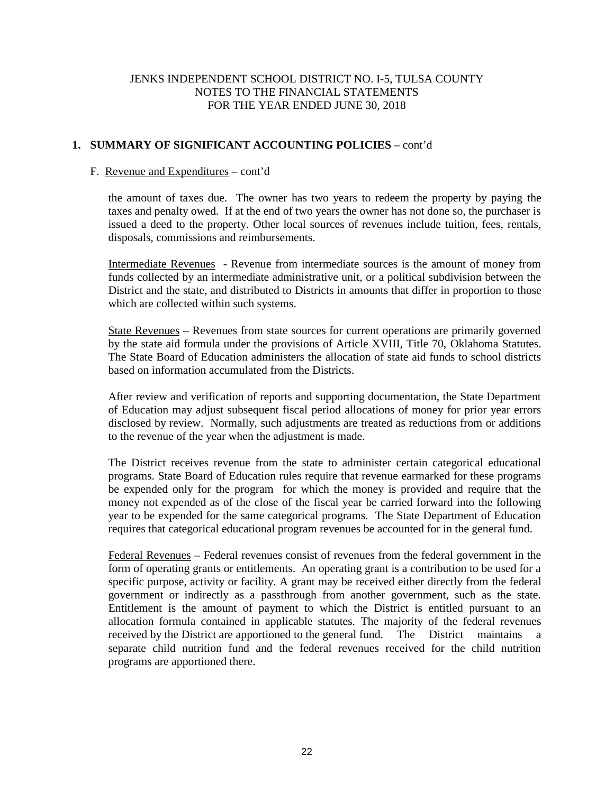# **1. SUMMARY OF SIGNIFICANT ACCOUNTING POLICIES** – cont'd

## F. Revenue and Expenditures – cont'd

the amount of taxes due. The owner has two years to redeem the property by paying the taxes and penalty owed. If at the end of two years the owner has not done so, the purchaser is issued a deed to the property. Other local sources of revenues include tuition, fees, rentals, disposals, commissions and reimbursements.

Intermediate Revenues - Revenue from intermediate sources is the amount of money from funds collected by an intermediate administrative unit, or a political subdivision between the District and the state, and distributed to Districts in amounts that differ in proportion to those which are collected within such systems.

State Revenues – Revenues from state sources for current operations are primarily governed by the state aid formula under the provisions of Article XVIII, Title 70, Oklahoma Statutes. The State Board of Education administers the allocation of state aid funds to school districts based on information accumulated from the Districts.

After review and verification of reports and supporting documentation, the State Department of Education may adjust subsequent fiscal period allocations of money for prior year errors disclosed by review. Normally, such adjustments are treated as reductions from or additions to the revenue of the year when the adjustment is made.

The District receives revenue from the state to administer certain categorical educational programs. State Board of Education rules require that revenue earmarked for these programs be expended only for the program for which the money is provided and require that the money not expended as of the close of the fiscal year be carried forward into the following year to be expended for the same categorical programs. The State Department of Education requires that categorical educational program revenues be accounted for in the general fund.

Federal Revenues – Federal revenues consist of revenues from the federal government in the form of operating grants or entitlements. An operating grant is a contribution to be used for a specific purpose, activity or facility. A grant may be received either directly from the federal government or indirectly as a passthrough from another government, such as the state. Entitlement is the amount of payment to which the District is entitled pursuant to an allocation formula contained in applicable statutes. The majority of the federal revenues received by the District are apportioned to the general fund. The District maintains a separate child nutrition fund and the federal revenues received for the child nutrition programs are apportioned there.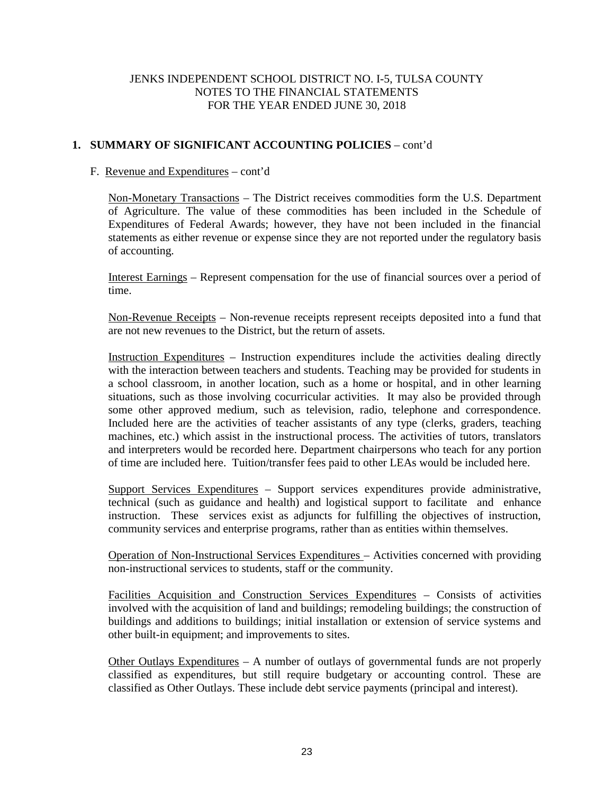# **1. SUMMARY OF SIGNIFICANT ACCOUNTING POLICIES** – cont'd

## F. Revenue and Expenditures – cont'd

Non-Monetary Transactions – The District receives commodities form the U.S. Department of Agriculture. The value of these commodities has been included in the Schedule of Expenditures of Federal Awards; however, they have not been included in the financial statements as either revenue or expense since they are not reported under the regulatory basis of accounting.

Interest Earnings – Represent compensation for the use of financial sources over a period of time.

Non-Revenue Receipts – Non-revenue receipts represent receipts deposited into a fund that are not new revenues to the District, but the return of assets.

Instruction Expenditures – Instruction expenditures include the activities dealing directly with the interaction between teachers and students. Teaching may be provided for students in a school classroom, in another location, such as a home or hospital, and in other learning situations, such as those involving cocurricular activities. It may also be provided through some other approved medium, such as television, radio, telephone and correspondence. Included here are the activities of teacher assistants of any type (clerks, graders, teaching machines, etc.) which assist in the instructional process. The activities of tutors, translators and interpreters would be recorded here. Department chairpersons who teach for any portion of time are included here. Tuition/transfer fees paid to other LEAs would be included here.

Support Services Expenditures – Support services expenditures provide administrative, technical (such as guidance and health) and logistical support to facilitate and enhance instruction. These services exist as adjuncts for fulfilling the objectives of instruction, community services and enterprise programs, rather than as entities within themselves.

Operation of Non-Instructional Services Expenditures – Activities concerned with providing non-instructional services to students, staff or the community.

Facilities Acquisition and Construction Services Expenditures – Consists of activities involved with the acquisition of land and buildings; remodeling buildings; the construction of buildings and additions to buildings; initial installation or extension of service systems and other built-in equipment; and improvements to sites.

Other Outlays Expenditures – A number of outlays of governmental funds are not properly classified as expenditures, but still require budgetary or accounting control. These are classified as Other Outlays. These include debt service payments (principal and interest).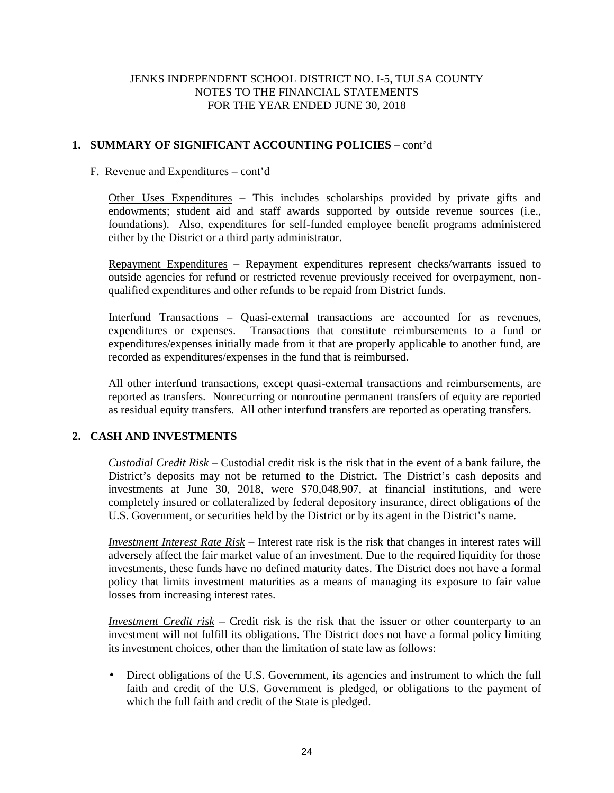# **1. SUMMARY OF SIGNIFICANT ACCOUNTING POLICIES** – cont'd

## F. Revenue and Expenditures – cont'd

Other Uses Expenditures – This includes scholarships provided by private gifts and endowments; student aid and staff awards supported by outside revenue sources (i.e., foundations). Also, expenditures for self-funded employee benefit programs administered either by the District or a third party administrator.

Repayment Expenditures – Repayment expenditures represent checks/warrants issued to outside agencies for refund or restricted revenue previously received for overpayment, non qualified expenditures and other refunds to be repaid from District funds.

Interfund Transactions – Quasi-external transactions are accounted for as revenues, expenditures or expenses. Transactions that constitute reimbursements to a fund or expenditures/expenses initially made from it that are properly applicable to another fund, are recorded as expenditures/expenses in the fund that is reimbursed.

All other interfund transactions, except quasi-external transactions and reimbursements, are reported as transfers. Nonrecurring or nonroutine permanent transfers of equity are reported as residual equity transfers. All other interfund transfers are reported as operating transfers.

# **2. CASH AND INVESTMENTS**

*Custodial Credit Risk* – Custodial credit risk is the risk that in the event of a bank failure, the District's deposits may not be returned to the District. The District's cash deposits and investments at June 30, 2018, were \$70,048,907, at financial institutions, and were completely insured or collateralized by federal depository insurance, direct obligations of the U.S. Government, or securities held by the District or by its agent in the District's name.

*Investment Interest Rate Risk* – Interest rate risk is the risk that changes in interest rates will adversely affect the fair market value of an investment. Due to the required liquidity for those investments, these funds have no defined maturity dates. The District does not have a formal policy that limits investment maturities as a means of managing its exposure to fair value losses from increasing interest rates.

*Investment Credit risk* – Credit risk is the risk that the issuer or other counterparty to an investment will not fulfill its obligations. The District does not have a formal policy limiting its investment choices, other than the limitation of state law as follows:

 Direct obligations of the U.S. Government, its agencies and instrument to which the full faith and credit of the U.S. Government is pledged, or obligations to the payment of which the full faith and credit of the State is pledged.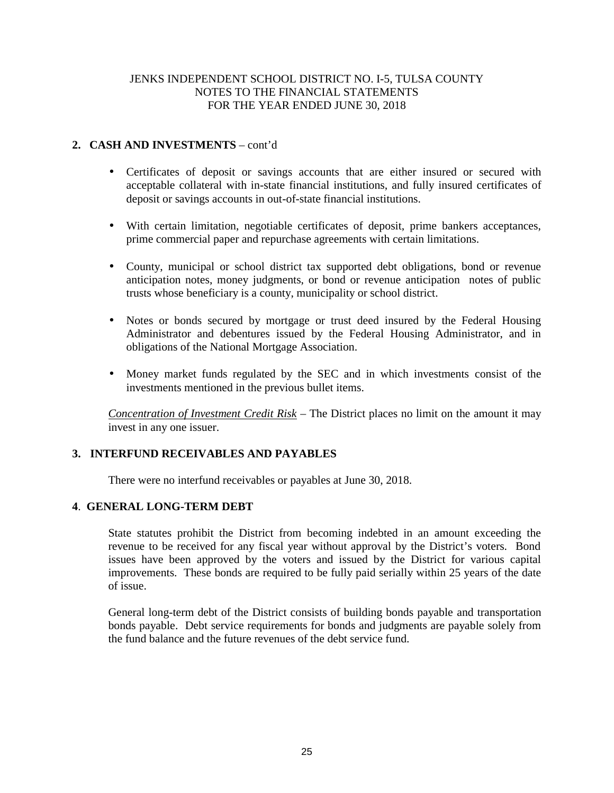# **2. CASH AND INVESTMENTS** – cont'd

- Certificates of deposit or savings accounts that are either insured or secured with acceptable collateral with in-state financial institutions, and fully insured certificates of deposit or savings accounts in out-of-state financial institutions.
- With certain limitation, negotiable certificates of deposit, prime bankers acceptances, prime commercial paper and repurchase agreements with certain limitations.
- County, municipal or school district tax supported debt obligations, bond or revenue anticipation notes, money judgments, or bond or revenue anticipation notes of public trusts whose beneficiary is a county, municipality or school district.
- Notes or bonds secured by mortgage or trust deed insured by the Federal Housing Administrator and debentures issued by the Federal Housing Administrator, and in obligations of the National Mortgage Association.
- Money market funds regulated by the SEC and in which investments consist of the investments mentioned in the previous bullet items.

*Concentration of Investment Credit Risk* – The District places no limit on the amount it may invest in any one issuer.

# **3. INTERFUND RECEIVABLES AND PAYABLES**

There were no interfund receivables or payables at June 30, 2018.

## **4**. **GENERAL LONG-TERM DEBT**

State statutes prohibit the District from becoming indebted in an amount exceeding the revenue to be received for any fiscal year without approval by the District's voters. Bond issues have been approved by the voters and issued by the District for various capital improvements. These bonds are required to be fully paid serially within 25 years of the date of issue.

General long-term debt of the District consists of building bonds payable and transportation bonds payable. Debt service requirements for bonds and judgments are payable solely from the fund balance and the future revenues of the debt service fund.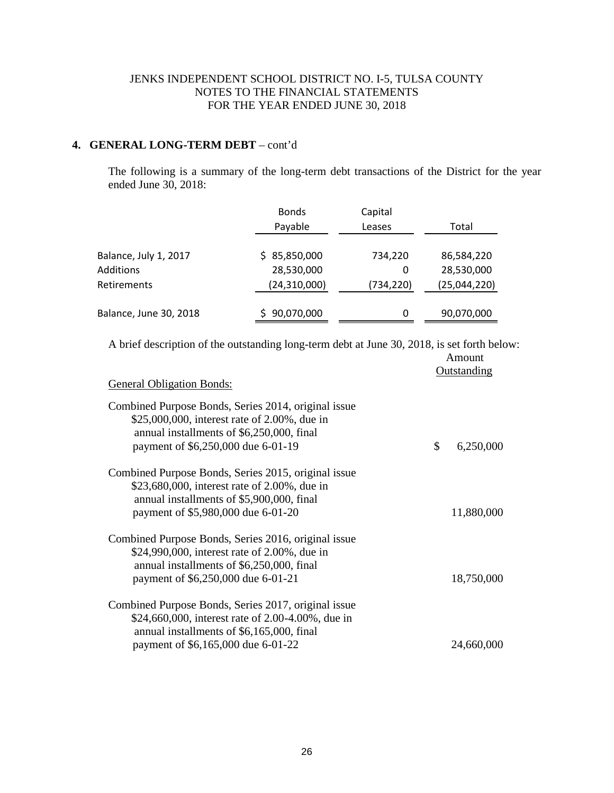# **4. GENERAL LONG-TERM DEBT** – cont'd

The following is a summary of the long-term debt transactions of the District for the year ended June 30, 2018:

|                        | <b>Bonds</b>   | Capital    |              |
|------------------------|----------------|------------|--------------|
|                        | Payable        | Leases     | Total        |
| Balance, July 1, 2017  | \$85,850,000   | 734,220    | 86,584,220   |
| <b>Additions</b>       | 28,530,000     | 0          | 28,530,000   |
| <b>Retirements</b>     | (24, 310, 000) | (734, 220) | (25,044,220) |
| Balance, June 30, 2018 | 90,070,000     | 0          | 90,070,000   |

A brief description of the outstanding long-term debt at June 30, 2018, is set forth below: Amount

|                                                                                                                                                                                             | Outstanding     |
|---------------------------------------------------------------------------------------------------------------------------------------------------------------------------------------------|-----------------|
| <b>General Obligation Bonds:</b>                                                                                                                                                            |                 |
| Combined Purpose Bonds, Series 2014, original issue<br>\$25,000,000, interest rate of 2.00%, due in<br>annual installments of \$6,250,000, final<br>payment of \$6,250,000 due 6-01-19      | \$<br>6,250,000 |
| Combined Purpose Bonds, Series 2015, original issue<br>\$23,680,000, interest rate of 2.00%, due in<br>annual installments of \$5,900,000, final<br>payment of \$5,980,000 due 6-01-20      | 11,880,000      |
| Combined Purpose Bonds, Series 2016, original issue<br>\$24,990,000, interest rate of 2.00%, due in<br>annual installments of \$6,250,000, final<br>payment of \$6,250,000 due 6-01-21      | 18,750,000      |
| Combined Purpose Bonds, Series 2017, original issue<br>\$24,660,000, interest rate of 2.00-4.00%, due in<br>annual installments of \$6,165,000, final<br>payment of \$6,165,000 due 6-01-22 | 24,660,000      |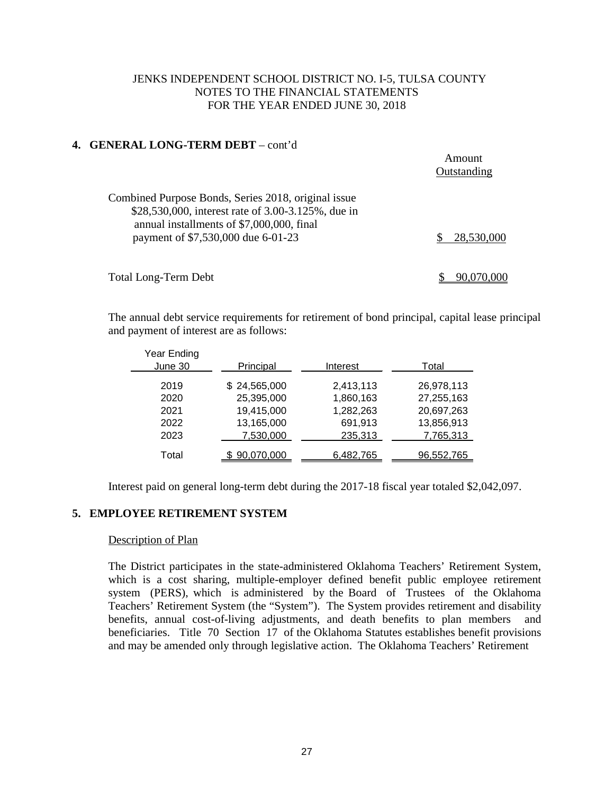## **4. GENERAL LONG-TERM DEBT** – cont'd

|                                                                                                                                                                                              | Amount<br>Outstanding |
|----------------------------------------------------------------------------------------------------------------------------------------------------------------------------------------------|-----------------------|
| Combined Purpose Bonds, Series 2018, original issue<br>\$28,530,000, interest rate of 3.00-3.125%, due in<br>annual installments of \$7,000,000, final<br>payment of \$7,530,000 due 6-01-23 | 28,530,000            |
| <b>Total Long-Term Debt</b>                                                                                                                                                                  |                       |

The annual debt service requirements for retirement of bond principal, capital lease principal and payment of interest are as follows:

| Year Ending<br>June 30 | Principal    | Interest  | Total      |
|------------------------|--------------|-----------|------------|
| 2019                   | \$24,565,000 | 2,413,113 | 26,978,113 |
| 2020                   | 25,395,000   | 1,860,163 | 27,255,163 |
| 2021                   | 19,415,000   | 1,282,263 | 20,697,263 |
| 2022                   | 13,165,000   | 691,913   | 13,856,913 |
| 2023                   | 7,530,000    | 235,313   | 7,765,313  |
| Total                  | \$90,070,000 | 6,482,765 | 96,552,765 |

Interest paid on general long-term debt during the 2017-18 fiscal year totaled \$2,042,097.

## **5. EMPLOYEE RETIREMENT SYSTEM**

## Description of Plan

The District participates in the state-administered Oklahoma Teachers' Retirement System, which is a cost sharing, multiple-employer defined benefit public employee retirement system (PERS), which is administered by the Board of Trustees of the Oklahoma Teachers' Retirement System (the "System"). The System provides retirement and disability benefits, annual cost-of-living adjustments, and death benefits to plan members and beneficiaries. Title 70 Section 17 of the Oklahoma Statutes establishes benefit provisions and may be amended only through legislative action. The Oklahoma Teachers' Retirement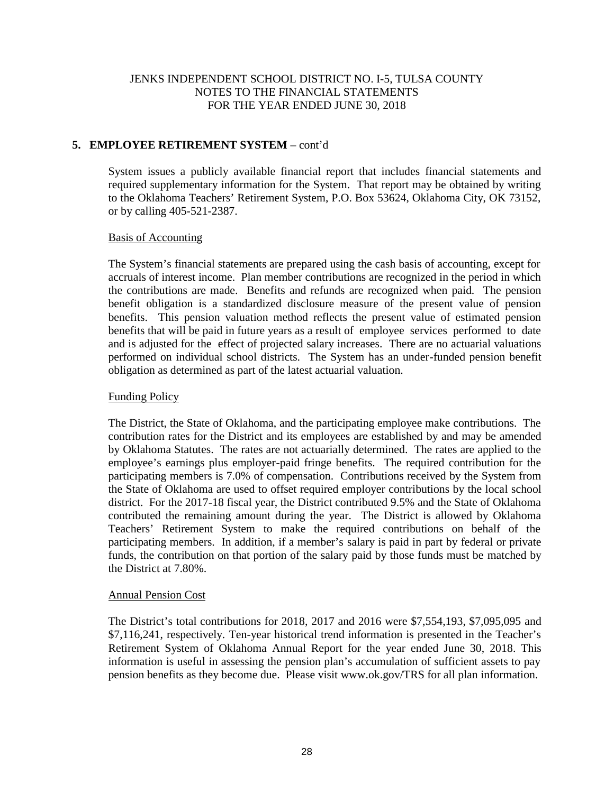# **5. EMPLOYEE RETIREMENT SYSTEM** – cont'd

System issues a publicly available financial report that includes financial statements and required supplementary information for the System. That report may be obtained by writing to the Oklahoma Teachers' Retirement System, P.O. Box 53624, Oklahoma City, OK 73152, or by calling 405-521-2387.

## Basis of Accounting

The System's financial statements are prepared using the cash basis of accounting, except for accruals of interest income. Plan member contributions are recognized in the period in which the contributions are made. Benefits and refunds are recognized when paid. The pension benefit obligation is a standardized disclosure measure of the present value of pension benefits. This pension valuation method reflects the present value of estimated pension benefits that will be paid in future years as a result of employee services performed to date and is adjusted for the effect of projected salary increases. There are no actuarial valuations performed on individual school districts. The System has an under-funded pension benefit obligation as determined as part of the latest actuarial valuation.

## Funding Policy

The District, the State of Oklahoma, and the participating employee make contributions. The contribution rates for the District and its employees are established by and may be amended by Oklahoma Statutes. The rates are not actuarially determined. The rates are applied to the employee's earnings plus employer-paid fringe benefits. The required contribution for the participating members is 7.0% of compensation. Contributions received by the System from the State of Oklahoma are used to offset required employer contributions by the local school district. For the 2017-18 fiscal year, the District contributed 9.5% and the State of Oklahoma contributed the remaining amount during the year. The District is allowed by Oklahoma Teachers' Retirement System to make the required contributions on behalf of the participating members. In addition, if a member's salary is paid in part by federal or private funds, the contribution on that portion of the salary paid by those funds must be matched by the District at 7.80%.

## Annual Pension Cost

The District's total contributions for 2018, 2017 and 2016 were \$7,554,193, \$7,095,095 and \$7,116,241, respectively. Ten-year historical trend information is presented in the Teacher's Retirement System of Oklahoma Annual Report for the year ended June 30, 2018. This information is useful in assessing the pension plan's accumulation of sufficient assets to pay pension benefits as they become due. Please visit www.ok.gov/TRS for all plan information.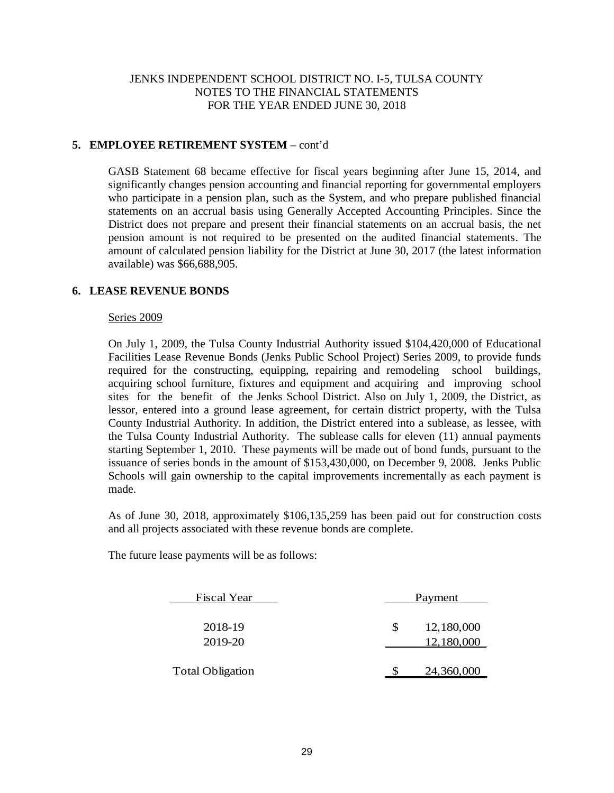# **5. EMPLOYEE RETIREMENT SYSTEM** – cont'd

GASB Statement 68 became effective for fiscal years beginning after June 15, 2014, and significantly changes pension accounting and financial reporting for governmental employers who participate in a pension plan, such as the System, and who prepare published financial statements on an accrual basis using Generally Accepted Accounting Principles. Since the District does not prepare and present their financial statements on an accrual basis, the net pension amount is not required to be presented on the audited financial statements. The amount of calculated pension liability for the District at June 30, 2017 (the latest information available) was \$66,688,905.

# **6. LEASE REVENUE BONDS**

#### Series 2009

On July 1, 2009, the Tulsa County Industrial Authority issued \$104,420,000 of Educational Facilities Lease Revenue Bonds (Jenks Public School Project) Series 2009, to provide funds required for the constructing, equipping, repairing and remodeling school buildings, acquiring school furniture, fixtures and equipment and acquiring and improving school sites for the benefit of the Jenks School District. Also on July 1, 2009, the District, as lessor, entered into a ground lease agreement, for certain district property, with the Tulsa County Industrial Authority. In addition, the District entered into a sublease, as lessee, with the Tulsa County Industrial Authority. The sublease calls for eleven (11) annual payments starting September 1, 2010. These payments will be made out of bond funds, pursuant to the issuance of series bonds in the amount of \$153,430,000, on December 9, 2008. Jenks Public Schools will gain ownership to the capital improvements incrementally as each payment is made.

As of June 30, 2018, approximately \$106,135,259 has been paid out for construction costs and all projects associated with these revenue bonds are complete.

The future lease payments will be as follows:

| <b>Fiscal Year</b>                 |   | Payment                  |  |  |
|------------------------------------|---|--------------------------|--|--|
| 2018-19                            | S | 12,180,000               |  |  |
| 2019-20<br><b>Total Obligation</b> |   | 12,180,000<br>24,360,000 |  |  |
|                                    |   |                          |  |  |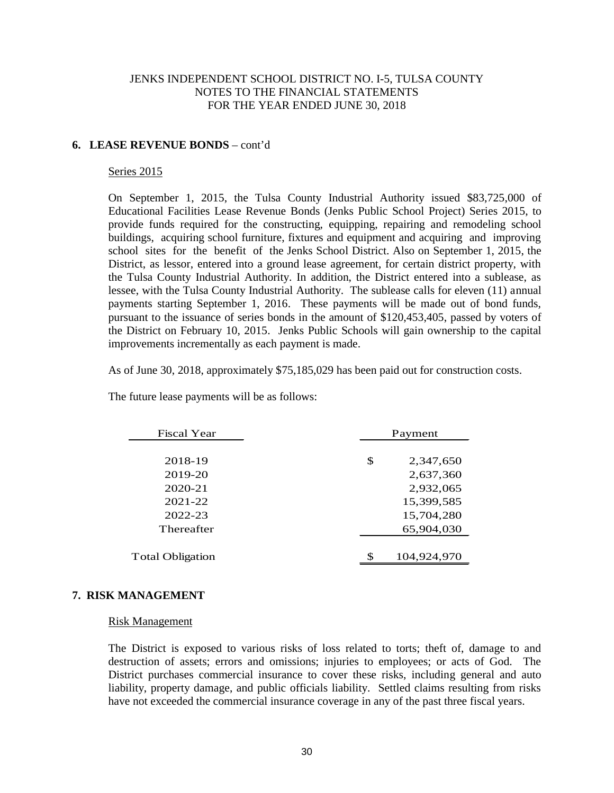## **6. LEASE REVENUE BONDS** – cont'd

#### Series 2015

On September 1, 2015, the Tulsa County Industrial Authority issued \$83,725,000 of Educational Facilities Lease Revenue Bonds (Jenks Public School Project) Series 2015, to provide funds required for the constructing, equipping, repairing and remodeling school buildings, acquiring school furniture, fixtures and equipment and acquiring and improving school sites for the benefit of the Jenks School District. Also on September 1, 2015, the District, as lessor, entered into a ground lease agreement, for certain district property, with the Tulsa County Industrial Authority. In addition, the District entered into a sublease, as lessee, with the Tulsa County Industrial Authority. The sublease calls for eleven (11) annual payments starting September 1, 2016. These payments will be made out of bond funds, pursuant to the issuance of series bonds in the amount of \$120,453,405, passed by voters of the District on February 10, 2015. Jenks Public Schools will gain ownership to the capital improvements incrementally as each payment is made.

As of June 30, 2018, approximately \$75,185,029 has been paid out for construction costs.

The future lease payments will be as follows:

| <b>Fiscal Year</b>      | Payment |             |  |
|-------------------------|---------|-------------|--|
|                         |         |             |  |
| 2018-19                 | \$      | 2,347,650   |  |
| 2019-20                 |         | 2,637,360   |  |
| 2020-21                 |         | 2,932,065   |  |
| 2021-22                 |         | 15,399,585  |  |
| 2022-23                 |         | 15,704,280  |  |
| Thereafter              |         | 65,904,030  |  |
|                         |         |             |  |
| <b>Total Obligation</b> |         | 104,924,970 |  |
|                         |         |             |  |

## **7. RISK MANAGEMENT**

#### Risk Management

The District is exposed to various risks of loss related to torts; theft of, damage to and destruction of assets; errors and omissions; injuries to employees; or acts of God. The District purchases commercial insurance to cover these risks, including general and auto liability, property damage, and public officials liability. Settled claims resulting from risks have not exceeded the commercial insurance coverage in any of the past three fiscal years.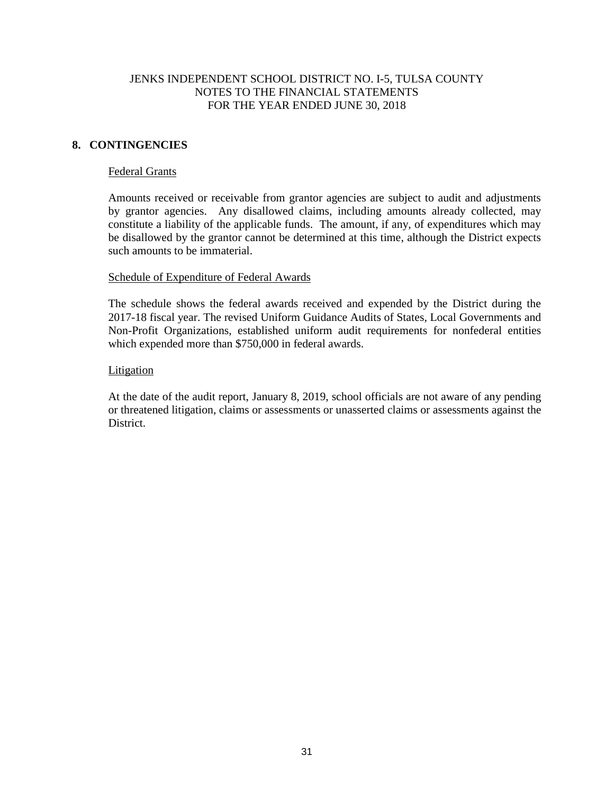# **8. CONTINGENCIES**

## Federal Grants

Amounts received or receivable from grantor agencies are subject to audit and adjustments by grantor agencies. Any disallowed claims, including amounts already collected, may constitute a liability of the applicable funds. The amount, if any, of expenditures which may be disallowed by the grantor cannot be determined at this time, although the District expects such amounts to be immaterial.

#### Schedule of Expenditure of Federal Awards

The schedule shows the federal awards received and expended by the District during the 2017-18 fiscal year. The revised Uniform Guidance Audits of States, Local Governments and Non-Profit Organizations, established uniform audit requirements for nonfederal entities which expended more than \$750,000 in federal awards.

#### Litigation

At the date of the audit report, January 8, 2019, school officials are not aware of any pending or threatened litigation, claims or assessments or unasserted claims or assessments against the **District**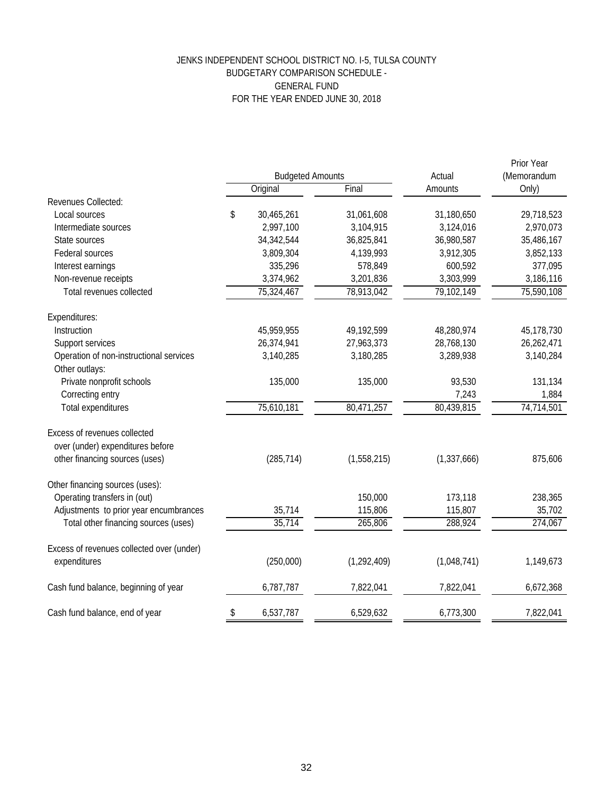# JENKS INDEPENDENT SCHOOL DISTRICT NO. I-5, TULSA COUNTY BUDGETARY COMPARISON SCHEDULE - GENERAL FUND FOR THE YEAR ENDED JUNE 30, 2018

|                                           | <b>Budgeted Amounts</b> |              |               | Actual        | Prior Year<br>(Memorandum |  |
|-------------------------------------------|-------------------------|--------------|---------------|---------------|---------------------------|--|
|                                           |                         | Original     | Final         | Amounts       | Only)                     |  |
| Revenues Collected:                       |                         |              |               |               |                           |  |
| Local sources                             | \$                      | 30,465,261   | 31,061,608    | 31,180,650    | 29,718,523                |  |
| Intermediate sources                      |                         | 2,997,100    | 3,104,915     | 3,124,016     | 2,970,073                 |  |
| State sources                             |                         | 34, 342, 544 | 36,825,841    | 36,980,587    | 35,486,167                |  |
| <b>Federal sources</b>                    |                         | 3,809,304    | 4,139,993     | 3,912,305     | 3,852,133                 |  |
| Interest earnings                         |                         | 335,296      | 578,849       | 600,592       | 377,095                   |  |
| Non-revenue receipts                      |                         | 3,374,962    | 3,201,836     | 3,303,999     | 3,186,116                 |  |
| Total revenues collected                  |                         | 75,324,467   | 78,913,042    | 79,102,149    | 75,590,108                |  |
| Expenditures:                             |                         |              |               |               |                           |  |
| Instruction                               |                         | 45,959,955   | 49,192,599    | 48,280,974    | 45,178,730                |  |
| Support services                          |                         | 26,374,941   | 27,963,373    | 28,768,130    | 26,262,471                |  |
| Operation of non-instructional services   |                         | 3,140,285    | 3,180,285     | 3,289,938     | 3,140,284                 |  |
| Other outlays:                            |                         |              |               |               |                           |  |
| Private nonprofit schools                 |                         | 135,000      | 135,000       | 93,530        | 131,134                   |  |
| Correcting entry                          |                         |              |               | 7,243         | 1,884                     |  |
| <b>Total expenditures</b>                 |                         | 75,610,181   | 80,471,257    | 80,439,815    | 74,714,501                |  |
| Excess of revenues collected              |                         |              |               |               |                           |  |
| over (under) expenditures before          |                         |              |               |               |                           |  |
| other financing sources (uses)            |                         | (285, 714)   | (1,558,215)   | (1, 337, 666) | 875,606                   |  |
| Other financing sources (uses):           |                         |              |               |               |                           |  |
| Operating transfers in (out)              |                         |              | 150,000       | 173,118       | 238,365                   |  |
| Adjustments to prior year encumbrances    |                         | 35,714       | 115,806       | 115,807       | 35,702                    |  |
| Total other financing sources (uses)      |                         | 35,714       | 265,806       | 288,924       | 274,067                   |  |
| Excess of revenues collected over (under) |                         |              |               |               |                           |  |
| expenditures                              |                         | (250,000)    | (1, 292, 409) | (1,048,741)   | 1,149,673                 |  |
| Cash fund balance, beginning of year      |                         | 6,787,787    | 7,822,041     | 7,822,041     | 6,672,368                 |  |
| Cash fund balance, end of year            | \$                      | 6,537,787    | 6,529,632     | 6,773,300     | 7,822,041                 |  |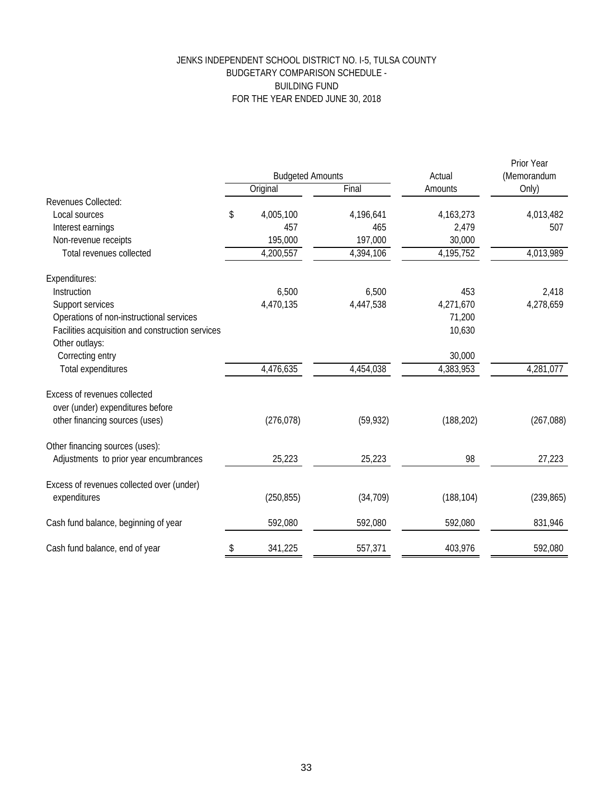# JENKS INDEPENDENT SCHOOL DISTRICT NO. I-5, TULSA COUNTY BUDGETARY COMPARISON SCHEDULE - BUILDING FUND FOR THE YEAR ENDED JUNE 30, 2018

|                                                                    | <b>Budgeted Amounts</b> |            | Actual    | Prior Year<br>(Memorandum |            |
|--------------------------------------------------------------------|-------------------------|------------|-----------|---------------------------|------------|
|                                                                    |                         | Original   | Final     | Amounts                   | Only)      |
| Revenues Collected:                                                |                         |            |           |                           |            |
| Local sources                                                      | \$                      | 4,005,100  | 4,196,641 | 4, 163, 273               | 4,013,482  |
| Interest earnings                                                  |                         | 457        | 465       | 2,479                     | 507        |
| Non-revenue receipts                                               |                         | 195,000    | 197,000   | 30,000                    |            |
| Total revenues collected                                           |                         | 4,200,557  | 4,394,106 | 4,195,752                 | 4,013,989  |
| Expenditures:                                                      |                         |            |           |                           |            |
| Instruction                                                        |                         | 6,500      | 6,500     | 453                       | 2,418      |
| Support services                                                   |                         | 4,470,135  | 4,447,538 | 4,271,670                 | 4,278,659  |
| Operations of non-instructional services                           |                         |            |           | 71,200                    |            |
| Facilities acquisition and construction services<br>Other outlays: |                         |            |           | 10,630                    |            |
| Correcting entry                                                   |                         |            |           | 30,000                    |            |
| Total expenditures                                                 |                         | 4,476,635  | 4,454,038 | 4,383,953                 | 4,281,077  |
| Excess of revenues collected                                       |                         |            |           |                           |            |
| over (under) expenditures before                                   |                         |            |           |                           |            |
| other financing sources (uses)                                     |                         | (276, 078) | (59, 932) | (188, 202)                | (267, 088) |
| Other financing sources (uses):                                    |                         |            |           |                           |            |
| Adjustments to prior year encumbrances                             |                         | 25,223     | 25,223    | 98                        | 27,223     |
| Excess of revenues collected over (under)                          |                         |            |           |                           |            |
| expenditures                                                       |                         | (250, 855) | (34, 709) | (188, 104)                | (239, 865) |
| Cash fund balance, beginning of year                               |                         | 592,080    | 592,080   | 592,080                   | 831,946    |
| Cash fund balance, end of year                                     | \$                      | 341,225    | 557,371   | 403,976                   | 592,080    |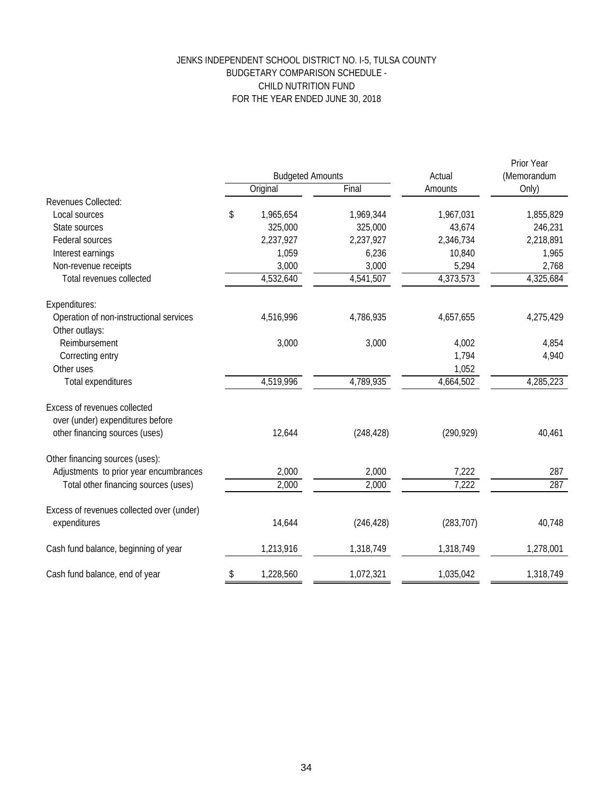# JENKS INDEPENDENT SCHOOL DISTRICT NO. I-5, TULSA COUNTY BUDGETARY COMPARISON SCHEDULE - CHILD NUTRITION FUND FOR THE YEAR ENDED JUNE 30, 2018

|                                           | <b>Budgeted Amounts</b> |           |            | Actual     | Prior Year<br>(Memorandum |
|-------------------------------------------|-------------------------|-----------|------------|------------|---------------------------|
|                                           |                         | Original  | Final      | Amounts    | Only)                     |
| Revenues Collected:                       |                         |           |            |            |                           |
| Local sources                             | \$                      | 1,965,654 | 1,969,344  | 1,967,031  | 1,855,829                 |
| State sources                             |                         | 325,000   | 325,000    | 43,674     | 246,231                   |
| Federal sources                           |                         | 2,237,927 | 2,237,927  | 2,346,734  | 2,218,891                 |
| Interest earnings                         |                         | 1,059     | 6,236      | 10,840     | 1,965                     |
| Non-revenue receipts                      |                         | 3,000     | 3,000      | 5,294      | 2,768                     |
| Total revenues collected                  |                         | 4,532,640 | 4,541,507  | 4,373,573  | 4,325,684                 |
| Expenditures:                             |                         |           |            |            |                           |
| Operation of non-instructional services   |                         | 4,516,996 | 4,786,935  | 4,657,655  | 4,275,429                 |
| Other outlays:                            |                         |           |            |            |                           |
| Reimbursement                             |                         | 3,000     | 3,000      | 4,002      | 4,854                     |
| Correcting entry                          |                         |           |            | 1,794      | 4,940                     |
| Other uses                                |                         |           |            | 1,052      |                           |
| Total expenditures                        |                         | 4,519,996 | 4,789,935  | 4,664,502  | 4,285,223                 |
| Excess of revenues collected              |                         |           |            |            |                           |
| over (under) expenditures before          |                         |           |            |            |                           |
| other financing sources (uses)            |                         | 12,644    | (248, 428) | (290, 929) | 40,461                    |
| Other financing sources (uses):           |                         |           |            |            |                           |
| Adjustments to prior year encumbrances    |                         | 2,000     | 2,000      | 7,222      | 287                       |
| Total other financing sources (uses)      |                         | 2,000     | 2,000      | 7,222      | 287                       |
| Excess of revenues collected over (under) |                         |           |            |            |                           |
| expenditures                              |                         | 14,644    | (246, 428) | (283, 707) | 40,748                    |
| Cash fund balance, beginning of year      |                         | 1,213,916 | 1,318,749  | 1,318,749  | 1,278,001                 |
| Cash fund balance, end of year            | \$                      | 1,228,560 | 1,072,321  | 1,035,042  | 1,318,749                 |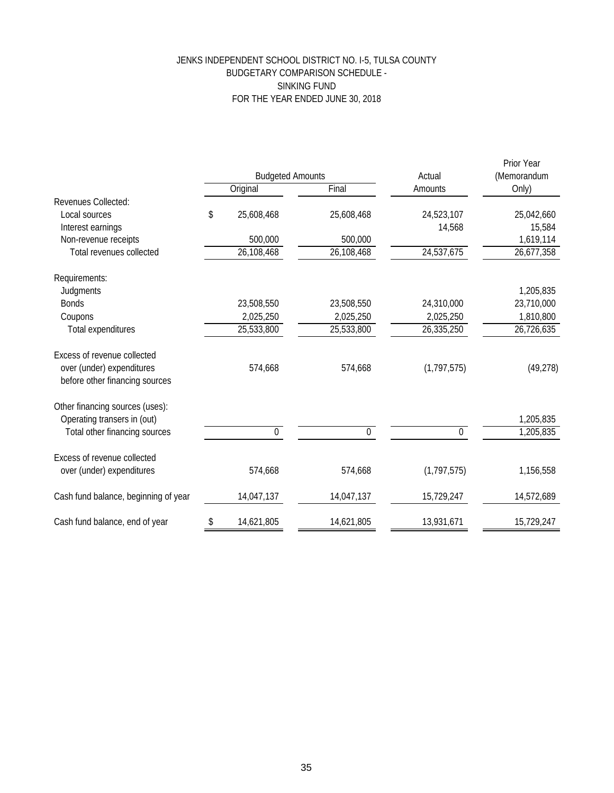# JENKS INDEPENDENT SCHOOL DISTRICT NO. I-5, TULSA COUNTY BUDGETARY COMPARISON SCHEDULE - SINKING FUND FOR THE YEAR ENDED JUNE 30, 2018

|                                      |    | <b>Budgeted Amounts</b> |                  | Actual           | Prior Year<br>(Memorandum |
|--------------------------------------|----|-------------------------|------------------|------------------|---------------------------|
|                                      |    | Original                | Final            | Amounts          | Only)                     |
| Revenues Collected:                  |    |                         |                  |                  |                           |
| Local sources                        | \$ | 25,608,468              | 25,608,468       | 24,523,107       | 25,042,660                |
| Interest earnings                    |    |                         |                  | 14,568           | 15,584                    |
| Non-revenue receipts                 |    | 500,000                 | 500,000          |                  | 1,619,114                 |
| Total revenues collected             |    | 26,108,468              | 26,108,468       | 24,537,675       | 26,677,358                |
| Requirements:                        |    |                         |                  |                  |                           |
| Judgments                            |    |                         |                  |                  | 1,205,835                 |
| <b>Bonds</b>                         |    | 23,508,550              | 23,508,550       | 24,310,000       | 23,710,000                |
| Coupons                              |    | 2,025,250               | 2,025,250        | 2,025,250        | 1,810,800                 |
| Total expenditures                   |    | 25,533,800              | 25,533,800       | 26,335,250       | 26,726,635                |
| Excess of revenue collected          |    |                         |                  |                  |                           |
| over (under) expenditures            |    | 574,668                 | 574,668          | (1, 797, 575)    | (49, 278)                 |
| before other financing sources       |    |                         |                  |                  |                           |
| Other financing sources (uses):      |    |                         |                  |                  |                           |
| Operating transers in (out)          |    |                         |                  |                  | 1,205,835                 |
| Total other financing sources        |    | $\overline{0}$          | $\boldsymbol{0}$ | $\boldsymbol{0}$ | 1,205,835                 |
| Excess of revenue collected          |    |                         |                  |                  |                           |
| over (under) expenditures            |    | 574,668                 | 574,668          | (1, 797, 575)    | 1,156,558                 |
| Cash fund balance, beginning of year |    | 14,047,137              | 14,047,137       | 15,729,247       | 14,572,689                |
|                                      |    |                         |                  |                  |                           |
| Cash fund balance, end of year       | \$ | 14,621,805              | 14,621,805       | 13,931,671       | 15,729,247                |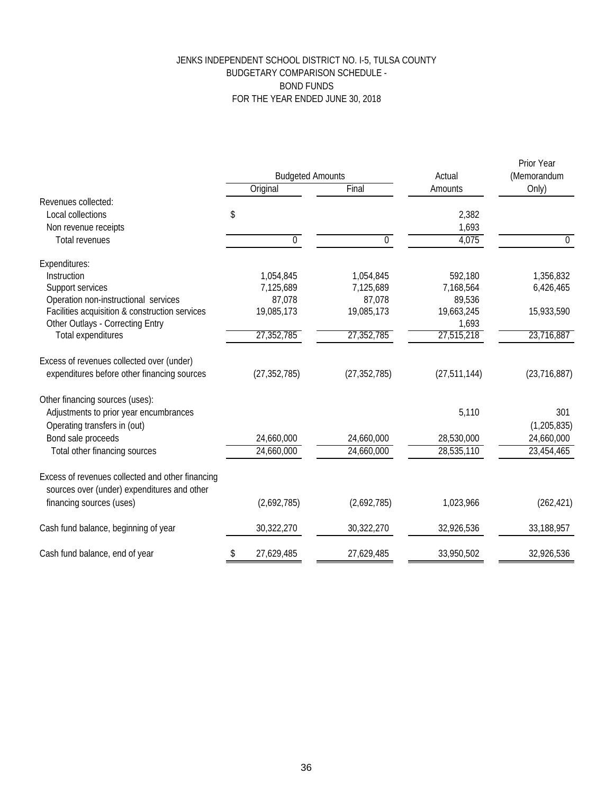# JENKS INDEPENDENT SCHOOL DISTRICT NO. I-5, TULSA COUNTY BUDGETARY COMPARISON SCHEDULE - BOND FUNDS FOR THE YEAR ENDED JUNE 30, 2018

|                                                                                                 | <b>Budgeted Amounts</b> |                | Actual         | Prior Year<br>(Memorandum |
|-------------------------------------------------------------------------------------------------|-------------------------|----------------|----------------|---------------------------|
|                                                                                                 | Original                | Final          | Amounts        | Only)                     |
| Revenues collected:                                                                             |                         |                |                |                           |
| Local collections                                                                               | \$                      |                | 2,382          |                           |
| Non revenue receipts                                                                            |                         |                | 1,693          |                           |
| <b>Total revenues</b>                                                                           | $\mathbf 0$             | $\overline{0}$ | 4,075          | $\mathbf{0}$              |
| Expenditures:                                                                                   |                         |                |                |                           |
| Instruction                                                                                     | 1,054,845               | 1,054,845      | 592,180        | 1,356,832                 |
| Support services                                                                                | 7,125,689               | 7,125,689      | 7,168,564      | 6,426,465                 |
| Operation non-instructional services                                                            | 87,078                  | 87,078         | 89,536         |                           |
| Facilities acquisition & construction services                                                  | 19,085,173              | 19,085,173     | 19,663,245     | 15,933,590                |
| Other Outlays - Correcting Entry                                                                |                         |                | 1,693          |                           |
| <b>Total expenditures</b>                                                                       | 27,352,785              | 27,352,785     | 27,515,218     | 23,716,887                |
| Excess of revenues collected over (under)                                                       |                         |                |                |                           |
| expenditures before other financing sources                                                     | (27, 352, 785)          | (27, 352, 785) | (27, 511, 144) | (23, 716, 887)            |
| Other financing sources (uses):                                                                 |                         |                |                |                           |
| Adjustments to prior year encumbrances                                                          |                         |                | 5,110          | 301                       |
| Operating transfers in (out)                                                                    |                         |                |                | (1, 205, 835)             |
| Bond sale proceeds                                                                              | 24,660,000              | 24,660,000     | 28,530,000     | 24,660,000                |
| Total other financing sources                                                                   | 24,660,000              | 24,660,000     | 28,535,110     | 23,454,465                |
| Excess of revenues collected and other financing<br>sources over (under) expenditures and other |                         |                |                |                           |
| financing sources (uses)                                                                        | (2,692,785)             | (2,692,785)    | 1,023,966      | (262, 421)                |
| Cash fund balance, beginning of year                                                            | 30,322,270              | 30,322,270     | 32,926,536     | 33,188,957                |
| Cash fund balance, end of year                                                                  | 27,629,485<br>\$        | 27,629,485     | 33,950,502     | 32,926,536                |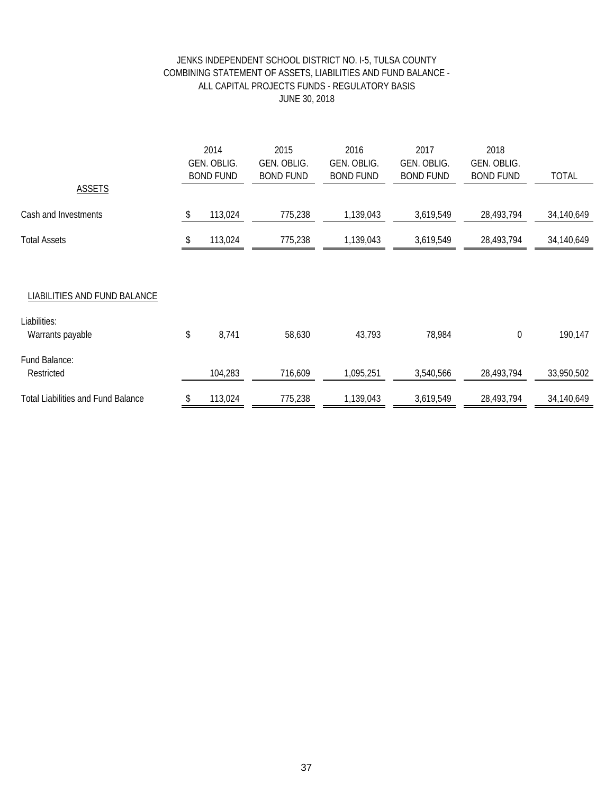# JENKS INDEPENDENT SCHOOL DISTRICT NO. I-5, TULSA COUNTY COMBINING STATEMENT OF ASSETS, LIABILITIES AND FUND BALANCE - ALL CAPITAL PROJECTS FUNDS - REGULATORY BASIS JUNE 30, 2018

| <b>ASSETS</b>                                                    | 2014<br>GEN. OBLIG.<br><b>BOND FUND</b> | 2015<br>GEN. OBLIG.<br><b>BOND FUND</b> | 2016<br>GEN. OBLIG.<br><b>BOND FUND</b> | 2017<br>GEN. OBLIG.<br><b>BOND FUND</b> | 2018<br>GEN. OBLIG.<br><b>BOND FUND</b> | <b>TOTAL</b> |
|------------------------------------------------------------------|-----------------------------------------|-----------------------------------------|-----------------------------------------|-----------------------------------------|-----------------------------------------|--------------|
| Cash and Investments                                             | \$<br>113,024                           | 775,238                                 | 1,139,043                               | 3,619,549                               | 28,493,794                              | 34,140,649   |
| <b>Total Assets</b>                                              | 113,024                                 | 775,238                                 | 1,139,043                               | 3,619,549                               | 28,493,794                              | 34,140,649   |
| LIABILITIES AND FUND BALANCE<br>Liabilities:<br>Warrants payable | \$<br>8,741                             | 58,630                                  | 43,793                                  | 78,984                                  | 0                                       | 190,147      |
| Fund Balance:<br>Restricted                                      | 104,283                                 | 716,609                                 | 1,095,251                               | 3,540,566                               | 28,493,794                              | 33,950,502   |
| <b>Total Liabilities and Fund Balance</b>                        | 113,024                                 | 775,238                                 | 1,139,043                               | 3,619,549                               | 28,493,794                              | 34,140,649   |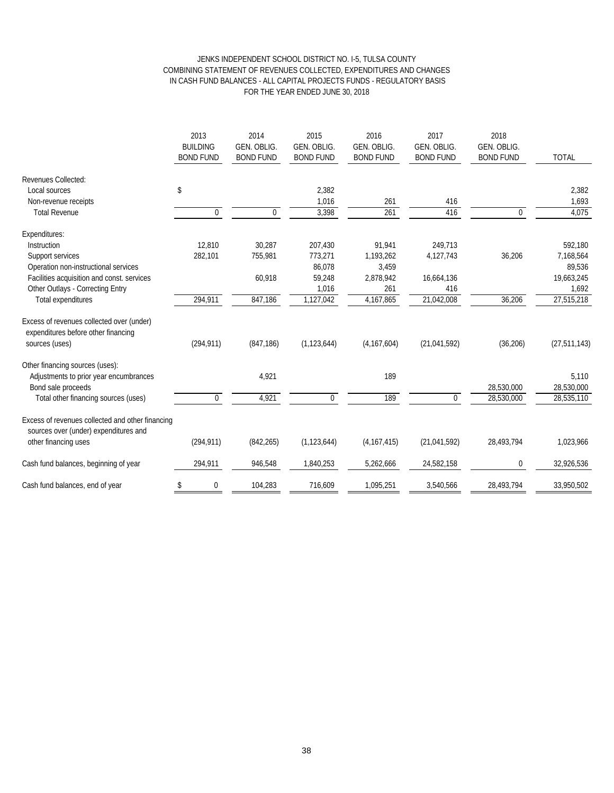#### JENKS INDEPENDENT SCHOOL DISTRICT NO. I-5, TULSA COUNTY COMBINING STATEMENT OF REVENUES COLLECTED, EXPENDITURES AND CHANGES IN CASH FUND BALANCES - ALL CAPITAL PROJECTS FUNDS - REGULATORY BASIS FOR THE YEAR ENDED JUNE 30, 2018

|                                                                                                    | 2013<br><b>BUILDING</b><br><b>BOND FUND</b> | 2014<br><b>GEN. OBLIG.</b><br><b>BOND FUND</b> | 2015<br>GEN. OBLIG.<br><b>BOND FUND</b> | 2016<br><b>GEN. OBLIG.</b><br><b>BOND FUND</b> | 2017<br>GEN. OBLIG.<br><b>BOND FUND</b> | 2018<br>GEN. OBLIG.<br><b>BOND FUND</b> | <b>TOTAL</b>   |
|----------------------------------------------------------------------------------------------------|---------------------------------------------|------------------------------------------------|-----------------------------------------|------------------------------------------------|-----------------------------------------|-----------------------------------------|----------------|
| <b>Revenues Collected:</b>                                                                         |                                             |                                                |                                         |                                                |                                         |                                         |                |
| Local sources                                                                                      | \$                                          |                                                | 2,382                                   |                                                |                                         |                                         | 2,382          |
| Non-revenue receipts                                                                               |                                             |                                                | 1,016                                   | 261                                            | 416                                     |                                         | 1,693          |
| <b>Total Revenue</b>                                                                               | $\boldsymbol{0}$                            | $\mathbf 0$                                    | 3,398                                   | 261                                            | 416                                     | $\Omega$                                | 4,075          |
| Expenditures:                                                                                      |                                             |                                                |                                         |                                                |                                         |                                         |                |
| Instruction                                                                                        | 12,810                                      | 30,287                                         | 207,430                                 | 91,941                                         | 249,713                                 |                                         | 592,180        |
| Support services                                                                                   | 282,101                                     | 755,981                                        | 773,271                                 | 1,193,262                                      | 4,127,743                               | 36,206                                  | 7,168,564      |
| Operation non-instructional services                                                               |                                             |                                                | 86,078                                  | 3,459                                          |                                         |                                         | 89,536         |
| Facilities acquisition and const. services                                                         |                                             | 60,918                                         | 59,248                                  | 2,878,942                                      | 16,664,136                              |                                         | 19,663,245     |
| Other Outlays - Correcting Entry                                                                   |                                             |                                                | 1,016                                   | 261                                            | 416                                     |                                         | 1,692          |
| Total expenditures                                                                                 | 294,911                                     | 847,186                                        | 1,127,042                               | 4,167,865                                      | 21,042,008                              | 36,206                                  | 27,515,218     |
| Excess of revenues collected over (under)<br>expenditures before other financing<br>sources (uses) | (294, 911)                                  | (847, 186)                                     | (1, 123, 644)                           | (4, 167, 604)                                  | (21, 041, 592)                          | (36, 206)                               | (27, 511, 143) |
| Other financing sources (uses):                                                                    |                                             |                                                |                                         |                                                |                                         |                                         |                |
| Adjustments to prior year encumbrances                                                             |                                             | 4,921                                          |                                         | 189                                            |                                         |                                         | 5,110          |
| Bond sale proceeds                                                                                 |                                             |                                                |                                         |                                                |                                         | 28,530,000                              | 28,530,000     |
| Total other financing sources (uses)                                                               | $\mathbf 0$                                 | 4,921                                          | $\mathbf 0$                             | 189                                            | $\mathbf 0$                             | 28,530,000                              | 28,535,110     |
| Excess of revenues collected and other financing<br>sources over (under) expenditures and          |                                             |                                                |                                         |                                                |                                         |                                         |                |
| other financing uses                                                                               | (294, 911)                                  | (842, 265)                                     | (1, 123, 644)                           | (4, 167, 415)                                  | (21, 041, 592)                          | 28,493,794                              | 1,023,966      |
| Cash fund balances, beginning of year                                                              | 294,911                                     | 946,548                                        | 1,840,253                               | 5,262,666                                      | 24,582,158                              | 0                                       | 32,926,536     |
| Cash fund balances, end of year                                                                    | \$<br>$\boldsymbol{0}$                      | 104,283                                        | 716,609                                 | 1,095,251                                      | 3,540,566                               | 28,493,794                              | 33,950,502     |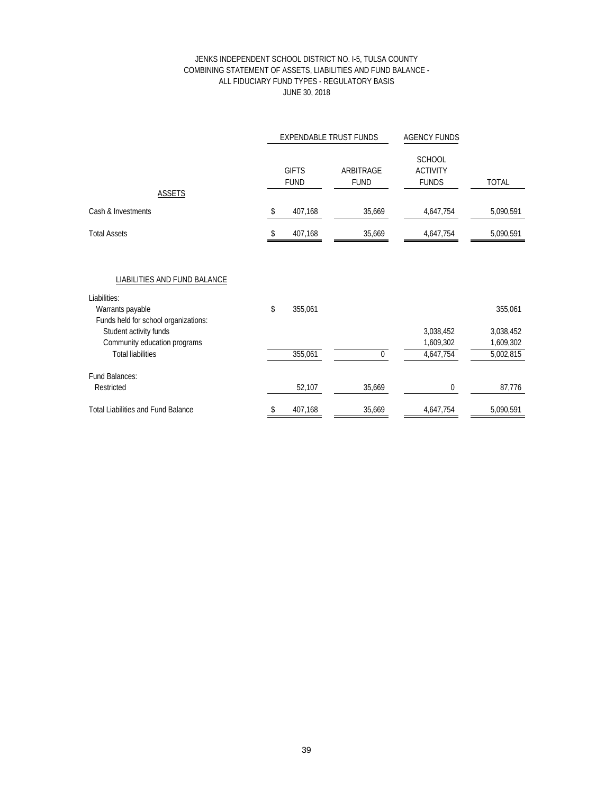#### JENKS INDEPENDENT SCHOOL DISTRICT NO. I-5, TULSA COUNTY COMBINING STATEMENT OF ASSETS, LIABILITIES AND FUND BALANCE - ALL FIDUCIARY FUND TYPES - REGULATORY BASIS JUNE 30, 2018

|                                                                                                                                                                                                | <b>EXPENDABLE TRUST FUNDS</b> |                             |                          | <b>AGENCY FUNDS</b>                              |                                                |
|------------------------------------------------------------------------------------------------------------------------------------------------------------------------------------------------|-------------------------------|-----------------------------|--------------------------|--------------------------------------------------|------------------------------------------------|
|                                                                                                                                                                                                |                               | <b>GIFTS</b><br><b>FUND</b> | ARBITRAGE<br><b>FUND</b> | <b>SCHOOL</b><br><b>ACTIVITY</b><br><b>FUNDS</b> | <b>TOTAL</b>                                   |
| <b>ASSETS</b>                                                                                                                                                                                  |                               |                             |                          |                                                  |                                                |
| Cash & Investments                                                                                                                                                                             | \$                            | 407,168                     | 35,669                   | 4,647,754                                        | 5,090,591                                      |
| <b>Total Assets</b>                                                                                                                                                                            | \$                            | 407,168                     | 35,669                   | 4,647,754                                        | 5,090,591                                      |
| LIABILITIES AND FUND BALANCE<br>Liabilities:<br>Warrants payable<br>Funds held for school organizations:<br>Student activity funds<br>Community education programs<br><b>Total liabilities</b> | \$                            | 355,061<br>355,061          | $\Omega$                 | 3,038,452<br>1,609,302<br>4,647,754              | 355,061<br>3,038,452<br>1,609,302<br>5,002,815 |
| Fund Balances:<br>Restricted                                                                                                                                                                   |                               | 52,107                      | 35,669                   | $\mathbf 0$                                      | 87,776                                         |
| <b>Total Liabilities and Fund Balance</b>                                                                                                                                                      | \$                            | 407,168                     | 35,669                   | 4,647,754                                        | 5,090,591                                      |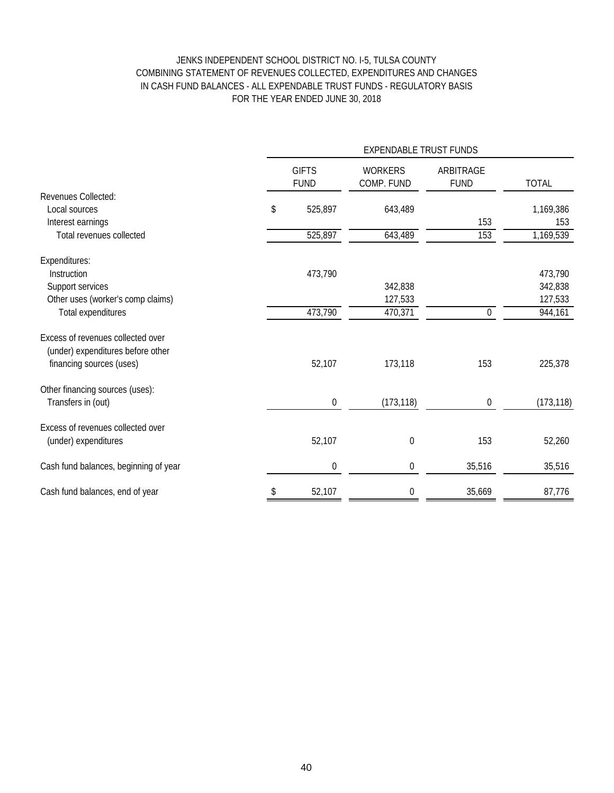# JENKS INDEPENDENT SCHOOL DISTRICT NO. I-5, TULSA COUNTY COMBINING STATEMENT OF REVENUES COLLECTED, EXPENDITURES AND CHANGES IN CASH FUND BALANCES - ALL EXPENDABLE TRUST FUNDS - REGULATORY BASIS FOR THE YEAR ENDED JUNE 30, 2018

|                                       | <b>EXPENDABLE TRUST FUNDS</b> |                  |                              |                          |              |  |  |
|---------------------------------------|-------------------------------|------------------|------------------------------|--------------------------|--------------|--|--|
|                                       | <b>GIFTS</b><br><b>FUND</b>   |                  | <b>WORKERS</b><br>COMP. FUND | ARBITRAGE<br><b>FUND</b> | <b>TOTAL</b> |  |  |
| Revenues Collected:                   |                               |                  |                              |                          |              |  |  |
| Local sources                         | \$                            | 525,897          | 643,489                      |                          | 1,169,386    |  |  |
| Interest earnings                     |                               |                  |                              | 153                      | 153          |  |  |
| Total revenues collected              |                               | 525,897          | 643,489                      | 153                      | 1,169,539    |  |  |
| Expenditures:                         |                               |                  |                              |                          |              |  |  |
| Instruction                           |                               | 473,790          |                              |                          | 473,790      |  |  |
| Support services                      |                               |                  | 342,838                      |                          | 342,838      |  |  |
| Other uses (worker's comp claims)     |                               |                  | 127,533                      |                          | 127,533      |  |  |
| Total expenditures                    |                               | 473,790          | 470,371                      | $\pmb{0}$                | 944,161      |  |  |
| Excess of revenues collected over     |                               |                  |                              |                          |              |  |  |
| (under) expenditures before other     |                               |                  |                              |                          |              |  |  |
| financing sources (uses)              |                               | 52,107           | 173,118                      | 153                      | 225,378      |  |  |
| Other financing sources (uses):       |                               |                  |                              |                          |              |  |  |
| Transfers in (out)                    |                               | $\boldsymbol{0}$ | (173, 118)                   | 0                        | (173, 118)   |  |  |
| Excess of revenues collected over     |                               |                  |                              |                          |              |  |  |
| (under) expenditures                  |                               | 52,107           | $\mathbf 0$                  | 153                      | 52,260       |  |  |
| Cash fund balances, beginning of year |                               | $\boldsymbol{0}$ | 0                            | 35,516                   | 35,516       |  |  |
| Cash fund balances, end of year       | \$                            | 52,107           | $\mathbf 0$                  | 35,669                   | 87,776       |  |  |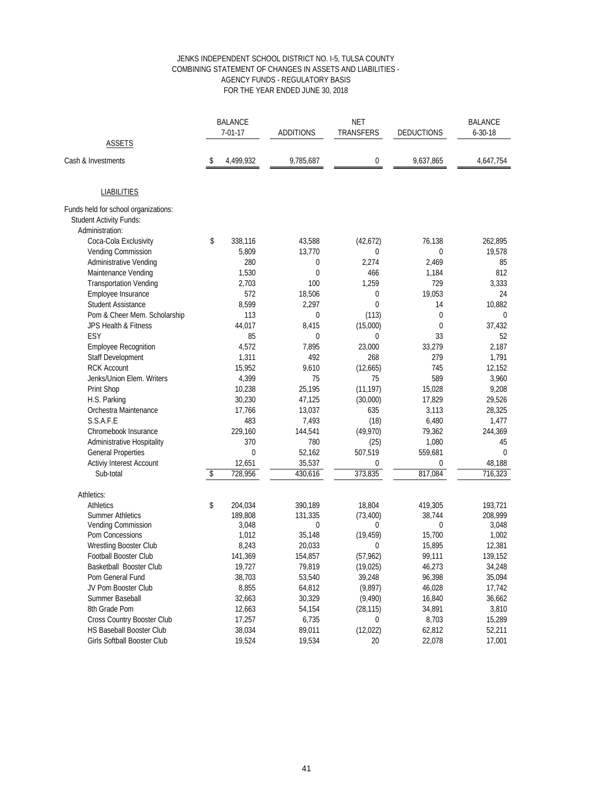#### JENKS INDEPENDENT SCHOOL DISTRICT NO. I-5, TULSA COUNTY COMBINING STATEMENT OF CHANGES IN ASSETS AND LIABILITIES - AGENCY FUNDS - REGULATORY BASIS FOR THE YEAR ENDED JUNE 30, 2018

|                                      | <b>BALANCE</b> |               |                  | <b>NET</b>   |                   | <b>BALANCE</b> |  |
|--------------------------------------|----------------|---------------|------------------|--------------|-------------------|----------------|--|
|                                      |                | $7 - 01 - 17$ | <b>ADDITIONS</b> | TRANSFERS    | <b>DEDUCTIONS</b> | $6 - 30 - 18$  |  |
| <b>ASSETS</b>                        |                |               |                  |              |                   |                |  |
| Cash & Investments                   | \$             | 4,499,932     | 9,785,687        | 0            | 9,637,865         | 4,647,754      |  |
| <b>LIABILITIES</b>                   |                |               |                  |              |                   |                |  |
| Funds held for school organizations: |                |               |                  |              |                   |                |  |
| <b>Student Activity Funds:</b>       |                |               |                  |              |                   |                |  |
| Administration:                      |                |               |                  |              |                   |                |  |
| Coca-Cola Exclusivity                | \$             | 338,116       | 43,588           | (42,672)     | 76,138            | 262,895        |  |
| Vending Commission                   |                | 5,809         | 13,770           | 0            | 0                 | 19,578         |  |
| <b>Administrative Vending</b>        |                | 280           | 0                | 2,274        | 2,469             | 85             |  |
| Maintenance Vending                  |                | 1,530         | 0                | 466          | 1,184             | 812            |  |
| <b>Transportation Vending</b>        |                | 2,703         | 100              | 1,259        | 729               | 3,333          |  |
| Employee Insurance                   |                | 572           | 18,506           | 0            | 19,053            | 24             |  |
| <b>Student Assistance</b>            |                | 8,599         | 2,297            | $\mathbf{0}$ | 14                | 10,882         |  |
| Pom & Cheer Mem. Scholarship         |                | 113           | $\mathbf 0$      | (113)        | $\mathbf 0$       | $\mathbf{0}$   |  |
| JPS Health & Fitness                 |                | 44,017        | 8,415            | (15,000)     | 0                 | 37,432         |  |
| ESY                                  |                | 85            | 0                | 0            | 33                | 52             |  |
| <b>Employee Recognition</b>          |                | 4,572         | 7,895            | 23,000       | 33,279            | 2,187          |  |
| Staff Development                    |                | 1,311         | 492              | 268          | 279               | 1,791          |  |
| <b>RCK Account</b>                   |                | 15,952        | 9,610            | (12,665)     | 745               | 12,152         |  |
| Jenks/Union Elem. Writers            |                | 4,399         | 75               | 75           | 589               | 3,960          |  |
| Print Shop                           |                | 10,238        | 25,195           | (11, 197)    | 15,028            | 9,208          |  |
| H.S. Parking                         |                | 30,230        | 47,125           | (30,000)     | 17,829            | 29,526         |  |
| Orchestra Maintenance                |                | 17,766        | 13,037           | 635          | 3,113             | 28,325         |  |
| S.S.A.F.E                            |                | 483           | 7,493            | (18)         | 6,480             | 1,477          |  |
| Chromebook Insurance                 |                | 229,160       | 144,541          | (49, 970)    | 79,362            | 244,369        |  |
| Administrative Hospitality           |                | 370           | 780              | (25)         | 1,080             | 45             |  |
| <b>General Properties</b>            |                | $\mathbf{0}$  | 52,162           | 507,519      | 559,681           | $\mathbf 0$    |  |
| Activiy Interest Account             |                | 12,651        | 35,537           | 0            | 0                 | 48,188         |  |
| Sub-total                            | \$             | 728,956       | 430,616          | 373,835      | 817,084           | 716,323        |  |
| Athletics:                           |                |               |                  |              |                   |                |  |
| <b>Athletics</b>                     | \$             | 204,034       | 390,189          | 18,804       | 419,305           | 193,721        |  |
| <b>Summer Athletics</b>              |                | 189,808       | 131,335          | (73, 400)    | 38,744            | 208,999        |  |
| Vending Commission                   |                | 3,048         | 0                | $\mathbf{0}$ | 0                 | 3,048          |  |
| Pom Concessions                      |                | 1,012         | 35,148           | (19, 459)    | 15,700            | 1,002          |  |
| Wrestling Booster Club               |                | 8,243         | 20,033           | 0            | 15,895            | 12,381         |  |
| <b>Football Booster Club</b>         |                | 141,369       | 154,857          | (57, 962)    | 99,111            | 139,152        |  |
| Basketball Booster Club              |                | 19,727        | 79,819           | (19, 025)    | 46,273            | 34,248         |  |
| Pom General Fund                     |                | 38,703        | 53,540           | 39,248       | 96,398            | 35,094         |  |
| JV Pom Booster Club                  |                | 8,855         | 64,812           | (9,897)      | 46,028            | 17,742         |  |
| Summer Baseball                      |                | 32,663        | 30,329           | (9, 490)     | 16,840            | 36,662         |  |
| 8th Grade Pom                        |                | 12,663        | 54,154           | (28, 115)    | 34,891            | 3,810          |  |
| Cross Country Booster Club           |                | 17,257        | 6,735            | 0            | 8,703             | 15,289         |  |
| <b>HS Baseball Booster Club</b>      |                | 38,034        | 89,011           | (12,022)     | 62,812            | 52,211         |  |
| <b>Girls Softball Booster Club</b>   |                | 19,524        | 19,534           | 20           | 22,078            | 17,001         |  |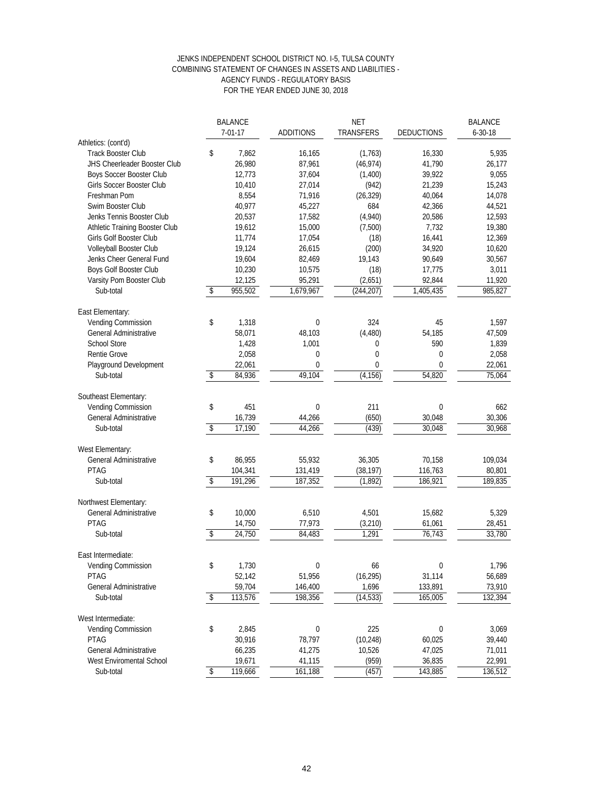#### JENKS INDEPENDENT SCHOOL DISTRICT NO. I-5, TULSA COUNTY COMBINING STATEMENT OF CHANGES IN ASSETS AND LIABILITIES - AGENCY FUNDS - REGULATORY BASIS FOR THE YEAR ENDED JUNE 30, 2018

|                                              | <b>BALANCE</b><br><b>NET</b> |               | <b>BALANCE</b>   |              |                   |               |
|----------------------------------------------|------------------------------|---------------|------------------|--------------|-------------------|---------------|
|                                              |                              | $7 - 01 - 17$ | <b>ADDITIONS</b> | TRANSFERS    | <b>DEDUCTIONS</b> | $6 - 30 - 18$ |
| Athletics: (cont'd)                          |                              |               |                  |              |                   |               |
| <b>Track Booster Club</b>                    | \$                           | 7,862         | 16,165           | (1,763)      | 16,330            | 5,935         |
| <b>JHS Cheerleader Booster Club</b>          |                              | 26,980        | 87,961           | (46, 974)    | 41,790            | 26,177        |
| <b>Boys Soccer Booster Club</b>              |                              | 12,773        | 37,604           | (1,400)      | 39,922            | 9,055         |
| Girls Soccer Booster Club                    |                              | 10,410        | 27,014           | (942)        | 21,239            | 15,243        |
| Freshman Pom                                 |                              | 8,554         | 71,916           | (26, 329)    | 40,064            | 14,078        |
| Swim Booster Club                            |                              | 40,977        | 45,227           | 684          | 42,366            | 44,521        |
| Jenks Tennis Booster Club                    |                              | 20,537        | 17,582           | (4,940)      | 20,586            | 12,593        |
| Athletic Training Booster Club               |                              | 19,612        | 15,000           | (7,500)      | 7,732             | 19,380        |
| Girls Golf Booster Club                      |                              | 11,774        | 17,054           | (18)         | 16,441            | 12,369        |
| Volleyball Booster Club                      |                              | 19,124        | 26,615           | (200)        | 34,920            | 10,620        |
| Jenks Cheer General Fund                     |                              | 19,604        | 82,469           | 19,143       | 90,649            | 30,567        |
| Boys Golf Booster Club                       |                              | 10,230        | 10,575           | (18)         | 17,775            | 3,011         |
| Varsity Pom Booster Club                     |                              | 12,125        | 95,291           | (2,651)      | 92,844            | 11,920        |
| Sub-total                                    | \$                           | 955,502       | 1,679,967        | (244, 207)   | 1,405,435         | 985,827       |
|                                              |                              |               |                  |              |                   |               |
| East Elementary:                             |                              |               |                  |              |                   |               |
| Vending Commission                           | \$                           | 1,318         | $\mathbf 0$      | 324          | 45                | 1,597         |
| <b>General Administrative</b>                |                              | 58,071        | 48.103           | (4, 480)     | 54,185            | 47,509        |
| <b>School Store</b>                          |                              | 1,428         | 1,001            | 0            | 590               | 1,839         |
|                                              |                              |               |                  | $\mathbf{0}$ |                   |               |
| Rentie Grove                                 |                              | 2,058         | 0<br>0           | 0            | 0<br>$\mathbf{0}$ | 2,058         |
| Playground Development                       |                              | 22,061        |                  |              |                   | 22,061        |
| Sub-total                                    | \$                           | 84,936        | 49,104           | (4, 156)     | 54,820            | 75,064        |
|                                              |                              |               |                  |              |                   |               |
| Southeast Elementary:<br>Vending Commission  |                              |               |                  | 211          |                   | 662           |
|                                              | \$                           | 451           | 0                |              | $\mathbf 0$       |               |
| <b>General Administrative</b>                | \$                           | 16,739        | 44,266           | (650)        | 30,048            | 30,306        |
| Sub-total                                    |                              | 17,190        | 44,266           | (439)        | 30,048            | 30,968        |
|                                              |                              |               |                  |              |                   |               |
| West Elementary:                             |                              |               |                  |              | 70,158            |               |
| General Administrative<br><b>PTAG</b>        | \$                           | 86,955        | 55,932           | 36,305       |                   | 109,034       |
|                                              |                              | 104,341       | 131,419          | (38, 197)    | 116,763           | 80,801        |
| Sub-total                                    | $\sqrt[6]{\frac{4}{5}}$      | 191,296       | 187,352          | (1, 892)     | 186,921           | 189,835       |
|                                              |                              |               |                  |              |                   |               |
| Northwest Elementary:                        |                              |               |                  |              |                   |               |
| <b>General Administrative</b><br><b>PTAG</b> | \$                           | 10,000        | 6,510            | 4,501        | 15,682            | 5,329         |
|                                              |                              | 14,750        | 77,973           | (3, 210)     | 61,061            | 28,451        |
| Sub-total                                    | $\sqrt[6]{\frac{1}{2}}$      | 24,750        | 84,483           | 1,291        | 76,743            | 33,780        |
| East Intermediate:                           |                              |               |                  |              |                   |               |
|                                              |                              | 1,730         | 0                | 66           | 0                 |               |
| Vending Commission                           | \$                           |               |                  |              |                   | 1,796         |
| PTAG                                         |                              | 52,142        | 51,956           | (16, 295)    | 31,114            | 56,689        |
| <b>General Administrative</b>                |                              | 59,704        | 146,400          | 1,696        | 133,891           | 73,910        |
| Sub-total                                    | \$                           | 113,576       | 198,356          | (14, 533)    | 165,005           | 132,394       |
|                                              |                              |               |                  |              |                   |               |
| West Intermediate:                           |                              |               |                  |              |                   |               |
| <b>Vending Commission</b>                    | \$                           | 2,845         | $\mathbf 0$      | 225          | 0                 | 3,069         |
| <b>PTAG</b>                                  |                              | 30,916        | 78,797           | (10, 248)    | 60,025            | 39,440        |
| <b>General Administrative</b>                |                              | 66,235        | 41,275           | 10,526       | 47,025            | 71,011        |
| West Enviromental School                     |                              | 19,671        | 41,115           | (959)        | 36,835            | 22,991        |
| Sub-total                                    | \$                           | 119,666       | 161,188          | (457)        | 143,885           | 136,512       |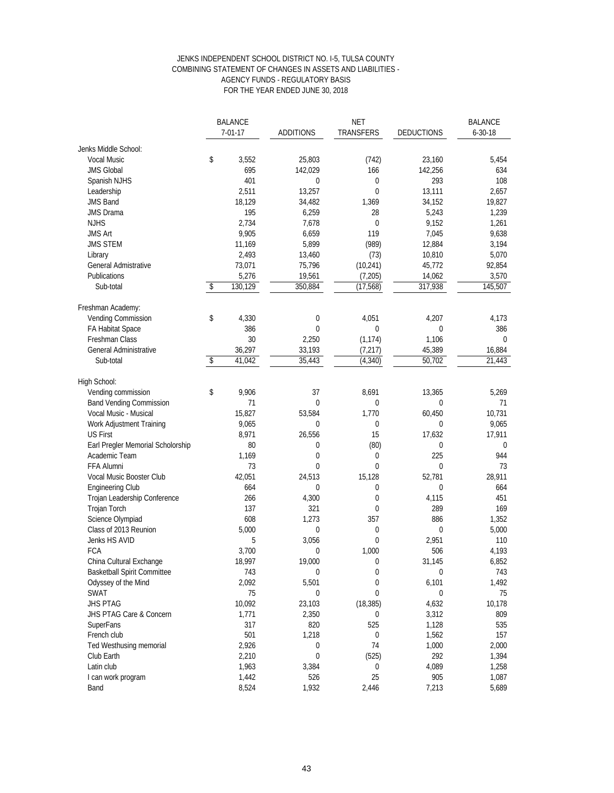#### FOR THE YEAR ENDED JUNE 30, 2018 JENKS INDEPENDENT SCHOOL DISTRICT NO. I-5, TULSA COUNTY COMBINING STATEMENT OF CHANGES IN ASSETS AND LIABILITIES - AGENCY FUNDS - REGULATORY BASIS

| <b>BALANCE</b><br><b>ADDITIONS</b><br>$7 - 01 - 17$ |    | <b>NET</b><br>TRANSFERS | <b>DEDUCTIONS</b> | <b>BALANCE</b><br>$6 - 30 - 18$ |             |             |
|-----------------------------------------------------|----|-------------------------|-------------------|---------------------------------|-------------|-------------|
| Jenks Middle School:                                |    |                         |                   |                                 |             |             |
| <b>Vocal Music</b>                                  | \$ | 3,552                   | 25,803            | (742)                           | 23,160      | 5,454       |
| <b>JMS Global</b>                                   |    | 695                     | 142,029           | 166                             | 142,256     | 634         |
|                                                     |    | 401                     | 0                 | 0                               | 293         | 108         |
| Spanish NJHS                                        |    | 2,511                   | 13,257            | $\mathbf 0$                     | 13,111      | 2,657       |
| Leadership<br><b>JMS Band</b>                       |    |                         |                   |                                 |             |             |
|                                                     |    | 18,129                  | 34,482            | 1,369                           | 34,152      | 19,827      |
| <b>JMS Drama</b>                                    |    | 195                     | 6,259             | 28                              | 5,243       | 1,239       |
| <b>NJHS</b>                                         |    | 2,734                   | 7,678             | $\mathbf 0$                     | 9,152       | 1,261       |
| <b>JMS Art</b>                                      |    | 9,905                   | 6,659             | 119                             | 7,045       | 9,638       |
| <b>JMS STEM</b>                                     |    | 11,169                  | 5,899             | (989)                           | 12,884      | 3,194       |
| Library                                             |    | 2,493                   | 13,460            | (73)                            | 10,810      | 5,070       |
| <b>General Admistrative</b>                         |    | 73,071                  | 75,796            | (10, 241)                       | 45,772      | 92,854      |
| Publications                                        |    | 5,276                   | 19,561            | (7, 205)                        | 14,062      | 3,570       |
| Sub-total                                           | \$ | 130,129                 | 350,884           | (17, 568)                       | 317,938     | 145,507     |
| Freshman Academy:                                   |    |                         |                   |                                 |             |             |
| Vending Commission                                  | \$ | 4,330                   | $\bf{0}$          | 4,051                           | 4,207       | 4,173       |
| FA Habitat Space                                    |    | 386                     | $\mathbf 0$       | $\mathbf 0$                     | $\mathbf 0$ | 386         |
| Freshman Class                                      |    | 30                      | 2,250             | (1, 174)                        | 1,106       | $\mathbf 0$ |
| <b>General Administrative</b>                       |    | 36,297                  | 33,193            | (7, 217)                        | 45,389      | 16,884      |
| Sub-total                                           | \$ | 41,042                  | 35,443            | (4, 340)                        | 50,702      | 21,443      |
| High School:                                        |    |                         |                   |                                 |             |             |
| Vending commission                                  | \$ | 9,906                   | 37                | 8,691                           | 13,365      | 5,269       |
| <b>Band Vending Commission</b>                      |    | 71                      | $\mathbf{0}$      | 0                               | 0           | 71          |
| Vocal Music - Musical                               |    | 15,827                  | 53,584            | 1,770                           | 60,450      | 10,731      |
| Work Adjustment Training                            |    | 9,065                   | $\mathbf 0$       | $\mathbf 0$                     | $\mathbf 0$ | 9,065       |
| <b>US First</b>                                     |    | 8,971                   | 26,556            | 15                              | 17,632      | 17,911      |
| Earl Pregler Memorial Scholorship                   |    | 80                      | 0                 | (80)                            | 0           | 0           |
| Academic Team                                       |    | 1,169                   | $\bf{0}$          | $\bf{0}$                        | 225         | 944         |
| FFA Alumni                                          |    | 73                      | $\mathbf 0$       | $\mathbf{0}$                    | $\mathbf 0$ | 73          |
|                                                     |    | 42,051                  |                   |                                 |             | 28,911      |
| Vocal Music Booster Club                            |    | 664                     | 24,513            | 15,128                          | 52,781      |             |
| <b>Engineering Club</b>                             |    |                         | $\mathbf{0}$      | 0                               | 0           | 664         |
| Trojan Leadership Conference                        |    | 266                     | 4,300             | $\mathbf 0$                     | 4,115       | 451         |
| Trojan Torch                                        |    | 137                     | 321               | $\mathbf 0$                     | 289         | 169         |
| Science Olympiad                                    |    | 608                     | 1,273             | 357                             | 886         | 1,352       |
| Class of 2013 Reunion                               |    | 5,000                   | $\mathbf 0$       | 0                               | $\mathbf 0$ | 5,000       |
| Jenks HS AVID                                       |    | 5                       | 3,056             | $\mathbf 0$                     | 2,951       | 110         |
| FCA                                                 |    | 3,700                   | $\mathbf 0$       | 1,000                           | 506         | 4,193       |
| China Cultural Exchange                             |    | 18,997                  | 19,000            | 0                               | 31,145      | 6,852       |
| <b>Basketball Spirit Committee</b>                  |    | 743                     | $\bf{0}$          | 0                               | $\mathbf 0$ | 743         |
| Odyssey of the Mind                                 |    | 2,092                   | 5,501             | $\mathbf 0$                     | 6,101       | 1,492       |
| <b>SWAT</b>                                         |    | 75                      | 0                 | 0                               | $\bf{0}$    | 75          |
| <b>JHS PTAG</b>                                     |    | 10,092                  | 23,103            | (18, 385)                       | 4,632       | 10,178      |
| JHS PTAG Care & Concern                             |    | 1,771                   | 2,350             | 0                               | 3,312       | 809         |
| <b>SuperFans</b>                                    |    | 317                     | 820               | 525                             | 1,128       | 535         |
| French club                                         |    | 501                     | 1,218             | 0                               | 1,562       | 157         |
| Ted Westhusing memorial                             |    | 2,926                   | 0                 | 74                              | 1,000       | 2,000       |
| Club Earth                                          |    | 2,210                   | $\mathbf 0$       | (525)                           | 292         | 1,394       |
| Latin club                                          |    | 1,963                   | 3,384             | 0                               | 4,089       | 1,258       |
| I can work program                                  |    | 1,442                   | 526               | 25                              | 905         | 1,087       |
| Band                                                |    | 8,524                   | 1,932             | 2,446                           | 7,213       | 5,689       |
|                                                     |    |                         |                   |                                 |             |             |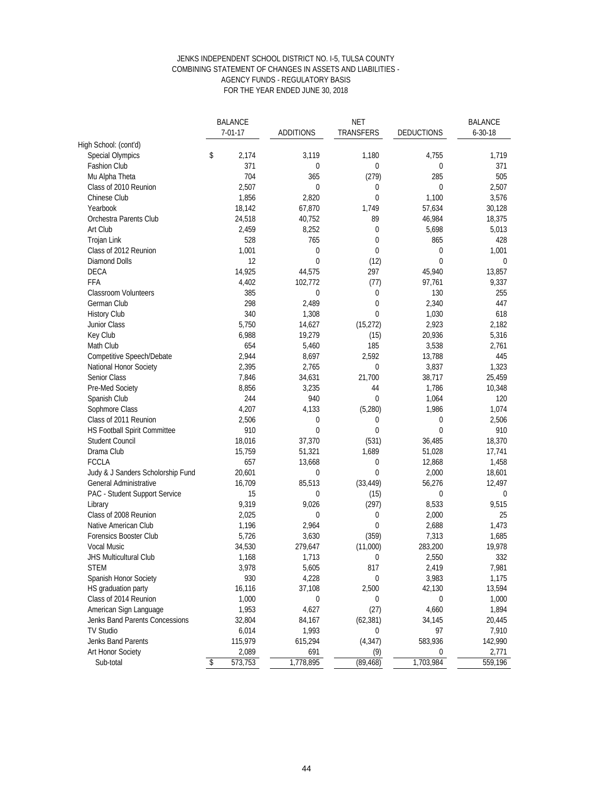#### JENKS INDEPENDENT SCHOOL DISTRICT NO. I-5, TULSA COUNTY COMBINING STATEMENT OF CHANGES IN ASSETS AND LIABILITIES - AGENCY FUNDS - REGULATORY BASIS FOR THE YEAR ENDED JUNE 30, 2018

|                                   | <b>BALANCE</b> |                  | <b>NET</b>  |                   | <b>BALANCE</b> |  |
|-----------------------------------|----------------|------------------|-------------|-------------------|----------------|--|
|                                   | $7 - 01 - 17$  | <b>ADDITIONS</b> | TRANSFERS   | <b>DEDUCTIONS</b> | $6 - 30 - 18$  |  |
| High School: (cont'd)             |                |                  |             |                   |                |  |
| <b>Special Olympics</b>           | \$<br>2,174    | 3,119            | 1,180       | 4,755             | 1,719          |  |
| <b>Fashion Club</b>               | 371            | $\mathbf 0$      | 0           | 0                 | 371            |  |
| Mu Alpha Theta                    | 704            | 365              | (279)       | 285               | 505            |  |
| Class of 2010 Reunion             | 2,507          | $\mathbf 0$      | 0           | 0                 | 2,507          |  |
| Chinese Club                      | 1,856          | 2,820            | $\mathbf 0$ | 1,100             | 3,576          |  |
| Yearbook                          | 18,142         | 67,870           | 1,749       | 57,634            | 30,128         |  |
| Orchestra Parents Club            | 24,518         | 40,752           | 89          | 46,984            | 18,375         |  |
| Art Club                          | 2,459          | 8,252            | 0           | 5,698             | 5,013          |  |
| <b>Trojan Link</b>                | 528            | 765              | $\mathbf 0$ | 865               | 428            |  |
| Class of 2012 Reunion             | 1,001          | $\mathbf 0$      | 0           | $\bf{0}$          | 1,001          |  |
| <b>Diamond Dolls</b>              | 12             | $\mathbf 0$      | (12)        | $\mathbf{0}$      | $\mathbf 0$    |  |
| <b>DECA</b>                       | 14,925         | 44,575           | 297         | 45,940            | 13,857         |  |
| FFA                               | 4,402          | 102,772          | (77)        | 97,761            | 9,337          |  |
| <b>Classroom Volunteers</b>       | 385            | $\mathbf 0$      | 0           | 130               | 255            |  |
| German Club                       | 298            | 2,489            | 0           | 2,340             | 447            |  |
| <b>History Club</b>               | 340            | 1,308            | 0           | 1,030             | 618            |  |
| Junior Class                      | 5,750          | 14,627           | (15, 272)   | 2,923             | 2,182          |  |
| Key Club                          | 6,988          | 19,279           | (15)        | 20,936            | 5,316          |  |
| Math Club                         | 654            | 5,460            | 185         | 3,538             | 2,761          |  |
| Competitive Speech/Debate         | 2,944          | 8,697            | 2,592       | 13,788            | 445            |  |
| National Honor Society            | 2,395          | 2,765            | 0           | 3,837             | 1,323          |  |
| Senior Class                      | 7,846          | 34,631           | 21,700      | 38,717            | 25,459         |  |
| Pre-Med Society                   | 8,856          | 3,235            | 44          | 1,786             | 10,348         |  |
| Spanish Club                      | 244            | 940              | $\mathbf 0$ | 1,064             | 120            |  |
| Sophmore Class                    | 4,207          | 4,133            | (5,280)     | 1,986             | 1,074          |  |
| Class of 2011 Reunion             | 2,506          | 0                | $\bf{0}$    | $\mathbf 0$       | 2,506          |  |
| HS Football Spirit Committee      | 910            | $\mathbf 0$      | $\mathbf 0$ | $\mathbf 0$       | 910            |  |
| <b>Student Council</b>            | 18,016         | 37,370           | (531)       | 36,485            | 18,370         |  |
| Drama Club                        | 15,759         | 51,321           | 1,689       | 51,028            | 17,741         |  |
| <b>FCCLA</b>                      | 657            | 13,668           | $\bf{0}$    | 12,868            | 1,458          |  |
| Judy & J Sanders Scholorship Fund | 20,601         | $\mathbf 0$      | $\mathbf 0$ | 2,000             | 18,601         |  |
| General Administrative            | 16,709         | 85,513           | (33, 449)   | 56,276            | 12,497         |  |
| PAC - Student Support Service     | 15             | 0                | (15)        | 0                 | 0              |  |
| Library                           | 9,319          | 9,026            | (297)       | 8,533             | 9,515          |  |
| Class of 2008 Reunion             | 2,025          | $\mathbf 0$      | 0           | 2,000             | 25             |  |
| Native American Club              | 1,196          | 2,964            | 0           | 2,688             | 1,473          |  |
| Forensics Booster Club            | 5,726          | 3,630            | (359)       | 7,313             | 1,685          |  |
| Vocal Music                       | 34,530         | 279,647          | (11,000)    | 283,200           | 19,978         |  |
| <b>JHS Multicultural Club</b>     | 1,168          | 1,713            | 0           | 2,550             | 332            |  |
| <b>STEM</b>                       | 3,978          | 5,605            | 817         | 2,419             | 7,981          |  |
| Spanish Honor Society             | 930            | 4,228            | 0           | 3,983             | 1,175          |  |
| HS graduation party               | 16,116         | 37,108           | 2,500       | 42,130            | 13,594         |  |
| Class of 2014 Reunion             | 1,000          | 0                | 0           | 0                 | 1,000          |  |
| American Sign Language            | 1,953          | 4,627            | (27)        | 4,660             | 1,894          |  |
| Jenks Band Parents Concessions    | 32,804         | 84,167           | (62, 381)   | 34,145            | 20,445         |  |
| <b>TV Studio</b>                  | 6,014          | 1,993            | 0           | 97                | 7,910          |  |
| Jenks Band Parents                | 115,979        | 615,294          | (4, 347)    | 583,936           | 142,990        |  |
| <b>Art Honor Society</b>          | 2,089          | 691              | (9)         | 0                 | 2,771          |  |
| Sub-total                         | 573,753<br>\$  | 1,778,895        | (89, 468)   | 1,703,984         | 559,196        |  |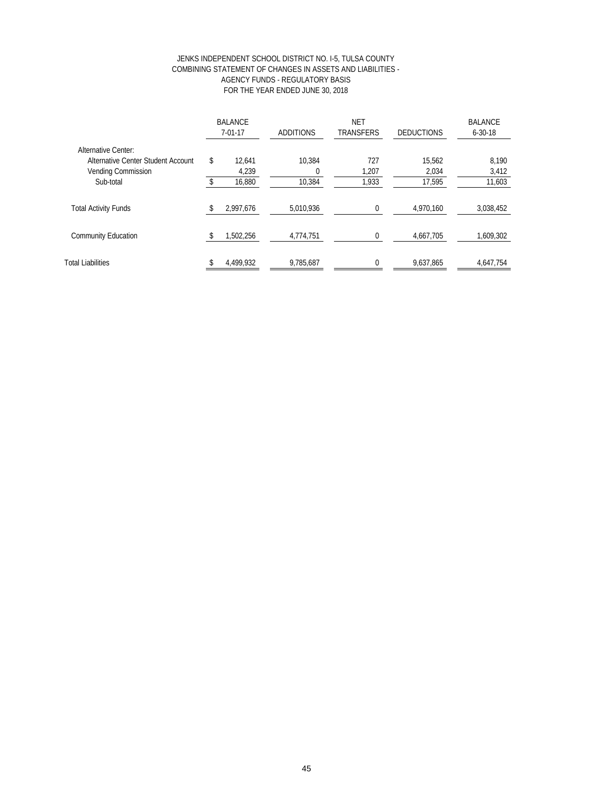#### JENKS INDEPENDENT SCHOOL DISTRICT NO. I-5, TULSA COUNTY COMBINING STATEMENT OF CHANGES IN ASSETS AND LIABILITIES - AGENCY FUNDS - REGULATORY BASIS FOR THE YEAR ENDED JUNE 30, 2018

|                                    |     | <b>BALANCE</b><br>$7 - 01 - 17$ | <b>ADDITIONS</b> | <b>NET</b><br><b>TRANSFERS</b> | <b>DEDUCTIONS</b> | <b>BALANCE</b><br>$6 - 30 - 18$ |  |
|------------------------------------|-----|---------------------------------|------------------|--------------------------------|-------------------|---------------------------------|--|
| <b>Alternative Center:</b>         |     |                                 |                  |                                |                   |                                 |  |
| Alternative Center Student Account | \$. | 12.641                          | 10.384           | 727                            | 15,562            | 8,190                           |  |
| <b>Vending Commission</b>          |     | 4,239                           | $\Omega$         | 1,207                          | 2,034             | 3,412                           |  |
| Sub-total                          |     | 16,880                          | 10,384           | 1,933                          | 17,595            | 11,603                          |  |
| <b>Total Activity Funds</b>        |     | 2,997,676                       | 5,010,936        | 0                              | 4,970,160         | 3,038,452                       |  |
| <b>Community Education</b>         |     | 1,502,256                       | 4,774,751        | 0                              | 4,667,705         | 1,609,302                       |  |
| <b>Total Liabilities</b>           |     | 4,499,932                       | 9,785,687        | $\theta$                       | 9,637,865         | 4,647,754                       |  |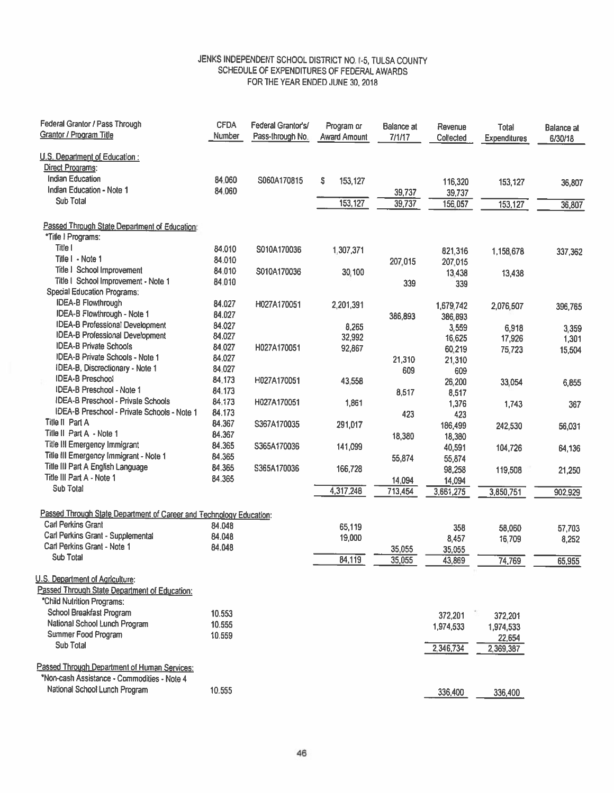## JENKS INDEPENDENT SCHOOL DISTRICT NO. 1-5, TULSA COUNTY SCHEDULE OF EXPENDITURES OF FEDERAL AWARDS FOR THE YEAR ENDED JUNE 30, 2018

| Federal Grantor / Pass Through                                      | <b>CFDA</b> | Federal Grantor's/ | Program or          | Balance at | Revenue              | Total        | <b>Balance</b> at |
|---------------------------------------------------------------------|-------------|--------------------|---------------------|------------|----------------------|--------------|-------------------|
| <b>Grantor / Program Title</b>                                      | Number      | Pass-through No.   | <b>Award Amount</b> | 7/1/17     | Collected            | Expenditures | 6/30/18           |
| U.S. Department of Education:                                       |             |                    |                     |            |                      |              |                   |
| <b>Direct Programs:</b>                                             |             |                    |                     |            |                      |              |                   |
| <b>Indian Education</b>                                             | 84.060      | S060A170815        | s<br>153,127        |            | 116,320              | 153,127      | 36,807            |
| Indian Education - Note 1                                           | 84.060      |                    |                     | 39,737     | 39,737               |              |                   |
| Sub Total                                                           |             |                    | 153,127             | 39,737     | 156,057              | 153,127      | 36,807            |
| Passed Through State Department of Education:                       |             |                    |                     |            |                      |              |                   |
| *Title ! Programs:                                                  |             |                    |                     |            |                      |              |                   |
| Title I                                                             | 84.010      | S010A170036        | 1,307,371           |            | 821,316              |              |                   |
| Title I - Note 1                                                    | 84.010      |                    |                     | 207,015    | 207,015              | 1,158,678    | 337,362           |
| Title I School Improvement                                          | 84.010      | S010A170036        | 30,100              |            | 13,438               |              |                   |
| Title I School Improvement - Note 1                                 | 84.010      |                    |                     | 339        | 339                  | 13,438       |                   |
| <b>Special Education Programs:</b>                                  |             |                    |                     |            |                      |              |                   |
| <b>IDEA-B Flowthrough</b>                                           | 84.027      | H027A170051        | 2,201,391           |            |                      |              |                   |
| IDEA-B Flowthrough - Note 1                                         | 84.027      |                    |                     | 386,893    | 1,679,742<br>386,893 | 2,076,507    | 396,765           |
| <b>IDEA-B Professional Development</b>                              | 84.027      |                    | 8,265               |            | 3,559                |              |                   |
| <b>IDEA-B Professional Development</b>                              | 84.027      |                    | 32,992              |            | 16,625               | 6,918        | 3,359             |
| <b>IDEA-B Private Schools</b>                                       | 84.027      | H027A170051        | 92,867              |            | 60,219               | 17,926       | 1,301             |
| IDEA-B Private Schools - Note 1                                     | 84.027      |                    |                     | 21,310     | 21,310               | 75,723       | 15,504            |
| IDEA-B, Discrectionary - Note 1                                     | 84.027      |                    |                     | 609        | 609                  |              |                   |
| <b>IDEA-B Preschool</b>                                             | 84.173      | H027A170051        | 43,558              |            | 26,200               | 33,054       | 6,855             |
| <b>IDEA-B Preschool - Note 1</b>                                    | 84.173      |                    |                     | 8,517      | 8,517                |              |                   |
| <b>IDEA-B Preschool - Private Schools</b>                           | 84.173      | H027A170051        | 1,861               |            | 1,376                | 1,743        | 367               |
| IDEA-B Preschool - Private Schools - Note 1                         | 84.173      |                    |                     | 423        | 423                  |              |                   |
| Title II Part A                                                     | 84.367      | S367A170035        | 291,017             |            | 186,499              | 242,530      | 56,031            |
| Title II Part A - Note 1                                            | 84.367      |                    |                     | 18,380     | 18,380               |              |                   |
| Title III Emergency Immigrant                                       | 84.365      | S365A170036        | 141,099             |            | 40,591               | 104,726      | 64,136            |
| Title III Emergency Immigrant - Note 1                              | 84.365      |                    |                     | 55,874     | 55,874               |              |                   |
| Title III Part A English Language                                   | 84.365      | S365A170036        | 166,728             |            | 98,258               | 119,508      | 21,250            |
| Title III Part A - Note 1                                           | 84.365      |                    |                     | 14,094     | 14,094               |              |                   |
| Sub Total                                                           |             |                    | 4,317,248           | 713,454    | 3,661,275            | 3,850,751    | 902,929           |
|                                                                     |             |                    |                     |            |                      |              |                   |
| Passed Through State Department of Career and Technology Education: |             |                    |                     |            |                      |              |                   |
| <b>Carl Perkins Grant</b>                                           | 84.048      |                    | 65,119              |            | 358                  | 58,060       | 57,703            |
| Carl Perkins Grant - Supplemental                                   | 84.048      |                    | 19,000              |            | 8,457                | 16,709       | 8,252             |
| Carl Perkins Grant - Note 1                                         | 84.048      |                    |                     | 35,055     | 35,055               |              |                   |
| Sub Total                                                           |             |                    | 84.119              | 35,055     | 43,869               | 74,769       | 65,955            |
| U.S. Department of Agriculture:                                     |             |                    |                     |            |                      |              |                   |
| Passed Through State Department of Education:                       |             |                    |                     |            |                      |              |                   |
| "Child Nutrition Programs:                                          |             |                    |                     |            |                      |              |                   |
| School Breakfast Program                                            | 10.553      |                    |                     |            | 372,201              |              |                   |
| National School Lunch Program                                       | 10.555      |                    |                     |            |                      | 372,201      |                   |
| Summer Food Program                                                 | 10.559      |                    |                     |            | 1,974,533            | 1,974,533    |                   |
| <b>Sub Total</b>                                                    |             |                    |                     |            |                      | 22,654       |                   |
|                                                                     |             |                    |                     |            | 2,346,734            | 2,369,387    |                   |
| Passed Through Department of Human Services:                        |             |                    |                     |            |                      |              |                   |
| *Non-cash Assistance - Commodities - Note 4                         |             |                    |                     |            |                      |              |                   |
| National School Lunch Program                                       | 10.555      |                    |                     |            | 336,400              | 336,400      |                   |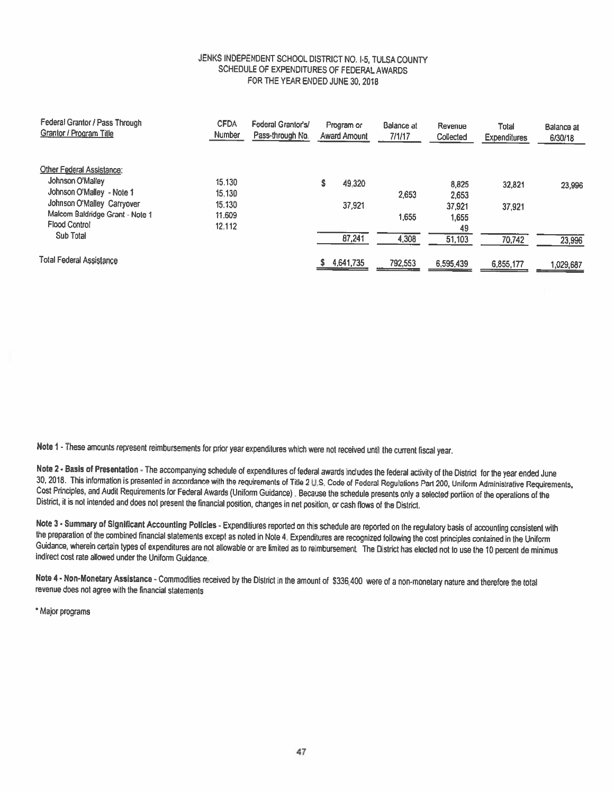#### JENKS INDEPENDENT SCHOOL DISTRICT NO. 1-5, TULSA COUNTY SCHEDULE OF EXPENDITURES OF FEDERAL AWARDS FOR THE YEAR ENDED JUNE 30, 2018

| Federal Grantor / Pass Through<br><b>Grantor / Program Title</b> | <b>CFDA</b><br>Number | Federal Grantor's/<br>Pass-through No. | Program or<br><b>Award Amount</b> | Balance at<br>7/1/17 | Revenue<br>Collected | Total<br><b>Expenditures</b> | Balance at<br>6/30/18 |
|------------------------------------------------------------------|-----------------------|----------------------------------------|-----------------------------------|----------------------|----------------------|------------------------------|-----------------------|
| Other Federal Assistance:                                        |                       |                                        |                                   |                      |                      |                              |                       |
| Johnson O'Malley                                                 | 15.130                |                                        | 49.320                            |                      | 8,825                | 32,821                       | 23.996                |
| Johnson O'Malley - Note 1                                        | 15.130                |                                        |                                   | 2.653                | 2,653                |                              |                       |
| Johnson O'Malley Carryover                                       | 15.130                |                                        | 37,921                            |                      | 37,921               | 37.921                       |                       |
| Malcom Baldridge Grant - Note 1                                  | 11.609                |                                        |                                   | 1,655                | 1,655                |                              |                       |
| <b>Flood Control</b>                                             | 12.112                |                                        |                                   |                      | 49                   |                              |                       |
| Sub Total                                                        |                       |                                        | 87,241                            | 4,308                | 51,103               | 70,742                       | 23,996                |
| <b>Total Federal Assistance</b>                                  |                       |                                        | 4,641,735                         | 792,553              | 6,595,439            | 6,855,177                    | 1,029,687             |

Note 1 - These amounts represent reimbursements for prior year expenditures which were not received until the current fiscal year.

Note 2 - Basis of Presentation - The accompanying schedule of expenditures of federal awards includes the federal activity of the District for the year ended June 30, 2018. This information is presented in accordance with the requirements of Title 2 U.S. Code of Federal Regulations Part 200, Uniform Administrative Requirements, Cost Principles, and Audit Requirements for Federal Awards (Uniform Guidance). Because the schedule presents only a selected portiion of the operations of the District, it is not intended and does not present the financial position, changes in net position, or cash flows of the District.

Note 3 - Summary of Significant Accounting Policies - Expenditiures reported on this schedule are reported on the regulatory basis of accounting consistent with the preparation of the combined financial statements except as noted in Note 4. Expenditures are recognized following the cost principles contained in the Uniform Guidance, wherein certain types of expenditures are not allowable or are limited as to reimbursement. The District has elected not to use the 10 percent de minimus indirect cost rate allowed under the Uniform Guidance.

Note 4 - Non-Monetary Assistance - Commodities received by the District in the amount of \$336,400 were of a non-monetary nature and therefore the total revenue does not agree with the financial statements

\* Major programs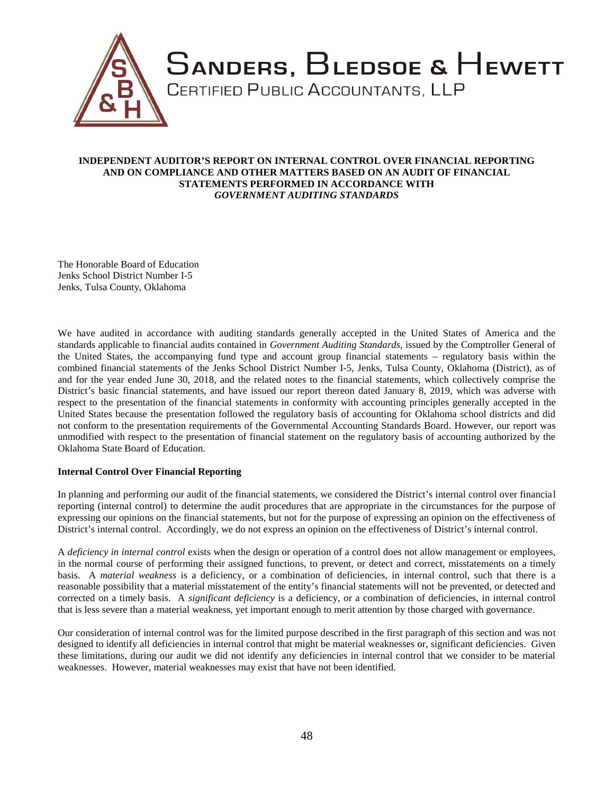

#### **INDEPENDENT AUDITOR'S REPORT ON INTERNAL CONTROL OVER FINANCIAL REPORTING AND ON COMPLIANCE AND OTHER MATTERS BASED ON AN AUDIT OF FINANCIAL STATEMENTS PERFORMED IN ACCORDANCE WITH** *GOVERNMENT AUDITING STANDARDS*

The Honorable Board of Education Jenks School District Number I-5 Jenks, Tulsa County, Oklahoma

We have audited in accordance with auditing standards generally accepted in the United States of America and the standards applicable to financial audits contained in *Government Auditing Standards,* issued by the Comptroller General of the United States, the accompanying fund type and account group financial statements – regulatory basis within the combined financial statements of the Jenks School District Number I-5, Jenks, Tulsa County, Oklahoma (District), as of and for the year ended June 30, 2018, and the related notes to the financial statements, which collectively comprise the District's basic financial statements, and have issued our report thereon dated January 8, 2019, which was adverse with respect to the presentation of the financial statements in conformity with accounting principles generally accepted in the United States because the presentation followed the regulatory basis of accounting for Oklahoma school districts and did not conform to the presentation requirements of the Governmental Accounting Standards Board. However, our report was unmodified with respect to the presentation of financial statement on the regulatory basis of accounting authorized by the Oklahoma State Board of Education.

#### **Internal Control Over Financial Reporting**

In planning and performing our audit of the financial statements, we considered the District's internal control over financial reporting (internal control) to determine the audit procedures that are appropriate in the circumstances for the purpose of expressing our opinions on the financial statements, but not for the purpose of expressing an opinion on the effectiveness of District's internal control. Accordingly, we do not express an opinion on the effectiveness of District's internal control.

A *deficiency in internal control* exists when the design or operation of a control does not allow management or employees, in the normal course of performing their assigned functions, to prevent, or detect and correct, misstatements on a timely basis. A *material weakness* is a deficiency, or a combination of deficiencies, in internal control, such that there is a reasonable possibility that a material misstatement of the entity's financial statements will not be prevented, or detected and corrected on a timely basis. A *significant deficiency* is a deficiency, or a combination of deficiencies, in internal control that is less severe than a material weakness, yet important enough to merit attention by those charged with governance.

Our consideration of internal control was for the limited purpose described in the first paragraph of this section and was not designed to identify all deficiencies in internal control that might be material weaknesses or, significant deficiencies. Given these limitations, during our audit we did not identify any deficiencies in internal control that we consider to be material weaknesses. However, material weaknesses may exist that have not been identified.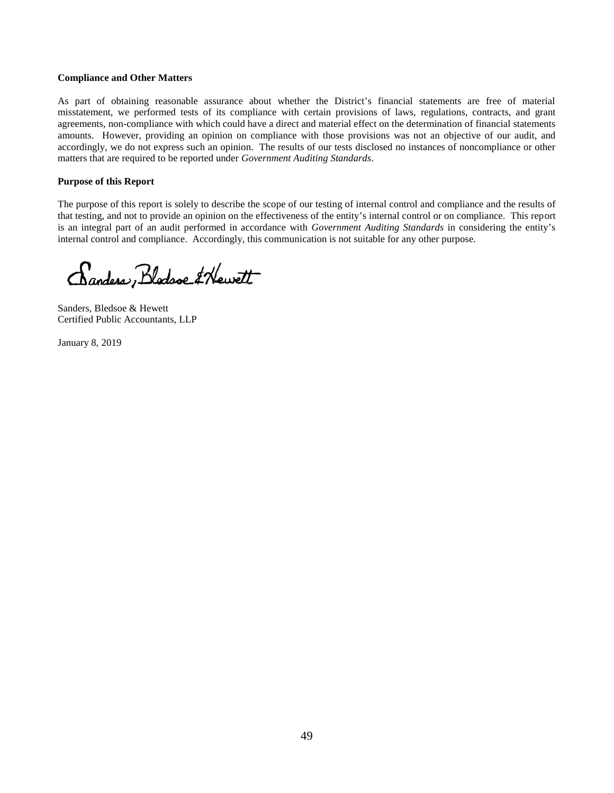#### **Compliance and Other Matters**

As part of obtaining reasonable assurance about whether the District's financial statements are free of material misstatement, we performed tests of its compliance with certain provisions of laws, regulations, contracts, and grant agreements, non-compliance with which could have a direct and material effect on the determination of financial statements amounts. However, providing an opinion on compliance with those provisions was not an objective of our audit, and accordingly, we do not express such an opinion. The results of our tests disclosed no instances of noncompliance or other matters that are required to be reported under *Government Auditing Standards*.

#### **Purpose of this Report**

The purpose of this report is solely to describe the scope of our testing of internal control and compliance and the results of that testing, and not to provide an opinion on the effectiveness of the entity's internal control or on compliance. This report is an integral part of an audit performed in accordance with *Government Auditing Standards* in considering the entity's internal control and compliance. Accordingly, this communication is not suitable for any other purpose.

Canders, Blodsoe & Hewett

Sanders, Bledsoe & Hewett Certified Public Accountants, LLP

January 8, 2019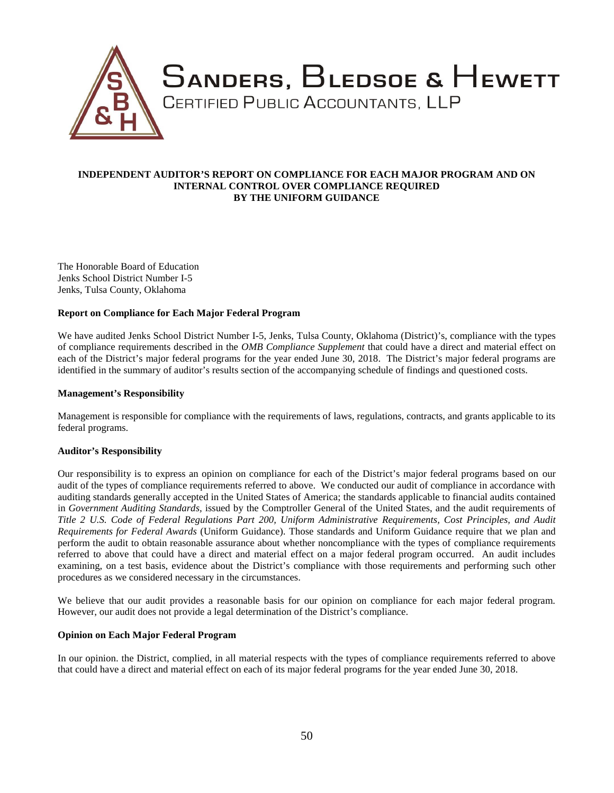

#### **INDEPENDENT AUDITOR'S REPORT ON COMPLIANCE FOR EACH MAJOR PROGRAM AND ON INTERNAL CONTROL OVER COMPLIANCE REQUIRED BY THE UNIFORM GUIDANCE**

The Honorable Board of Education Jenks School District Number I-5 Jenks, Tulsa County, Oklahoma

#### **Report on Compliance for Each Major Federal Program**

We have audited Jenks School District Number I-5, Jenks, Tulsa County, Oklahoma (District)'s, compliance with the types of compliance requirements described in the *OMB Compliance Supplement* that could have a direct and material effect on each of the District's major federal programs for the year ended June 30, 2018. The District's major federal programs are identified in the summary of auditor's results section of the accompanying schedule of findings and questioned costs.

#### **Management's Responsibility**

Management is responsible for compliance with the requirements of laws, regulations, contracts, and grants applicable to its federal programs.

#### **Auditor's Responsibility**

Our responsibility is to express an opinion on compliance for each of the District's major federal programs based on our audit of the types of compliance requirements referred to above. We conducted our audit of compliance in accordance with auditing standards generally accepted in the United States of America; the standards applicable to financial audits contained in *Government Auditing Standards,* issued by the Comptroller General of the United States, and the audit requirements of *Title 2 U.S. Code of Federal Regulations Part 200, Uniform Administrative Requirements, Cost Principles, and Audit Requirements for Federal Awards* (Uniform Guidance). Those standards and Uniform Guidance require that we plan and perform the audit to obtain reasonable assurance about whether noncompliance with the types of compliance requirements referred to above that could have a direct and material effect on a major federal program occurred. An audit includes examining, on a test basis, evidence about the District's compliance with those requirements and performing such other procedures as we considered necessary in the circumstances.

We believe that our audit provides a reasonable basis for our opinion on compliance for each major federal program. However, our audit does not provide a legal determination of the District's compliance.

#### **Opinion on Each Major Federal Program**

In our opinion. the District, complied, in all material respects with the types of compliance requirements referred to above that could have a direct and material effect on each of its major federal programs for the year ended June 30, 2018.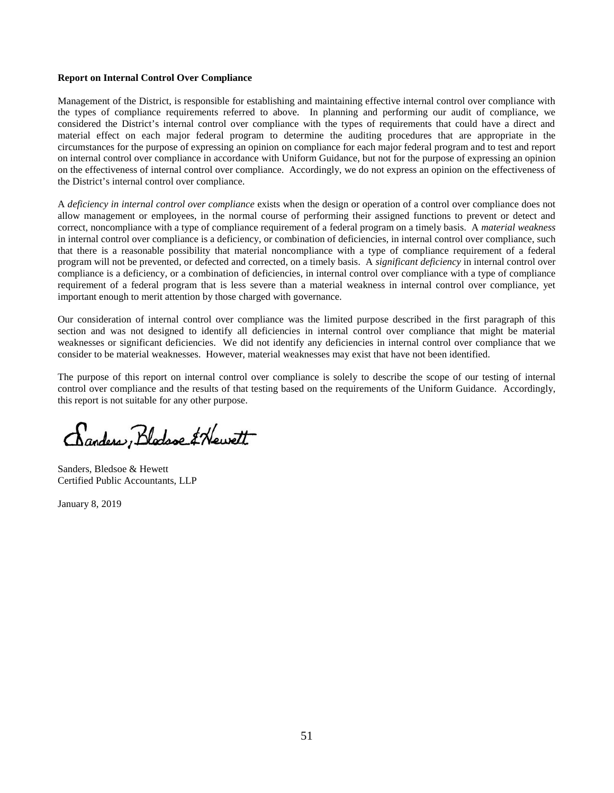#### **Report on Internal Control Over Compliance**

Management of the District, is responsible for establishing and maintaining effective internal control over compliance with the types of compliance requirements referred to above. In planning and performing our audit of compliance, we considered the District's internal control over compliance with the types of requirements that could have a direct and material effect on each major federal program to determine the auditing procedures that are appropriate in the circumstances for the purpose of expressing an opinion on compliance for each major federal program and to test and report on internal control over compliance in accordance with Uniform Guidance, but not for the purpose of expressing an opinion on the effectiveness of internal control over compliance. Accordingly, we do not express an opinion on the effectiveness of the District's internal control over compliance.

A *deficiency in internal control over compliance* exists when the design or operation of a control over compliance does not allow management or employees, in the normal course of performing their assigned functions to prevent or detect and correct, noncompliance with a type of compliance requirement of a federal program on a timely basis. A *material weakness* in internal control over compliance is a deficiency, or combination of deficiencies, in internal control over compliance, such that there is a reasonable possibility that material noncompliance with a type of compliance requirement of a federal program will not be prevented, or defected and corrected, on a timely basis. A *significant deficiency* in internal control over compliance is a deficiency, or a combination of deficiencies, in internal control over compliance with a type of compliance requirement of a federal program that is less severe than a material weakness in internal control over compliance, yet important enough to merit attention by those charged with governance.

Our consideration of internal control over compliance was the limited purpose described in the first paragraph of this section and was not designed to identify all deficiencies in internal control over compliance that might be material weaknesses or significant deficiencies. We did not identify any deficiencies in internal control over compliance that we consider to be material weaknesses. However, material weaknesses may exist that have not been identified.

The purpose of this report on internal control over compliance is solely to describe the scope of our testing of internal control over compliance and the results of that testing based on the requirements of the Uniform Guidance. Accordingly, this report is not suitable for any other purpose.

Canders, Blodsoe & Hewett

Sanders, Bledsoe & Hewett Certified Public Accountants, LLP

January 8, 2019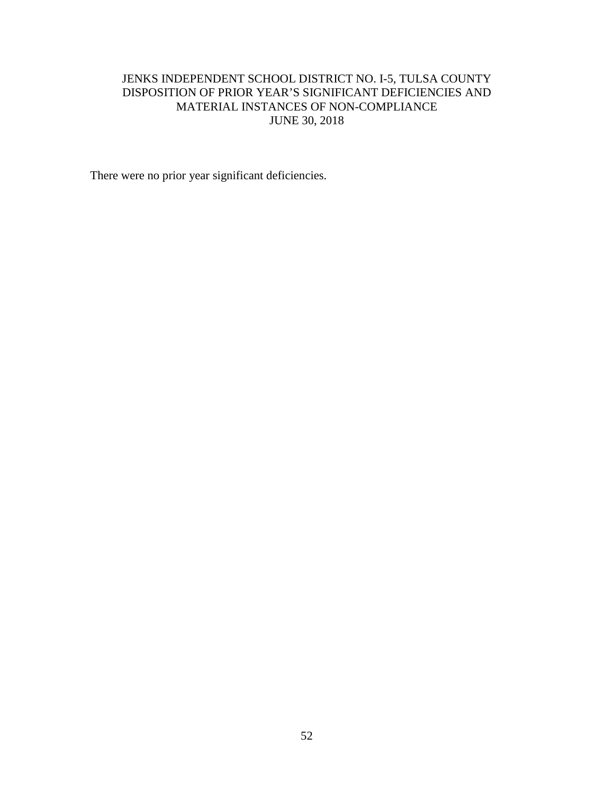# JENKS INDEPENDENT SCHOOL DISTRICT NO. I-5, TULSA COUNTY DISPOSITION OF PRIOR YEAR'S SIGNIFICANT DEFICIENCIES AND MATERIAL INSTANCES OF NON-COMPLIANCE JUNE 30, 2018

There were no prior year significant deficiencies.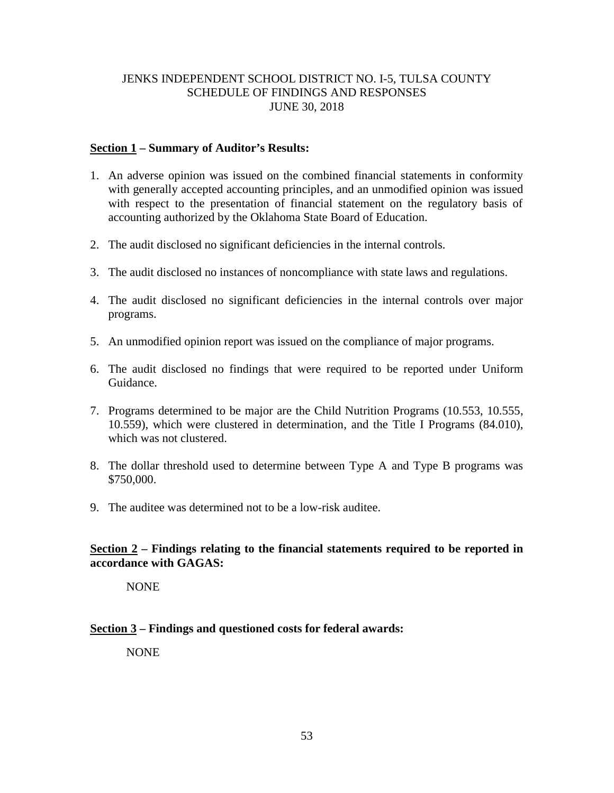# JENKS INDEPENDENT SCHOOL DISTRICT NO. I-5, TULSA COUNTY SCHEDULE OF FINDINGS AND RESPONSES JUNE 30, 2018

# **Section 1 – Summary of Auditor's Results:**

- 1. An adverse opinion was issued on the combined financial statements in conformity with generally accepted accounting principles, and an unmodified opinion was issued with respect to the presentation of financial statement on the regulatory basis of accounting authorized by the Oklahoma State Board of Education.
- 2. The audit disclosed no significant deficiencies in the internal controls.
- 3. The audit disclosed no instances of noncompliance with state laws and regulations.
- 4. The audit disclosed no significant deficiencies in the internal controls over major programs.
- 5. An unmodified opinion report was issued on the compliance of major programs.
- 6. The audit disclosed no findings that were required to be reported under Uniform Guidance.
- 7. Programs determined to be major are the Child Nutrition Programs (10.553, 10.555, 10.559), which were clustered in determination, and the Title I Programs (84.010), which was not clustered.
- 8. The dollar threshold used to determine between Type A and Type B programs was \$750,000.
- 9. The auditee was determined not to be a low-risk auditee.

# **Section 2 – Findings relating to the financial statements required to be reported in accordance with GAGAS:**

NONE

# **Section 3 – Findings and questioned costs for federal awards:**

NONE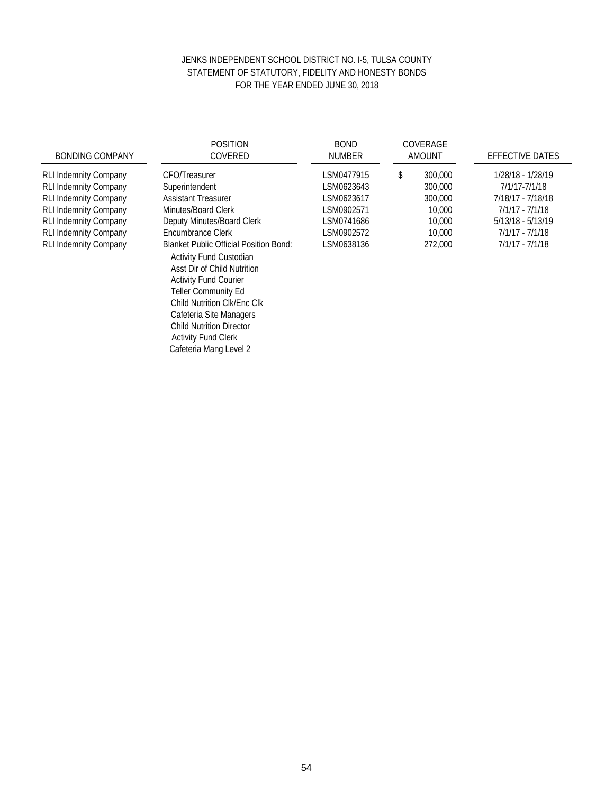## JENKS INDEPENDENT SCHOOL DISTRICT NO. I-5, TULSA COUNTY STATEMENT OF STATUTORY, FIDELITY AND HONESTY BONDS FOR THE YEAR ENDED JUNE 30, 2018

| <b>BONDING COMPANY</b>                                                                                                                                                                                                       | <b>POSITION</b><br>COVERED                                                                                                                                                                                                                                                                                                     | <b>BOND</b><br><b>NUMBER</b>                                                                   | COVERAGE<br><b>AMOUNT</b>                                                    | <b>EFFECTIVE DATES</b>                                                                                                                    |
|------------------------------------------------------------------------------------------------------------------------------------------------------------------------------------------------------------------------------|--------------------------------------------------------------------------------------------------------------------------------------------------------------------------------------------------------------------------------------------------------------------------------------------------------------------------------|------------------------------------------------------------------------------------------------|------------------------------------------------------------------------------|-------------------------------------------------------------------------------------------------------------------------------------------|
| <b>RLI Indemnity Company</b><br><b>RLI Indemnity Company</b><br><b>RLI Indemnity Company</b><br><b>RLI Indemnity Company</b><br><b>RLI Indemnity Company</b><br><b>RLI Indemnity Company</b><br><b>RLI Indemnity Company</b> | <b>CFO/Treasurer</b><br>Superintendent<br><b>Assistant Treasurer</b><br>Minutes/Board Clerk<br>Deputy Minutes/Board Clerk<br>Encumbrance Clerk<br><b>Blanket Public Official Position Bond:</b><br><b>Activity Fund Custodian</b><br>Asst Dir of Child Nutrition<br><b>Activity Fund Courier</b><br><b>Teller Community Ed</b> | LSM0477915<br>LSM0623643<br>LSM0623617<br>LSM0902571<br>LSM0741686<br>LSM0902572<br>LSM0638136 | 300,000<br>\$<br>300,000<br>300,000<br>10,000<br>10,000<br>10,000<br>272,000 | 1/28/18 - 1/28/19<br>7/1/17-7/1/18<br>7/18/17 - 7/18/18<br>$7/1/17 - 7/1/18$<br>5/13/18 - 5/13/19<br>7/1/17 - 7/1/18<br>$7/1/17 - 7/1/18$ |
|                                                                                                                                                                                                                              | <b>Child Nutrition CIK/Enc CIK</b><br>Cafeteria Site Managers<br><b>Child Nutrition Director</b><br><b>Activity Fund Clerk</b>                                                                                                                                                                                                 |                                                                                                |                                                                              |                                                                                                                                           |

Cafeteria Mang Level 2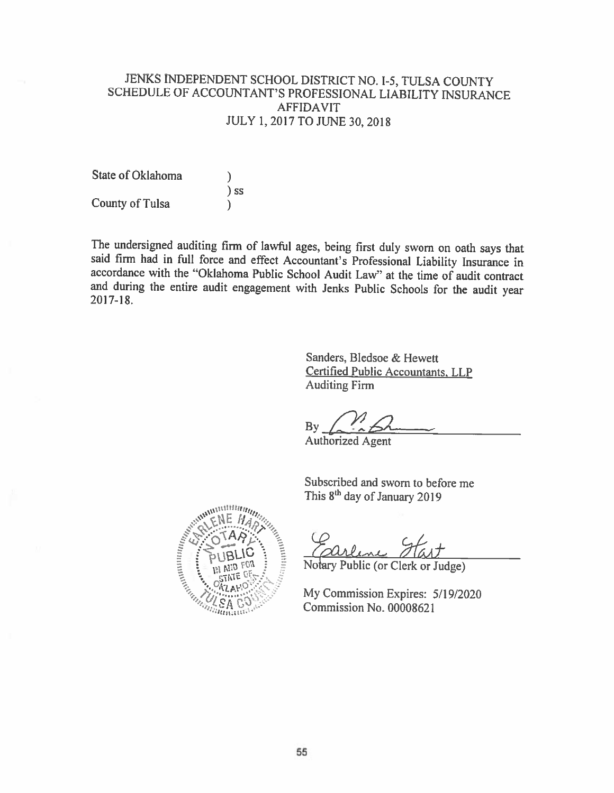# JENKS INDEPENDENT SCHOOL DISTRICT NO. I-5, TULSA COUNTY SCHEDULE OF ACCOUNTANT'S PROFESSIONAL LIABILITY INSURANCE **AFFIDAVIT** JULY 1, 2017 TO JUNE 30, 2018

State of Oklahoma  $)$  ss **County of Tulsa** 

The undersigned auditing firm of lawful ages, being first duly sworn on oath says that said firm had in full force and effect Accountant's Professional Liability Insurance in accordance with the "Oklahoma Public School Audit Law" at the time of audit contract and during the entire audit engagement with Jenks Public Schools for the audit year  $2017 - 18$ .

> Sanders, Bledsoe & Hewett **Certified Public Accountants, LLP Auditing Firm**

Bv

**Authorized Agent** 

Subscribed and sworn to before me This 8<sup>th</sup> day of January 2019



Notary Public (or Clerk or Judge)

My Commission Expires: 5/19/2020 Commission No. 00008621